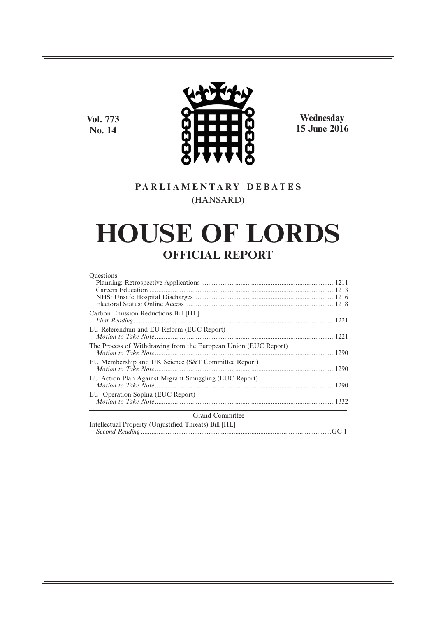**Vol. 773 No. 14**



**Wednesday 15 June 2016**

# **P A R L I A M E N T A R Y D E B A T E S** (HANSARD)

# **HOUSE OF LORDS OFFICIAL REPORT**

| <b>Ouestions</b>                                                |  |
|-----------------------------------------------------------------|--|
|                                                                 |  |
|                                                                 |  |
|                                                                 |  |
|                                                                 |  |
| Carbon Emission Reductions Bill [HL]                            |  |
|                                                                 |  |
| EU Referendum and EU Reform (EUC Report)                        |  |
|                                                                 |  |
| The Process of Withdrawing from the European Union (EUC Report) |  |
|                                                                 |  |
| EU Membership and UK Science (S&T Committee Report)             |  |
|                                                                 |  |
| EU Action Plan Against Migrant Smuggling (EUC Report)           |  |
|                                                                 |  |
| EU: Operation Sophia (EUC Report)                               |  |
|                                                                 |  |
|                                                                 |  |
| <b>Grand Committee</b>                                          |  |

*Second Reading* ...........................................................................................................GC 1

Intellectual Property (Unjustified Threats) Bill [HL]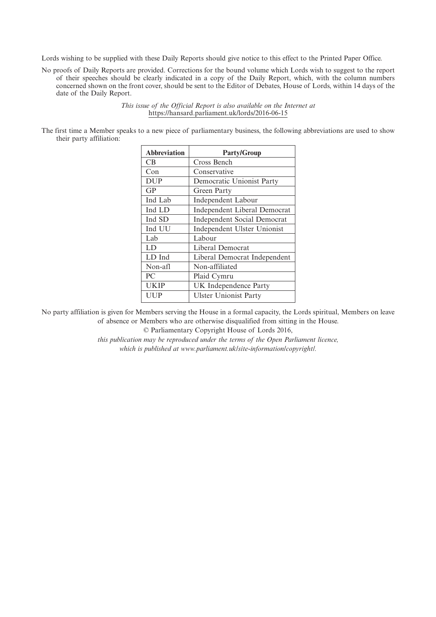Lords wishing to be supplied with these Daily Reports should give notice to this effect to the Printed Paper Office.

No proofs of Daily Reports are provided. Corrections for the bound volume which Lords wish to suggest to the report of their speeches should be clearly indicated in a copy of the Daily Report, which, with the column numbers concerned shown on the front cover, should be sent to the Editor of Debates, House of Lords, within 14 days of the date of the Daily Report.

> *This issue of the Official Report is also available on the Internet at* https://hansard.parliament.uk/lords/2016-06-15

The first time a Member speaks to a new piece of parliamentary business, the following abbreviations are used to show their party affiliation:

| <b>Abbreviation</b> | <b>Party/Group</b>                  |
|---------------------|-------------------------------------|
| CB.                 | Cross Bench                         |
| Con                 | Conservative                        |
| <b>DUP</b>          | Democratic Unionist Party           |
| GP                  | Green Party                         |
| Ind Lab             | <b>Independent Labour</b>           |
| Ind LD              | <b>Independent Liberal Democrat</b> |
| Ind SD              | <b>Independent Social Democrat</b>  |
| Ind UU              | Independent Ulster Unionist         |
| Lab                 | Labour                              |
| LD                  | Liberal Democrat                    |
| LD Ind              | Liberal Democrat Independent        |
| Non-afl             | Non-affiliated                      |
| PC                  | Plaid Cymru                         |
| <b>UKIP</b>         | UK Independence Party               |
| UUP                 | <b>Ulster Unionist Party</b>        |

No party affiliation is given for Members serving the House in a formal capacity, the Lords spiritual, Members on leave of absence or Members who are otherwise disqualified from sitting in the House.

© Parliamentary Copyright House of Lords 2016,

*this publication may be reproduced under the terms of the Open Parliament licence, which is published at www.parliament.uk/site-information/copyright/.*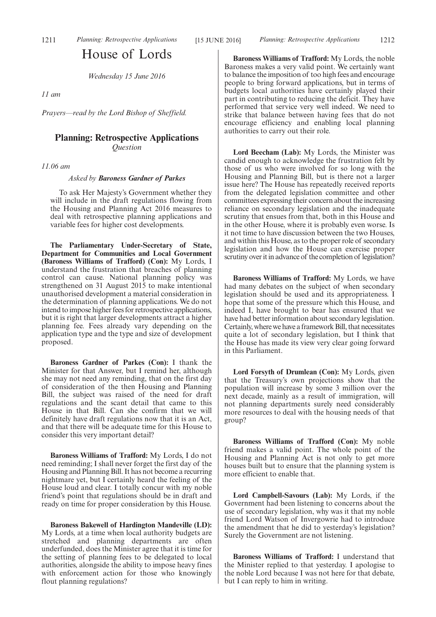# House of Lords

*Wednesday 15 June 2016*

*11 am*

*Prayers—read by the Lord Bishop of Sheffield.*

# **Planning: Retrospective Applications** *Question*

*11.06 am*

*Asked by Baroness Gardner of Parkes*

To ask Her Majesty's Government whether they will include in the draft regulations flowing from the Housing and Planning Act 2016 measures to deal with retrospective planning applications and variable fees for higher cost developments.

**The Parliamentary Under-Secretary of State, Department for Communities and Local Government (Baroness Williams of Trafford) (Con):** My Lords, I understand the frustration that breaches of planning control can cause. National planning policy was strengthened on 31 August 2015 to make intentional unauthorised development a material consideration in the determination of planning applications. We do not intend to impose higher fees for retrospective applications, but it is right that larger developments attract a higher planning fee. Fees already vary depending on the application type and the type and size of development proposed.

**Baroness Gardner of Parkes (Con):** I thank the Minister for that Answer, but I remind her, although she may not need any reminding, that on the first day of consideration of the then Housing and Planning Bill, the subject was raised of the need for draft regulations and the scant detail that came to this House in that Bill. Can she confirm that we will definitely have draft regulations now that it is an Act, and that there will be adequate time for this House to consider this very important detail?

**Baroness Williams of Trafford:** My Lords, I do not need reminding; I shall never forget the first day of the Housing and Planning Bill. It has not become a recurring nightmare yet, but I certainly heard the feeling of the House loud and clear. I totally concur with my noble friend's point that regulations should be in draft and ready on time for proper consideration by this House.

**Baroness Bakewell of Hardington Mandeville (LD):** My Lords, at a time when local authority budgets are stretched and planning departments are often underfunded, does the Minister agree that it is time for the setting of planning fees to be delegated to local authorities, alongside the ability to impose heavy fines with enforcement action for those who knowingly flout planning regulations?

**Baroness Williams of Trafford:** My Lords, the noble Baroness makes a very valid point. We certainly want to balance the imposition of too high fees and encourage people to bring forward applications, but in terms of budgets local authorities have certainly played their part in contributing to reducing the deficit. They have performed that service very well indeed. We need to strike that balance between having fees that do not encourage efficiency and enabling local planning authorities to carry out their role.

**Lord Beecham (Lab):** My Lords, the Minister was candid enough to acknowledge the frustration felt by those of us who were involved for so long with the Housing and Planning Bill, but is there not a larger issue here? The House has repeatedly received reports from the delegated legislation committee and other committees expressing their concern about the increasing reliance on secondary legislation and the inadequate scrutiny that ensues from that, both in this House and in the other House, where it is probably even worse. Is it not time to have discussion between the two Houses, and within this House, as to the proper role of secondary legislation and how the House can exercise proper scrutiny over it in advance of the completion of legislation?

**Baroness Williams of Trafford:** My Lords, we have had many debates on the subject of when secondary legislation should be used and its appropriateness. I hope that some of the pressure which this House, and indeed I, have brought to bear has ensured that we have had better information about secondary legislation. Certainly, where we have a framework Bill, that necessitates quite a lot of secondary legislation, but I think that the House has made its view very clear going forward in this Parliament.

**Lord Forsyth of Drumlean (Con):** My Lords, given that the Treasury's own projections show that the population will increase by some 3 million over the next decade, mainly as a result of immigration, will not planning departments surely need considerably more resources to deal with the housing needs of that group?

**Baroness Williams of Trafford (Con):** My noble friend makes a valid point. The whole point of the Housing and Planning Act is not only to get more houses built but to ensure that the planning system is more efficient to enable that.

**Lord Campbell-Savours (Lab):** My Lords, if the Government had been listening to concerns about the use of secondary legislation, why was it that my noble friend Lord Watson of Invergowrie had to introduce the amendment that he did to yesterday's legislation? Surely the Government are not listening.

**Baroness Williams of Trafford:** I understand that the Minister replied to that yesterday. I apologise to the noble Lord because I was not here for that debate, but I can reply to him in writing.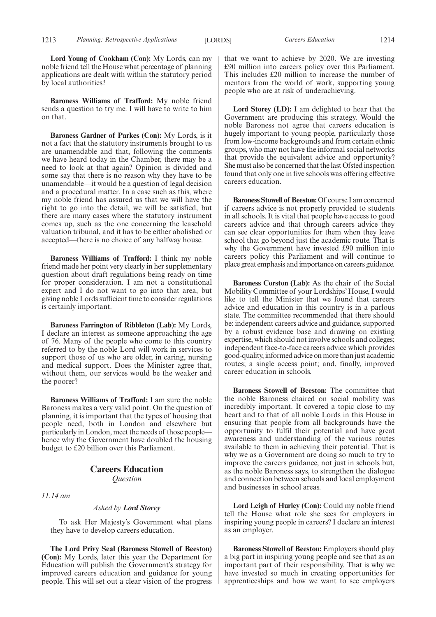**Lord Young of Cookham (Con):** My Lords, can my noble friend tell the House what percentage of planning applications are dealt with within the statutory period by local authorities?

**Baroness Williams of Trafford:** My noble friend sends a question to try me. I will have to write to him on that.

**Baroness Gardner of Parkes (Con):** My Lords, is it not a fact that the statutory instruments brought to us are unamendable and that, following the comments we have heard today in the Chamber, there may be a need to look at that again? Opinion is divided and some say that there is no reason why they have to be unamendable—it would be a question of legal decision and a procedural matter. In a case such as this, where my noble friend has assured us that we will have the right to go into the detail, we will be satisfied, but there are many cases where the statutory instrument comes up, such as the one concerning the leasehold valuation tribunal, and it has to be either abolished or accepted—there is no choice of any halfway house.

**Baroness Williams of Trafford:** I think my noble friend made her point very clearly in her supplementary question about draft regulations being ready on time for proper consideration. I am not a constitutional expert and I do not want to go into that area, but giving noble Lords sufficient time to consider regulations is certainly important.

**Baroness Farrington of Ribbleton (Lab):** My Lords, I declare an interest as someone approaching the age of 76. Many of the people who come to this country referred to by the noble Lord will work in services to support those of us who are older, in caring, nursing and medical support. Does the Minister agree that, without them, our services would be the weaker and the poorer?

**Baroness Williams of Trafford:** I am sure the noble Baroness makes a very valid point. On the question of planning, it is important that the types of housing that people need, both in London and elsewhere but particularly in London, meet the needs of those people hence why the Government have doubled the housing budget to £20 billion over this Parliament.

# **Careers Education** *Question*

*11.14 am*

*Asked by Lord Storey*

To ask Her Majesty's Government what plans they have to develop careers education.

**The Lord Privy Seal (Baroness Stowell of Beeston) (Con):** My Lords, later this year the Department for Education will publish the Government's strategy for improved careers education and guidance for young people. This will set out a clear vision of the progress that we want to achieve by 2020. We are investing £90 million into careers policy over this Parliament. This includes £20 million to increase the number of mentors from the world of work, supporting young people who are at risk of underachieving.

**Lord Storey (LD):** I am delighted to hear that the Government are producing this strategy. Would the noble Baroness not agree that careers education is hugely important to young people, particularly those from low-income backgrounds and from certain ethnic groups, who may not have the informal social networks that provide the equivalent advice and opportunity? She must also be concerned that the last Ofsted inspection found that only one in five schools was offering effective careers education.

**Baroness Stowell of Beeston:**Of course I am concerned if careers advice is not properly provided to students in all schools. It is vital that people have access to good careers advice and that through careers advice they can see clear opportunities for them when they leave school that go beyond just the academic route. That is why the Government have invested £90 million into careers policy this Parliament and will continue to place great emphasis and importance on careers guidance.

**Baroness Corston (Lab):** As the chair of the Social Mobility Committee of your Lordships' House, I would like to tell the Minister that we found that careers advice and education in this country is in a parlous state. The committee recommended that there should be: independent careers advice and guidance, supported by a robust evidence base and drawing on existing expertise, which should not involve schools and colleges; independent face-to-face careers advice which provides good-quality, informed advice on more than just academic routes; a single access point; and, finally, improved career education in schools.

**Baroness Stowell of Beeston:** The committee that the noble Baroness chaired on social mobility was incredibly important. It covered a topic close to my heart and to that of all noble Lords in this House in ensuring that people from all backgrounds have the opportunity to fulfil their potential and have great awareness and understanding of the various routes available to them in achieving their potential. That is why we as a Government are doing so much to try to improve the careers guidance, not just in schools but, as the noble Baroness says, to strengthen the dialogue and connection between schools and local employment and businesses in school areas.

**Lord Leigh of Hurley (Con):** Could my noble friend tell the House what role she sees for employers in inspiring young people in careers? I declare an interest as an employer.

**Baroness Stowell of Beeston:** Employers should play a big part in inspiring young people and see that as an important part of their responsibility. That is why we have invested so much in creating opportunities for apprenticeships and how we want to see employers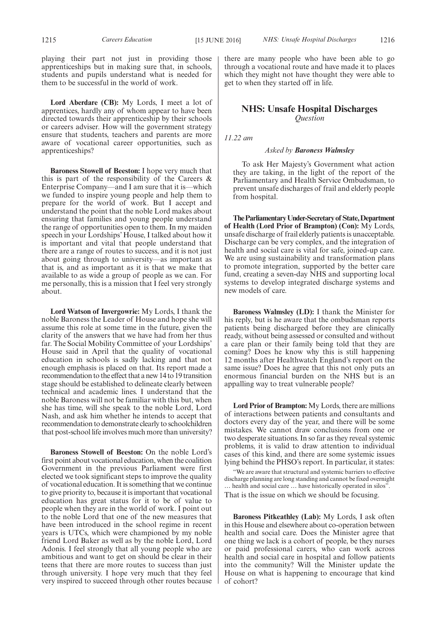**Lord Aberdare (CB):** My Lords, I meet a lot of apprentices, hardly any of whom appear to have been directed towards their apprenticeship by their schools or careers adviser. How will the government strategy ensure that students, teachers and parents are more aware of vocational career opportunities, such as apprenticeships?

**Baroness Stowell of Beeston:** I hope very much that this is part of the responsibility of the Careers  $\&$ Enterprise Company—and I am sure that it is—which we funded to inspire young people and help them to prepare for the world of work. But I accept and understand the point that the noble Lord makes about ensuring that families and young people understand the range of opportunities open to them. In my maiden speech in your Lordships' House, I talked about how it is important and vital that people understand that there are a range of routes to success, and it is not just about going through to university—as important as that is, and as important as it is that we make that available to as wide a group of people as we can. For me personally, this is a mission that I feel very strongly about.

**Lord Watson of Invergowrie:** My Lords, I thank the noble Baroness the Leader of House and hope she will assume this role at some time in the future, given the clarity of the answers that we have had from her thus far. The Social Mobility Committee of your Lordships' House said in April that the quality of vocational education in schools is sadly lacking and that not enough emphasis is placed on that. Its report made a recommendation to the effect that a new 14 to 19 transition stage should be established to delineate clearly between technical and academic lines. I understand that the noble Baroness will not be familiar with this but, when she has time, will she speak to the noble Lord, Lord Nash, and ask him whether he intends to accept that recommendation to demonstrate clearly to schoolchildren that post-school life involves much more than university?

**Baroness Stowell of Beeston:** On the noble Lord's first point about vocational education, when the coalition Government in the previous Parliament were first elected we took significant steps to improve the quality of vocational education. It is something that we continue to give priority to, because it is important that vocational education has great status for it to be of value to people when they are in the world of work. I point out to the noble Lord that one of the new measures that have been introduced in the school regime in recent years is UTCs, which were championed by my noble friend Lord Baker as well as by the noble Lord, Lord Adonis. I feel strongly that all young people who are ambitious and want to get on should be clear in their teens that there are more routes to success than just through university. I hope very much that they feel very inspired to succeed through other routes because

there are many people who have been able to go through a vocational route and have made it to places

which they might not have thought they were able to

get to when they started off in life.

# **NHS: Unsafe Hospital Discharges** *Question*

*11.22 am*

#### *Asked by Baroness Walmsley*

To ask Her Majesty's Government what action they are taking, in the light of the report of the Parliamentary and Health Service Ombudsman, to prevent unsafe discharges of frail and elderly people from hospital.

**TheParliamentaryUnder-Secretaryof State,Department of Health (Lord Prior of Brampton) (Con):** My Lords, unsafe discharge of frail elderly patients is unacceptable. Discharge can be very complex, and the integration of health and social care is vital for safe, joined-up care. We are using sustainability and transformation plans to promote integration, supported by the better care fund, creating a seven-day NHS and supporting local systems to develop integrated discharge systems and new models of care.

**Baroness Walmsley (LD):** I thank the Minister for his reply, but is he aware that the ombudsman reports patients being discharged before they are clinically ready, without being assessed or consulted and without a care plan or their family being told that they are coming? Does he know why this is still happening 12 months after Healthwatch England's report on the same issue? Does he agree that this not only puts an enormous financial burden on the NHS but is an appalling way to treat vulnerable people?

**Lord Prior of Brampton:** My Lords, there are millions of interactions between patients and consultants and doctors every day of the year, and there will be some mistakes. We cannot draw conclusions from one or two desperate situations. In so far as they reveal systemic problems, it is valid to draw attention to individual cases of this kind, and there are some systemic issues lying behind the PHSO's report. In particular, it states:

"We are aware that structural and systemic barriers to effective discharge planning are long standing and cannot be fixed overnight … health and social care … have historically operated in silos". That is the issue on which we should be focusing.

**Baroness Pitkeathley (Lab):** My Lords, I ask often in this House and elsewhere about co-operation between health and social care. Does the Minister agree that one thing we lack is a cohort of people, be they nurses or paid professional carers, who can work across health and social care in hospital and follow patients into the community? Will the Minister update the House on what is happening to encourage that kind of cohort?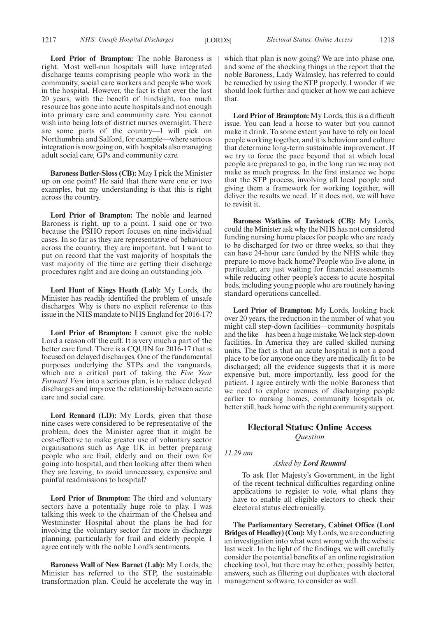**Lord Prior of Brampton:** The noble Baroness is right. Most well-run hospitals will have integrated discharge teams comprising people who work in the community, social care workers and people who work in the hospital. However, the fact is that over the last 20 years, with the benefit of hindsight, too much resource has gone into acute hospitals and not enough into primary care and community care. You cannot wish into being lots of district nurses overnight. There are some parts of the country—I will pick on Northumbria and Salford, for example—where serious integration is now going on, with hospitals also managing adult social care, GPs and community care.

**Baroness Butler-Sloss (CB):** May I pick the Minister up on one point? He said that there were one or two examples, but my understanding is that this is right across the country.

**Lord Prior of Brampton:** The noble and learned Baroness is right, up to a point. I said one or two because the PSHO report focuses on nine individual cases. In so far as they are representative of behaviour across the country, they are important, but I want to put on record that the vast majority of hospitals the vast majority of the time are getting their discharge procedures right and are doing an outstanding job.

**Lord Hunt of Kings Heath (Lab):** My Lords, the Minister has readily identified the problem of unsafe discharges. Why is there no explicit reference to this issue in the NHS mandate to NHS England for 2016-17?

**Lord Prior of Brampton:** I cannot give the noble Lord a reason off the cuff. It is very much a part of the better care fund. There is a CQUIN for 2016-17 that is focused on delayed discharges. One of the fundamental purposes underlying the STPs and the vanguards, which are a critical part of taking the *Five Year Forward View* into a serious plan, is to reduce delayed discharges and improve the relationship between acute care and social care.

**Lord Rennard (LD):** My Lords, given that those nine cases were considered to be representative of the problem, does the Minister agree that it might be cost-effective to make greater use of voluntary sector organisations such as Age UK in better preparing people who are frail, elderly and on their own for going into hospital, and then looking after them when they are leaving, to avoid unnecessary, expensive and painful readmissions to hospital?

**Lord Prior of Brampton:** The third and voluntary sectors have a potentially huge role to play. I was talking this week to the chairman of the Chelsea and Westminster Hospital about the plans he had for involving the voluntary sector far more in discharge planning, particularly for frail and elderly people. I agree entirely with the noble Lord's sentiments.

**Baroness Wall of New Barnet (Lab):** My Lords, the Minister has referred to the STP, the sustainable transformation plan. Could he accelerate the way in which that plan is now going? We are into phase one, and some of the shocking things in the report that the noble Baroness, Lady Walmsley, has referred to could be remedied by using the STP properly. I wonder if we should look further and quicker at how we can achieve that.

**Lord Prior of Brampton:** My Lords, this is a difficult issue. You can lead a horse to water but you cannot make it drink. To some extent you have to rely on local people working together, and it is behaviour and culture that determine long-term sustainable improvement. If we try to force the pace beyond that at which local people are prepared to go, in the long run we may not make as much progress. In the first instance we hope that the STP process, involving all local people and giving them a framework for working together, will deliver the results we need. If it does not, we will have to revisit it.

**Baroness Watkins of Tavistock (CB):** My Lords, could the Minister ask why the NHS has not considered funding nursing home places for people who are ready to be discharged for two or three weeks, so that they can have 24-hour care funded by the NHS while they prepare to move back home? People who live alone, in particular, are just waiting for financial assessments while reducing other people's access to acute hospital beds, including young people who are routinely having standard operations cancelled.

**Lord Prior of Brampton:** My Lords, looking back over 20 years, the reduction in the number of what you might call step-down facilities—community hospitals and the like—has been a huge mistake. We lack step-down facilities. In America they are called skilled nursing units. The fact is that an acute hospital is not a good place to be for anyone once they are medically fit to be discharged; all the evidence suggests that it is more expensive but, more importantly, less good for the patient. I agree entirely with the noble Baroness that we need to explore avenues of discharging people earlier to nursing homes, community hospitals or, better still, back home with the right community support.

# **Electoral Status: Online Access** *Question*

*11.29 am*

#### *Asked by Lord Rennard*

To ask Her Majesty's Government, in the light of the recent technical difficulties regarding online applications to register to vote, what plans they have to enable all eligible electors to check their electoral status electronically.

**The Parliamentary Secretary, Cabinet Office (Lord Bridges of Headley) (Con):** My Lords, we are conducting an investigation into what went wrong with the website last week. In the light of the findings, we will carefully consider the potential benefits of an online registration checking tool, but there may be other, possibly better, answers, such as filtering out duplicates with electoral management software, to consider as well.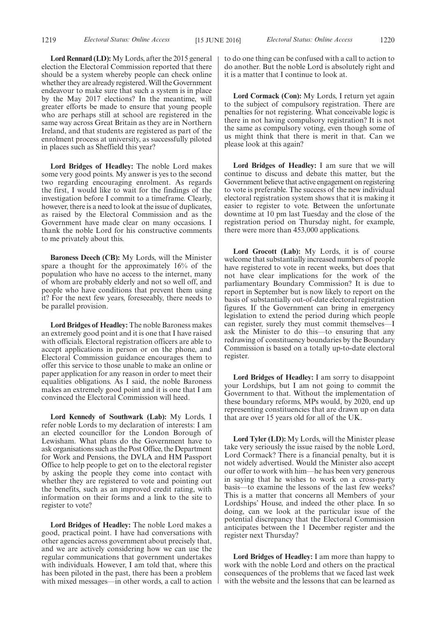**Lord Rennard (LD):** My Lords, after the 2015 general election the Electoral Commission reported that there should be a system whereby people can check online whether they are already registered. Will the Government endeavour to make sure that such a system is in place by the May 2017 elections? In the meantime, will greater efforts be made to ensure that young people who are perhaps still at school are registered in the same way across Great Britain as they are in Northern Ireland, and that students are registered as part of the enrolment process at university, as successfully piloted in places such as Sheffield this year?

**Lord Bridges of Headley:** The noble Lord makes some very good points. My answer is yes to the second two regarding encouraging enrolment. As regards the first, I would like to wait for the findings of the investigation before I commit to a timeframe. Clearly, however, there is a need to look at the issue of duplicates, as raised by the Electoral Commission and as the Government have made clear on many occasions. I thank the noble Lord for his constructive comments to me privately about this.

**Baroness Deech (CB):** My Lords, will the Minister spare a thought for the approximately 16% of the population who have no access to the internet, many of whom are probably elderly and not so well off, and people who have conditions that prevent them using it? For the next few years, foreseeably, there needs to be parallel provision.

**Lord Bridges of Headley:** The noble Baroness makes an extremely good point and it is one that I have raised with officials. Electoral registration officers are able to accept applications in person or on the phone, and Electoral Commission guidance encourages them to offer this service to those unable to make an online or paper application for any reason in order to meet their equalities obligations. As I said, the noble Baroness makes an extremely good point and it is one that I am convinced the Electoral Commission will heed.

**Lord Kennedy of Southwark (Lab):** My Lords, I refer noble Lords to my declaration of interests: I am an elected councillor for the London Borough of Lewisham. What plans do the Government have to ask organisations such as the Post Office, the Department for Work and Pensions, the DVLA and HM Passport Office to help people to get on to the electoral register by asking the people they come into contact with whether they are registered to vote and pointing out the benefits, such as an improved credit rating, with information on their forms and a link to the site to register to vote?

**Lord Bridges of Headley:** The noble Lord makes a good, practical point. I have had conversations with other agencies across government about precisely that, and we are actively considering how we can use the regular communications that government undertakes with individuals. However, I am told that, where this has been piloted in the past, there has been a problem with mixed messages—in other words, a call to action to do one thing can be confused with a call to action to do another. But the noble Lord is absolutely right and it is a matter that I continue to look at.

**Lord Cormack (Con):** My Lords, I return yet again to the subject of compulsory registration. There are penalties for not registering. What conceivable logic is there in not having compulsory registration? It is not the same as compulsory voting, even though some of us might think that there is merit in that. Can we please look at this again?

**Lord Bridges of Headley:** I am sure that we will continue to discuss and debate this matter, but the Government believe that active engagement on registering to vote is preferable. The success of the new individual electoral registration system shows that it is making it easier to register to vote. Between the unfortunate downtime at 10 pm last Tuesday and the close of the registration period on Thursday night, for example, there were more than 453,000 applications.

**Lord Grocott (Lab):** My Lords, it is of course welcome that substantially increased numbers of people have registered to vote in recent weeks, but does that not have clear implications for the work of the parliamentary Boundary Commission? It is due to report in September but is now likely to report on the basis of substantially out-of-date electoral registration figures. If the Government can bring in emergency legislation to extend the period during which people can register, surely they must commit themselves—I ask the Minister to do this—to ensuring that any redrawing of constituency boundaries by the Boundary Commission is based on a totally up-to-date electoral register.

**Lord Bridges of Headley:** I am sorry to disappoint your Lordships, but I am not going to commit the Government to that. Without the implementation of these boundary reforms, MPs would, by 2020, end up representing constituencies that are drawn up on data that are over 15 years old for all of the UK.

**Lord Tyler (LD):** My Lords, will the Minister please take very seriously the issue raised by the noble Lord, Lord Cormack? There is a financial penalty, but it is not widely advertised. Would the Minister also accept our offer to work with him—he has been very generous in saying that he wishes to work on a cross-party basis—to examine the lessons of the last few weeks? This is a matter that concerns all Members of your Lordships' House, and indeed the other place. In so doing, can we look at the particular issue of the potential discrepancy that the Electoral Commission anticipates between the 1 December register and the register next Thursday?

**Lord Bridges of Headley:** I am more than happy to work with the noble Lord and others on the practical consequences of the problems that we faced last week with the website and the lessons that can be learned as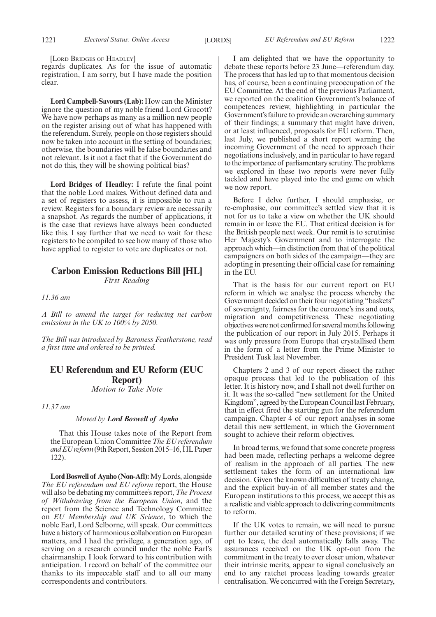[LORD BRIDGES OF HEADLEY]

regards duplicates. As for the issue of automatic registration, I am sorry, but I have made the position clear.

**Lord Campbell-Savours (Lab):** How can the Minister ignore the question of my noble friend Lord Grocott? We have now perhaps as many as a million new people on the register arising out of what has happened with the referendum. Surely, people on those registers should now be taken into account in the setting of boundaries; otherwise, the boundaries will be false boundaries and not relevant. Is it not a fact that if the Government do not do this, they will be showing political bias?

**Lord Bridges of Headley:** I refute the final point that the noble Lord makes. Without defined data and a set of registers to assess, it is impossible to run a review. Registers for a boundary review are necessarily a snapshot. As regards the number of applications, it is the case that reviews have always been conducted like this. I say further that we need to wait for these registers to be compiled to see how many of those who have applied to register to vote are duplicates or not.

# **Carbon Emission Reductions Bill [HL]** *First Reading*

*11.36 am*

*A Bill to amend the target for reducing net carbon emissions in the UK to 100% by 2050.*

*The Bill was introduced by Baroness Featherstone, read a first time and ordered to be printed.*

# **EU Referendum and EU Reform (EUC Report)**

*Motion to Take Note*

*11.37 am*

#### *Moved by Lord Boswell of Aynho*

That this House takes note of the Report from the European Union Committee *The EU referendum and EU reform*(9th Report, Session 2015–16, HL Paper 122).

**Lord Boswell of Aynho (Non-Afl):**My Lords, alongside *The EU referendum and EU reform* report, the House will also be debating my committee's report, *The Process of Withdrawing from the European Union*, and the report from the Science and Technology Committee on *EU Membership and UK Science*, to which the noble Earl, Lord Selborne, will speak. Our committees have a history of harmonious collaboration on European matters, and I had the privilege, a generation ago, of serving on a research council under the noble Earl's chairmanship. I look forward to his contribution with anticipation. I record on behalf of the committee our thanks to its impeccable staff and to all our many correspondents and contributors.

I am delighted that we have the opportunity to debate these reports before 23 June—referendum day. The process that has led up to that momentous decision has, of course, been a continuing preoccupation of the EU Committee. At the end of the previous Parliament, we reported on the coalition Government's balance of competences review, highlighting in particular the Government's failure to provide an overarching summary of their findings; a summary that might have driven, or at least influenced, proposals for EU reform. Then, last July, we published a short report warning the incoming Government of the need to approach their negotiations inclusively, and in particular to have regard to the importance of parliamentary scrutiny. The problems we explored in these two reports were never fully tackled and have played into the end game on which we now report.

Before I delve further, I should emphasise, or re-emphasise, our committee's settled view that it is not for us to take a view on whether the UK should remain in or leave the EU. That critical decision is for the British people next week. Our remit is to scrutinise Her Majesty's Government and to interrogate the approach which—in distinction from that of the political campaigners on both sides of the campaign—they are adopting in presenting their official case for remaining in the EU.

That is the basis for our current report on EU reform in which we analyse the process whereby the Government decided on their four negotiating "baskets" of sovereignty, fairness for the eurozone's ins and outs, migration and competitiveness. These negotiating objectives were not confirmed for several months following the publication of our report in July 2015. Perhaps it was only pressure from Europe that crystallised them in the form of a letter from the Prime Minister to President Tusk last November.

Chapters 2 and 3 of our report dissect the rather opaque process that led to the publication of this letter. It is history now, and I shall not dwell further on it. It was the so-called "new settlement for the United Kingdom", agreed by the European Council last February, that in effect fired the starting gun for the referendum campaign. Chapter 4 of our report analyses in some detail this new settlement, in which the Government sought to achieve their reform objectives.

In broad terms, we found that some concrete progress had been made, reflecting perhaps a welcome degree of realism in the approach of all parties. The new settlement takes the form of an international law decision. Given the known difficulties of treaty change, and the explicit buy-in of all member states and the European institutions to this process, we accept this as a realistic and viable approach to delivering commitments to reform.

If the UK votes to remain, we will need to pursue further our detailed scrutiny of these provisions; if we opt to leave, the deal automatically falls away. The assurances received on the UK opt-out from the commitment in the treaty to ever closer union, whatever their intrinsic merits, appear to signal conclusively an end to any ratchet process leading towards greater centralisation. We concurred with the Foreign Secretary,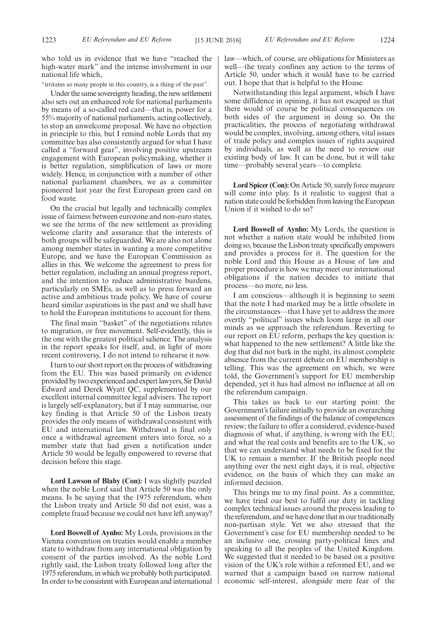who told us in evidence that we have "reached the high-water mark" and the intense involvement in our national life which,

"irritates so many people in this country, is a thing of the past".

Under the same sovereignty heading, the new settlement also sets out an enhanced role for national parliaments by means of a so-called red card—that is, power for a 55% majority of national parliaments, acting collectively, to stop an unwelcome proposal. We have no objection in principle to this, but I remind noble Lords that my committee has also consistently argued for what I have called a "forward gear", involving positive upstream engagement with European policymaking, whether it is better regulation, simplification of laws or more widely. Hence, in conjunction with a number of other national parliament chambers, we as a committee pioneered last year the first European green card on food waste.

On the crucial but legally and technically complex issue of fairness between eurozone and non-euro states, we see the terms of the new settlement as providing welcome clarity and assurance that the interests of both groups will be safeguarded. We are also not alone among member states in wanting a more competitive Europe, and we have the European Commission as allies in this. We welcome the agreement to press for better regulation, including an annual progress report, and the intention to reduce administrative burdens, particularly on SMEs, as well as to press forward an active and ambitious trade policy. We have of course heard similar aspirations in the past and we shall have to hold the European institutions to account for them.

The final main "basket" of the negotiations relates to migration, or free movement. Self-evidently, this is the one with the greatest political salience. The analysis in the report speaks for itself, and, in light of more recent controversy, I do not intend to rehearse it now.

I turn to our short report on the process of withdrawing from the EU. This was based primarily on evidence provided by two experienced and expert lawyers, Sir David Edward and Derek Wyatt QC, supplemented by our excellent internal committee legal advisers. The report is largely self-explanatory, but if I may summarise, our key finding is that Article 50 of the Lisbon treaty provides the only means of withdrawal consistent with EU and international law. Withdrawal is final only once a withdrawal agreement enters into force, so a member state that had given a notification under Article 50 would be legally empowered to reverse that decision before this stage.

**Lord Lawson of Blaby (Con):** I was slightly puzzled when the noble Lord said that Article 50 was the only means. Is he saying that the 1975 referendum, when the Lisbon treaty and Article 50 did not exist, was a complete fraud because we could not have left anyway?

**Lord Boswell of Aynho:** My Lords, provisions in the Vienna convention on treaties would enable a member state to withdraw from any international obligation by consent of the parties involved. As the noble Lord rightly said, the Lisbon treaty followed long after the 1975 referendum, in which we probably both participated. In order to be consistent with European and international law—which, of course, are obligations for Ministers as well—the treaty confines any action to the terms of Article 50, under which it would have to be carried out. I hope that that is helpful to the House.

Notwithstanding this legal argument, which I have some diffidence in opining, it has not escaped us that there would of course be political consequences on both sides of the argument in doing so. On the practicalities, the process of negotiating withdrawal would be complex, involving, among others, vital issues of trade policy and complex issues of rights acquired by individuals, as well as the need to review our existing body of law. It can be done, but it will take time—probably several years—to complete.

**Lord Spicer (Con):** On Article 50, surely force majeure will come into play. Is it realistic to suggest that a nation state could be forbidden from leaving the European Union if it wished to do so?

**Lord Boswell of Aynho:** My Lords, the question is not whether a nation state would be inhibited from doing so, because the Lisbon treaty specifically empowers and provides a process for it. The question for the noble Lord and this House as a House of law and proper procedure is how we may meet our international obligations if the nation decides to initiate that process—no more, no less.

I am conscious—although it is beginning to seem that the note I had marked may be a little obsolete in the circumstances—that I have yet to address the more overtly "political" issues which loom large in all our minds as we approach the referendum. Reverting to our report on EU reform, perhaps the key question is: what happened to the new settlement? A little like the dog that did not bark in the night, its almost complete absence from the current debate on EU membership is telling. This was the agreement on which, we were told, the Government's support for EU membership depended, yet it has had almost no influence at all on the referendum campaign.

This takes us back to our starting point: the Government's failure initially to provide an overarching assessment of the findings of the balance of competences review; the failure to offer a considered, evidence-based diagnosis of what, if anything, is wrong with the EU; and what the real costs and benefits are to the UK, so that we can understand what needs to be fixed for the UK to remain a member. If the British people need anything over the next eight days, it is real, objective evidence, on the basis of which they can make an informed decision.

This brings me to my final point. As a committee, we have tried our best to fulfil our duty in tackling complex technical issues around the process leading to the referendum, and we have done that in our traditionally non-partisan style. Yet we also stressed that the Government's case for EU membership needed to be an inclusive one, crossing party-political lines and speaking to all the peoples of the United Kingdom. We suggested that it needed to be based on a positive vision of the UK's role within a reformed EU, and we warned that a campaign based on narrow national economic self-interest, alongside mere fear of the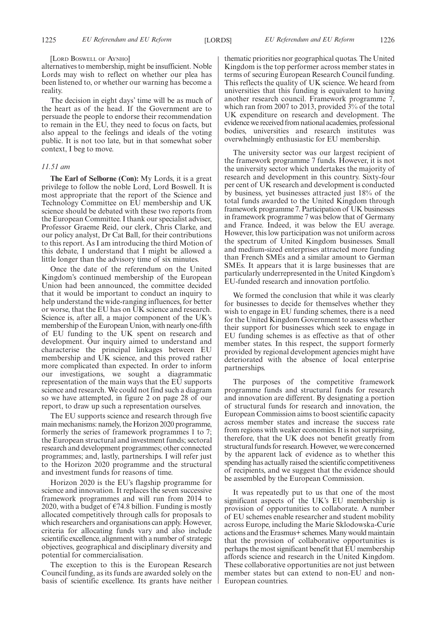#### [LORD BOSWELL OF AYNHO]

alternatives to membership, might be insufficient. Noble Lords may wish to reflect on whether our plea has been listened to, or whether our warning has become a reality.

The decision in eight days' time will be as much of the heart as of the head. If the Government are to persuade the people to endorse their recommendation to remain in the EU, they need to focus on facts, but also appeal to the feelings and ideals of the voting public. It is not too late, but in that somewhat sober context, I beg to move.

#### *11.51 am*

**The Earl of Selborne (Con):** My Lords, it is a great privilege to follow the noble Lord, Lord Boswell. It is most appropriate that the report of the Science and Technology Committee on EU membership and UK science should be debated with these two reports from the European Committee. I thank our specialist adviser, Professor Graeme Reid, our clerk, Chris Clarke, and our policy analyst, Dr Cat Ball, for their contributions to this report. As I am introducing the third Motion of this debate, I understand that I might be allowed a little longer than the advisory time of six minutes.

Once the date of the referendum on the United Kingdom's continued membership of the European Union had been announced, the committee decided that it would be important to conduct an inquiry to help understand the wide-ranging influences, for better or worse, that the EU has on UK science and research. Science is, after all, a major component of the UK's membership of the European Union, with nearly one-fifth of EU funding to the UK spent on research and development. Our inquiry aimed to understand and characterise the principal linkages between EU membership and UK science, and this proved rather more complicated than expected. In order to inform our investigations, we sought a diagrammatic representation of the main ways that the EU supports science and research. We could not find such a diagram so we have attempted, in figure 2 on page 28 of our report, to draw up such a representation ourselves.

The EU supports science and research through five main mechanisms: namely, the Horizon 2020 programme, formerly the series of framework programmes 1 to 7; the European structural and investment funds; sectoral research and development programmes; other connected programmes; and, lastly, partnerships. I will refer just to the Horizon 2020 programme and the structural and investment funds for reasons of time.

Horizon 2020 is the EU's flagship programme for science and innovation. It replaces the seven successive framework programmes and will run from 2014 to 2020, with a budget of  $\epsilon$ 74.8 billion. Funding is mostly allocated competitively through calls for proposals to which researchers and organisations can apply. However, criteria for allocating funds vary and also include scientific excellence, alignment with a number of strategic objectives, geographical and disciplinary diversity and potential for commercialisation.

The exception to this is the European Research Council funding, as its funds are awarded solely on the basis of scientific excellence. Its grants have neither thematic priorities nor geographical quotas. The United Kingdom is the top performer across member states in terms of securing European Research Council funding. This reflects the quality of UK science. We heard from universities that this funding is equivalent to having another research council. Framework programme 7, which ran from 2007 to 2013, provided 3% of the total UK expenditure on research and development. The evidence we received from national academies, professional bodies, universities and research institutes was overwhelmingly enthusiastic for EU membership.

The university sector was our largest recipient of the framework programme 7 funds. However, it is not the university sector which undertakes the majority of research and development in this country. Sixty-four per cent of UK research and development is conducted by business, yet businesses attracted just 18% of the total funds awarded to the United Kingdom through framework programme 7. Participation of UK businesses in framework programme 7 was below that of Germany and France. Indeed, it was below the EU average. However, this low participation was not uniform across the spectrum of United Kingdom businesses. Small and medium-sized enterprises attracted more funding than French SMEs and a similar amount to German SMEs. It appears that it is large businesses that are particularly underrepresented in the United Kingdom's EU-funded research and innovation portfolio.

We formed the conclusion that while it was clearly for businesses to decide for themselves whether they wish to engage in EU funding schemes, there is a need for the United Kingdom Government to assess whether their support for businesses which seek to engage in EU funding schemes is as effective as that of other member states. In this respect, the support formerly provided by regional development agencies might have deteriorated with the absence of local enterprise partnerships.

The purposes of the competitive framework programme funds and structural funds for research and innovation are different. By designating a portion of structural funds for research and innovation, the European Commission aims to boost scientific capacity across member states and increase the success rate from regions with weaker economies. It is not surprising, therefore, that the UK does not benefit greatly from structural funds for research. However, we were concerned by the apparent lack of evidence as to whether this spending has actually raised the scientific competitiveness of recipients, and we suggest that the evidence should be assembled by the European Commission.

It was repeatedly put to us that one of the most significant aspects of the UK's EU membership is provision of opportunities to collaborate. A number of EU schemes enable researcher and student mobility across Europe, including the Marie Sklodowska-Curie actions and the Erasmus+ schemes. Many would maintain that the provision of collaborative opportunities is perhaps the most significant benefit that EU membership affords science and research in the United Kingdom. These collaborative opportunities are not just between member states but can extend to non-EU and non-European countries.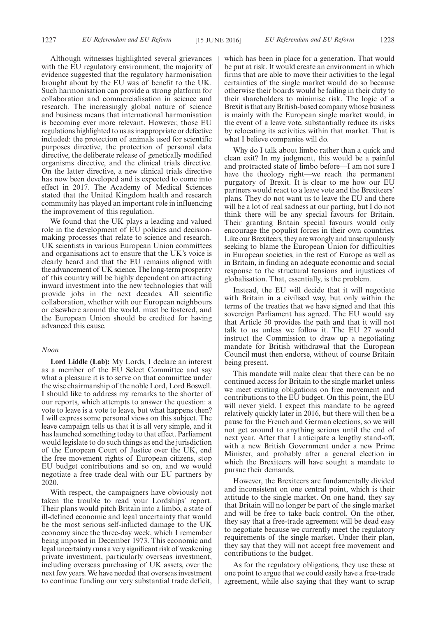Although witnesses highlighted several grievances with the EU regulatory environment, the majority of evidence suggested that the regulatory harmonisation brought about by the EU was of benefit to the UK. Such harmonisation can provide a strong platform for collaboration and commercialisation in science and research. The increasingly global nature of science and business means that international harmonisation is becoming ever more relevant. However, those EU regulations highlighted to us as inappropriate or defective included: the protection of animals used for scientific purposes directive, the protection of personal data directive, the deliberate release of genetically modified organisms directive, and the clinical trials directive. On the latter directive, a new clinical trials directive has now been developed and is expected to come into effect in 2017. The Academy of Medical Sciences stated that the United Kingdom health and research community has played an important role in influencing the improvement of this regulation.

We found that the UK plays a leading and valued role in the development of EU policies and decisionmaking processes that relate to science and research. UK scientists in various European Union committees and organisations act to ensure that the UK's voice is clearly heard and that the EU remains aligned with the advancement of UK science. The long-term prosperity of this country will be highly dependent on attracting inward investment into the new technologies that will provide jobs in the next decades. All scientific collaboration, whether with our European neighbours or elsewhere around the world, must be fostered, and the European Union should be credited for having advanced this cause.

#### *Noon*

**Lord Liddle (Lab):** My Lords, I declare an interest as a member of the EU Select Committee and say what a pleasure it is to serve on that committee under the wise chairmanship of the noble Lord, Lord Boswell. I should like to address my remarks to the shorter of our reports, which attempts to answer the question: a vote to leave is a vote to leave, but what happens then? I will express some personal views on this subject. The leave campaign tells us that it is all very simple, and it has launched something today to that effect. Parliament would legislate to do such things as end the jurisdiction of the European Court of Justice over the UK, end the free movement rights of European citizens, stop EU budget contributions and so on, and we would negotiate a free trade deal with our EU partners by 2020.

With respect, the campaigners have obviously not taken the trouble to read your Lordships' report. Their plans would pitch Britain into a limbo, a state of ill-defined economic and legal uncertainty that would be the most serious self-inflicted damage to the UK economy since the three-day week, which I remember being imposed in December 1973. This economic and legal uncertainty runs a very significant risk of weakening private investment, particularly overseas investment, including overseas purchasing of UK assets, over the next few years. We have needed that overseas investment to continue funding our very substantial trade deficit,

which has been in place for a generation. That would be put at risk. It would create an environment in which firms that are able to move their activities to the legal certainties of the single market would do so because otherwise their boards would be failing in their duty to their shareholders to minimise risk. The logic of a Brexit is that any British-based company whose business is mainly with the European single market would, in the event of a leave vote, substantially reduce its risks by relocating its activities within that market. That is what I believe companies will do.

Why do I talk about limbo rather than a quick and clean exit? In my judgment, this would be a painful and protracted state of limbo before—I am not sure I have the theology right—we reach the permanent purgatory of Brexit. It is clear to me how our EU partners would react to a leave vote and the Brexiteers' plans. They do not want us to leave the EU and there will be a lot of real sadness at our parting, but I do not think there will be any special favours for Britain. Their granting Britain special favours would only encourage the populist forces in their own countries. Like our Brexiteers, they are wrongly and unscrupulously seeking to blame the European Union for difficulties in European societies, in the rest of Europe as well as in Britain, in finding an adequate economic and social response to the structural tensions and injustices of globalisation. That, essentially, is the problem.

Instead, the EU will decide that it will negotiate with Britain in a civilised way, but only within the terms of the treaties that we have signed and that this sovereign Parliament has agreed. The EU would say that Article 50 provides the path and that it will not talk to us unless we follow it. The EU 27 would instruct the Commission to draw up a negotiating mandate for British withdrawal that the European Council must then endorse, without of course Britain being present.

This mandate will make clear that there can be no continued access for Britain to the single market unless we meet existing obligations on free movement and contributions to the EU budget. On this point, the EU will never yield. I expect this mandate to be agreed relatively quickly later in 2016, but there will then be a pause for the French and German elections, so we will not get around to anything serious until the end of next year. After that I anticipate a lengthy stand-off, with a new British Government under a new Prime Minister, and probably after a general election in which the Brexiteers will have sought a mandate to pursue their demands.

However, the Brexiteers are fundamentally divided and inconsistent on one central point, which is their attitude to the single market. On one hand, they say that Britain will no longer be part of the single market and will be free to take back control. On the other, they say that a free-trade agreement will be dead easy to negotiate because we currently meet the regulatory requirements of the single market. Under their plan, they say that they will not accept free movement and contributions to the budget.

As for the regulatory obligations, they use these at one point to argue that we could easily have a free-trade agreement, while also saying that they want to scrap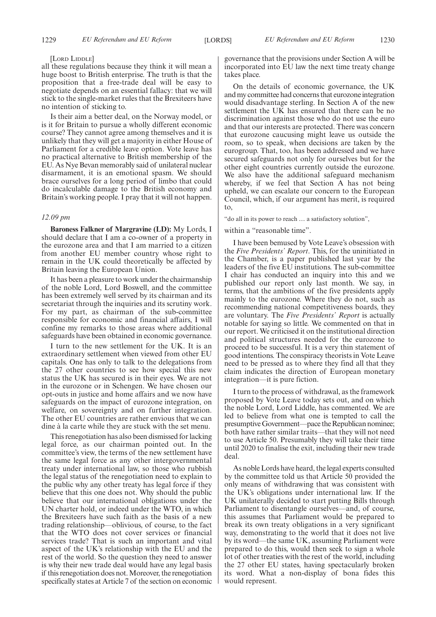#### [LORD LIDDLE]

all these regulations because they think it will mean a huge boost to British enterprise. The truth is that the proposition that a free-trade deal will be easy to negotiate depends on an essential fallacy: that we will stick to the single-market rules that the Brexiteers have no intention of sticking to.

Is their aim a better deal, on the Norway model, or is it for Britain to pursue a wholly different economic course? They cannot agree among themselves and it is unlikely that they will get a majority in either House of Parliament for a credible leave option. Vote leave has no practical alternative to British membership of the EU. As Nye Bevan memorably said of unilateral nuclear disarmament, it is an emotional spasm. We should brace ourselves for a long period of limbo that could do incalculable damage to the British economy and Britain's working people. I pray that it will not happen.

#### *12.09 pm*

**Baroness Falkner of Margravine (LD):** My Lords, I should declare that I am a co-owner of a property in the eurozone area and that I am married to a citizen from another EU member country whose right to remain in the UK could theoretically be affected by Britain leaving the European Union.

It has been a pleasure to work under the chairmanship of the noble Lord, Lord Boswell, and the committee has been extremely well served by its chairman and its secretariat through the inquiries and its scrutiny work. For my part, as chairman of the sub-committee responsible for economic and financial affairs, I will confine my remarks to those areas where additional safeguards have been obtained in economic governance.

I turn to the new settlement for the UK. It is an extraordinary settlement when viewed from other EU capitals. One has only to talk to the delegations from the 27 other countries to see how special this new status the UK has secured is in their eyes. We are not in the eurozone or in Schengen. We have chosen our opt-outs in justice and home affairs and we now have safeguards on the impact of eurozone integration, on welfare, on sovereignty and on further integration. The other EU countries are rather envious that we can dine à la carte while they are stuck with the set menu.

This renegotiation has also been dismissed for lacking legal force, as our chairman pointed out. In the committee's view, the terms of the new settlement have the same legal force as any other intergovernmental treaty under international law, so those who rubbish the legal status of the renegotiation need to explain to the public why any other treaty has legal force if they believe that this one does not. Why should the public believe that our international obligations under the UN charter hold, or indeed under the WTO, in which the Brexiteers have such faith as the basis of a new trading relationship—oblivious, of course, to the fact that the WTO does not cover services or financial services trade? That is such an important and vital aspect of the UK's relationship with the EU and the rest of the world. So the question they need to answer is why their new trade deal would have any legal basis if this renegotiation does not. Moreover, the renegotiation specifically states at Article 7 of the section on economic governance that the provisions under Section A will be incorporated into EU law the next time treaty change takes place.

On the details of economic governance, the UK and my committee had concerns that eurozone integration would disadvantage sterling. In Section A of the new settlement the UK has ensured that there can be no discrimination against those who do not use the euro and that our interests are protected. There was concern that eurozone caucusing might leave us outside the room, so to speak, when decisions are taken by the eurogroup. That, too, has been addressed and we have secured safeguards not only for ourselves but for the other eight countries currently outside the eurozone. We also have the additional safeguard mechanism whereby, if we feel that Section A has not being upheld, we can escalate our concern to the European Council, which, if our argument has merit, is required to,

"do all in its power to reach … a satisfactory solution",

within a "reasonable time".

I have been bemused by Vote Leave's obsession with the *Five Presidents' Report*. This, for the uninitiated in the Chamber, is a paper published last year by the leaders of the five EU institutions. The sub-committee I chair has conducted an inquiry into this and we published our report only last month. We say, in terms, that the ambitions of the five presidents apply mainly to the eurozone. Where they do not, such as recommending national competitiveness boards, they are voluntary. The *Five Presidents' Report* is actually notable for saying so little. We commented on that in our report. We criticised it on the institutional direction and political structures needed for the eurozone to proceed to be successful. It is a very thin statement of good intentions. The conspiracy theorists in Vote Leave need to be pressed as to where they find all that they claim indicates the direction of European monetary integration—it is pure fiction.

I turn to the process of withdrawal, as the framework proposed by Vote Leave today sets out, and on which the noble Lord, Lord Liddle, has commented. We are led to believe from what one is tempted to call the presumptive Government—pace the Republican nominee; both have rather similar traits—that they will not need to use Article 50. Presumably they will take their time until 2020 to finalise the exit, including their new trade deal.

As noble Lords have heard, the legal experts consulted by the committee told us that Article 50 provided the only means of withdrawing that was consistent with the UK's obligations under international law. If the UK unilaterally decided to start putting Bills through Parliament to disentangle ourselves—and, of course, this assumes that Parliament would be prepared to break its own treaty obligations in a very significant way, demonstrating to the world that it does not live by its word—the same UK, assuming Parliament were prepared to do this, would then seek to sign a whole lot of other treaties with the rest of the world, including the 27 other EU states, having spectacularly broken its word. What a non-display of bona fides this would represent.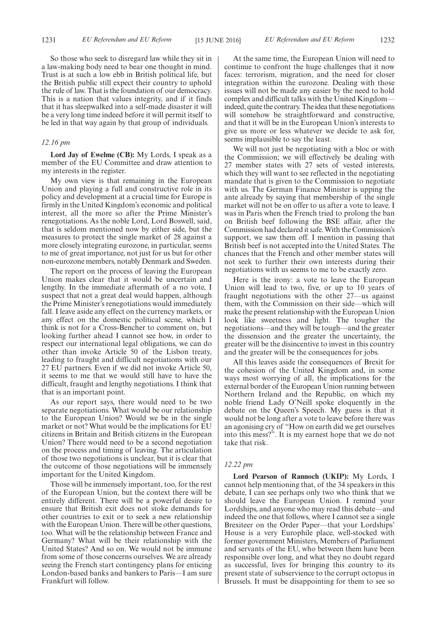So those who seek to disregard law while they sit in a law-making body need to bear one thought in mind. Trust is at such a low ebb in British political life, but the British public still expect their country to uphold the rule of law. That is the foundation of our democracy. This is a nation that values integrity, and if it finds that it has sleepwalked into a self-made disaster it will be a very long time indeed before it will permit itself to be led in that way again by that group of individuals.

#### *12.16 pm*

**Lord Jay of Ewelme (CB):** My Lords, I speak as a member of the EU Committee and draw attention to my interests in the register.

My own view is that remaining in the European Union and playing a full and constructive role in its policy and development at a crucial time for Europe is firmly in the United Kingdom's economic and political interest, all the more so after the Prime Minister's renegotiations. As the noble Lord, Lord Boswell, said, that is seldom mentioned now by either side, but the measures to protect the single market of 28 against a more closely integrating eurozone, in particular, seems to me of great importance, not just for us but for other non-eurozone members, notably Denmark and Sweden.

The report on the process of leaving the European Union makes clear that it would be uncertain and lengthy. In the immediate aftermath of a no vote, I suspect that not a great deal would happen, although the Prime Minister's renegotiations would immediately fall. I leave aside any effect on the currency markets, or any effect on the domestic political scene, which I think is not for a Cross-Bencher to comment on, but looking further ahead I cannot see how, in order to respect our international legal obligations, we can do other than invoke Article 50 of the Lisbon treaty, leading to fraught and difficult negotiations with our 27 EU partners. Even if we did not invoke Article 50, it seems to me that we would still have to have the difficult, fraught and lengthy negotiations. I think that that is an important point.

As our report says, there would need to be two separate negotiations. What would be our relationship to the European Union? Would we be in the single market or not? What would be the implications for EU citizens in Britain and British citizens in the European Union? There would need to be a second negotiation on the process and timing of leaving. The articulation of those two negotiations is unclear, but it is clear that the outcome of those negotiations will be immensely important for the United Kingdom.

Those will be immensely important, too, for the rest of the European Union, but the context there will be entirely different. There will be a powerful desire to ensure that British exit does not stoke demands for other countries to exit or to seek a new relationship with the European Union. There will be other questions, too. What will be the relationship between France and Germany? What will be their relationship with the United States? And so on. We would not be immune from some of those concerns ourselves. We are already seeing the French start contingency plans for enticing London-based banks and bankers to Paris—I am sure Frankfurt will follow.

At the same time, the European Union will need to continue to confront the huge challenges that it now faces: terrorism, migration, and the need for closer integration within the eurozone. Dealing with those issues will not be made any easier by the need to hold complex and difficult talks with the United Kingdom indeed, quite the contrary. The idea that these negotiations will somehow be straightforward and constructive, and that it will be in the European Union's interests to give us more or less whatever we decide to ask for, seems implausible to say the least.

We will not just be negotiating with a bloc or with the Commission; we will effectively be dealing with 27 member states with 27 sets of vested interests, which they will want to see reflected in the negotiating mandate that is given to the Commission to negotiate with us. The German Finance Minister is upping the ante already by saying that membership of the single market will not be on offer to us after a vote to leave. I was in Paris when the French tried to prolong the ban on British beef following the BSE affair, after the Commission had declared it safe. With the Commission's support, we saw them off. I mention in passing that British beef is not accepted into the United States. The chances that the French and other member states will not seek to further their own interests during their negotiations with us seems to me to be exactly zero.

Here is the irony: a vote to leave the European Union will lead to two, five, or up to 10 years of fraught negotiations with the other 27—us against them, with the Commission on their side—which will make the present relationship with the European Union look like sweetness and light. The tougher the negotiations—and they will be tough—and the greater the dissension and the greater the uncertainty, the greater will be the disincentive to invest in this country and the greater will be the consequences for jobs.

All this leaves aside the consequences of Brexit for the cohesion of the United Kingdom and, in some ways most worrying of all, the implications for the external border of the European Union running between Northern Ireland and the Republic, on which my noble friend Lady O'Neill spoke eloquently in the debate on the Queen's Speech. My guess is that it would not be long after a vote to leave before there was an agonising cry of "How on earth did we get ourselves into this mess?". It is my earnest hope that we do not take that risk.

#### *12.22 pm*

**Lord Pearson of Rannoch (UKIP):** My Lords, I cannot help mentioning that, of the 34 speakers in this debate, I can see perhaps only two who think that we should leave the European Union. I remind your Lordships, and anyone who may read this debate—and indeed the one that follows, where I cannot see a single Brexiteer on the Order Paper—that your Lordships' House is a very Europhile place, well-stocked with former government Ministers, Members of Parliament and servants of the EU, who between them have been responsible over long, and what they no doubt regard as successful, lives for bringing this country to its present state of subservience to the corrupt octopus in Brussels. It must be disappointing for them to see so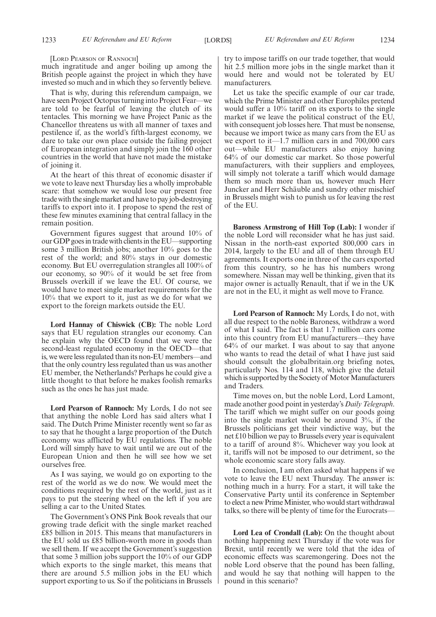[LORD PEARSON OF RANNOCH]

much ingratitude and anger boiling up among the British people against the project in which they have invested so much and in which they so fervently believe.

That is why, during this referendum campaign, we have seen Project Octopus turning into Project Fear—we are told to be fearful of leaving the clutch of its tentacles. This morning we have Project Panic as the Chancellor threatens us with all manner of taxes and pestilence if, as the world's fifth-largest economy, we dare to take our own place outside the failing project of European integration and simply join the 160 other countries in the world that have not made the mistake of joining it.

At the heart of this threat of economic disaster if we vote to leave next Thursday lies a wholly improbable scare: that somehow we would lose our present free trade with the single market and have to pay job-destroying tariffs to export into it. I propose to spend the rest of these few minutes examining that central fallacy in the remain position.

Government figures suggest that around 10% of our GDP goes in trade with clients in the EU—supporting some 3 million British jobs; another 10% goes to the rest of the world; and 80% stays in our domestic economy. But EU overregulation strangles all 100% of our economy, so 90% of it would be set free from Brussels overkill if we leave the EU. Of course, we would have to meet single market requirements for the 10% that we export to it, just as we do for what we export to the foreign markets outside the EU.

**Lord Hannay of Chiswick (CB):** The noble Lord says that EU regulation strangles our economy. Can he explain why the OECD found that we were the second-least regulated economy in the OECD—that is, we were less regulated than its non-EU members—and that the only country less regulated than us was another EU member, the Netherlands? Perhaps he could give a little thought to that before he makes foolish remarks such as the ones he has just made.

**Lord Pearson of Rannoch:** My Lords, I do not see that anything the noble Lord has said alters what I said. The Dutch Prime Minister recently went so far as to say that he thought a large proportion of the Dutch economy was afflicted by EU regulations. The noble Lord will simply have to wait until we are out of the European Union and then he will see how we set ourselves free.

As I was saying, we would go on exporting to the rest of the world as we do now. We would meet the conditions required by the rest of the world, just as it pays to put the steering wheel on the left if you are selling a car to the United States.

The Government's ONS Pink Book reveals that our growing trade deficit with the single market reached £85 billion in 2015. This means that manufacturers in the EU sold us £85 billion-worth more in goods than we sell them. If we accept the Government's suggestion that some 3 million jobs support the 10% of our GDP which exports to the single market, this means that there are around 5.5 million jobs in the EU which support exporting to us. So if the politicians in Brussels try to impose tariffs on our trade together, that would hit 2.5 million more jobs in the single market than it would here and would not be tolerated by EU manufacturers.

Let us take the specific example of our car trade, which the Prime Minister and other Europhiles pretend would suffer a 10% tariff on its exports to the single market if we leave the political construct of the EU, with consequent job losses here. That must be nonsense, because we import twice as many cars from the EU as we export to it—1.7 million cars in and 700,000 cars out—while EU manufacturers also enjoy having 64% of our domestic car market. So those powerful manufacturers, with their suppliers and employees, will simply not tolerate a tariff which would damage them so much more than us, however much Herr Juncker and Herr Schäuble and sundry other mischief in Brussels might wish to punish us for leaving the rest of the EU.

**Baroness Armstrong of Hill Top (Lab):** I wonder if the noble Lord will reconsider what he has just said. Nissan in the north-east exported 800,000 cars in 2014, largely to the EU and all of them through EU agreements. It exports one in three of the cars exported from this country, so he has his numbers wrong somewhere. Nissan may well be thinking, given that its major owner is actually Renault, that if we in the UK are not in the EU, it might as well move to France.

**Lord Pearson of Rannoch:** My Lords, I do not, with all due respect to the noble Baroness, withdraw a word of what I said. The fact is that 1.7 million cars come into this country from EU manufacturers—they have 64% of our market. I was about to say that anyone who wants to read the detail of what I have just said should consult the globalbritain.org briefing notes, particularly Nos. 114 and 118, which give the detail which is supported by the Society of Motor Manufacturers and Traders.

Time moves on, but the noble Lord, Lord Lamont, made another good point in yesterday's *Daily Telegraph*. The tariff which we might suffer on our goods going into the single market would be around 3%, if the Brussels politicians get their vindictive way, but the net £10 billion we pay to Brussels every year is equivalent to a tariff of around 8%. Whichever way you look at it, tariffs will not be imposed to our detriment, so the whole economic scare story falls away.

In conclusion, I am often asked what happens if we vote to leave the EU next Thursday. The answer is: nothing much in a hurry. For a start, it will take the Conservative Party until its conference in September to elect a new Prime Minister, who would start withdrawal talks, so there will be plenty of time for the Eurocrats—

**Lord Lea of Crondall (Lab):** On the thought about nothing happening next Thursday if the vote was for Brexit, until recently we were told that the idea of economic effects was scaremongering. Does not the noble Lord observe that the pound has been falling, and would he say that nothing will happen to the pound in this scenario?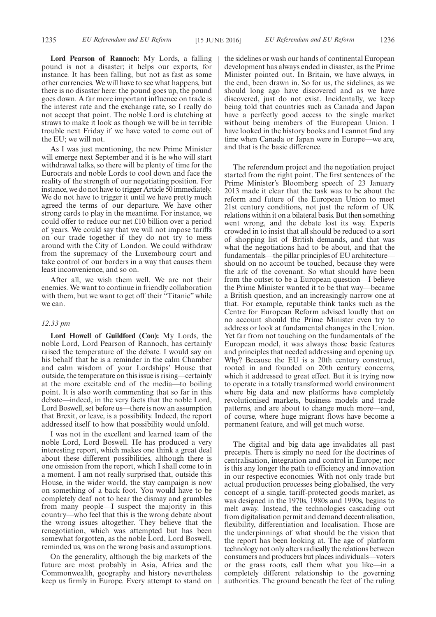**Lord Pearson of Rannoch:** My Lords, a falling pound is not a disaster; it helps our exports, for instance. It has been falling, but not as fast as some other currencies. We will have to see what happens, but there is no disaster here: the pound goes up, the pound goes down. A far more important influence on trade is the interest rate and the exchange rate, so I really do not accept that point. The noble Lord is clutching at straws to make it look as though we will be in terrible trouble next Friday if we have voted to come out of the EU; we will not.

As I was just mentioning, the new Prime Minister will emerge next September and it is he who will start withdrawal talks, so there will be plenty of time for the Eurocrats and noble Lords to cool down and face the reality of the strength of our negotiating position. For instance, we do not have to trigger Article 50 immediately. We do not have to trigger it until we have pretty much agreed the terms of our departure. We have other strong cards to play in the meantime. For instance, we could offer to reduce our net £10 billion over a period of years. We could say that we will not impose tariffs on our trade together if they do not try to mess around with the City of London. We could withdraw from the supremacy of the Luxembourg court and take control of our borders in a way that causes them least inconvenience, and so on.

After all, we wish them well. We are not their enemies. We want to continue in friendly collaboration with them, but we want to get off their "Titanic" while we can.

#### *12.33 pm*

**Lord Howell of Guildford (Con):** My Lords, the noble Lord, Lord Pearson of Rannoch, has certainly raised the temperature of the debate. I would say on his behalf that he is a reminder in the calm Chamber and calm wisdom of your Lordships' House that outside, the temperature on this issue is rising—certainly at the more excitable end of the media—to boiling point. It is also worth commenting that so far in this debate—indeed, in the very facts that the noble Lord, Lord Boswell, set before us—there is now an assumption that Brexit, or leave, is a possibility. Indeed, the report addressed itself to how that possibility would unfold.

I was not in the excellent and learned team of the noble Lord, Lord Boswell. He has produced a very interesting report, which makes one think a great deal about these different possibilities, although there is one omission from the report, which I shall come to in a moment. I am not really surprised that, outside this House, in the wider world, the stay campaign is now on something of a back foot. You would have to be completely deaf not to hear the dismay and grumbles from many people—I suspect the majority in this country—who feel that this is the wrong debate about the wrong issues altogether. They believe that the renegotiation, which was attempted but has been somewhat forgotten, as the noble Lord, Lord Boswell, reminded us, was on the wrong basis and assumptions.

On the generality, although the big markets of the future are most probably in Asia, Africa and the Commonwealth, geography and history nevertheless keep us firmly in Europe. Every attempt to stand on the sidelines or wash our hands of continental European development has always ended in disaster, as the Prime Minister pointed out. In Britain, we have always, in the end, been drawn in. So for us, the sidelines, as we should long ago have discovered and as we have discovered, just do not exist. Incidentally, we keep being told that countries such as Canada and Japan have a perfectly good access to the single market without being members of the European Union. I have looked in the history books and I cannot find any time when Canada or Japan were in Europe—we are, and that is the basic difference.

The referendum project and the negotiation project started from the right point. The first sentences of the Prime Minister's Bloomberg speech of 23 January 2013 made it clear that the task was to be about the reform and future of the European Union to meet 21st century conditions, not just the reform of UK relations within it on a bilateral basis. But then something went wrong, and the debate lost its way. Experts crowded in to insist that all should be reduced to a sort of shopping list of British demands, and that was what the negotiations had to be about, and that the fundamentals—the pillar principles of EU architecture should on no account be touched, because they were the ark of the covenant. So what should have been from the outset to be a European question—I believe the Prime Minister wanted it to be that way—became a British question, and an increasingly narrow one at that. For example, reputable think tanks such as the Centre for European Reform advised loudly that on no account should the Prime Minister even try to address or look at fundamental changes in the Union. Yet far from not touching on the fundamentals of the European model, it was always those basic features and principles that needed addressing and opening up. Why? Because the EU is a 20th century construct, rooted in and founded on 20th century concerns, which it addressed to great effect. But it is trying now to operate in a totally transformed world environment where big data and new platforms have completely revolutionised markets, business models and trade patterns, and are about to change much more—and, of course, where huge migrant flows have become a permanent feature, and will get much worse.

The digital and big data age invalidates all past precepts. There is simply no need for the doctrines of centralisation, integration and control in Europe; nor is this any longer the path to efficiency and innovation in our respective economies. With not only trade but actual production processes being globalised, the very concept of a single, tariff-protected goods market, as was designed in the 1970s, 1980s and 1990s, begins to melt away. Instead, the technologies cascading out from digitalisation permit and demand decentralisation, flexibility, differentiation and localisation. Those are the underpinnings of what should be the vision that the report has been looking at. The age of platform technology not only alters radically the relations between consumers and producers but places individuals—voters or the grass roots, call them what you like—in a completely different relationship to the governing authorities. The ground beneath the feet of the ruling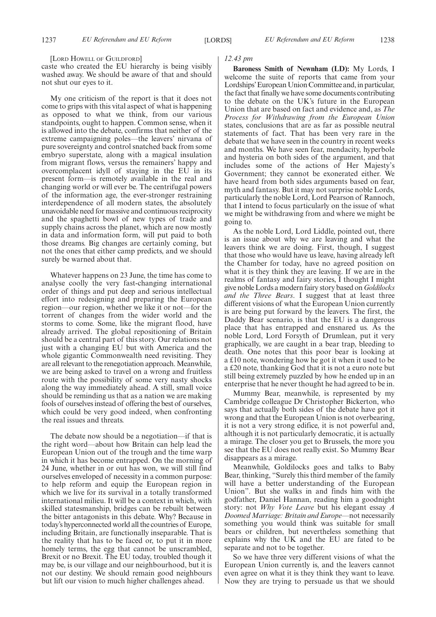[LORD HOWELL OF GUILDFORD]

caste who created the EU hierarchy is being visibly washed away. We should be aware of that and should not shut our eyes to it.

My one criticism of the report is that it does not come to grips with this vital aspect of what is happening as opposed to what we think, from our various standpoints, ought to happen. Common sense, when it is allowed into the debate, confirms that neither of the extreme campaigning poles—the leavers' nirvana of pure sovereignty and control snatched back from some embryo superstate, along with a magical insulation from migrant flows, versus the remainers' happy and overcomplacent idyll of staying in the EU in its present form—is remotely available in the real and changing world or will ever be. The centrifugal powers of the information age, the ever-stronger restraining interdependence of all modern states, the absolutely unavoidable need for massive and continuous reciprocity and the spaghetti bowl of new types of trade and supply chains across the planet, which are now mostly in data and information form, will put paid to both those dreams. Big changes are certainly coming, but not the ones that either camp predicts, and we should surely be warned about that.

Whatever happens on 23 June, the time has come to analyse coolly the very fast-changing international order of things and put deep and serious intellectual effort into redesigning and preparing the European region—our region, whether we like it or not—for the torrent of changes from the wider world and the storms to come. Some, like the migrant flood, have already arrived. The global repositioning of Britain should be a central part of this story. Our relations not just with a changing EU but with America and the whole gigantic Commonwealth need revisiting. They are all relevant to the renegotiation approach. Meanwhile, we are being asked to travel on a wrong and fruitless route with the possibility of some very nasty shocks along the way immediately ahead. A still, small voice should be reminding us that as a nation we are making fools of ourselves instead of offering the best of ourselves, which could be very good indeed, when confronting the real issues and threats.

The debate now should be a negotiation—if that is the right word—about how Britain can help lead the European Union out of the trough and the time warp in which it has become entrapped. On the morning of 24 June, whether in or out has won, we will still find ourselves enveloped of necessity in a common purpose: to help reform and equip the European region in which we live for its survival in a totally transformed international milieu. It will be a context in which, with skilled statesmanship, bridges can be rebuilt between the bitter antagonists in this debate. Why? Because in today's hyperconnected world all the countries of Europe, including Britain, are functionally inseparable. That is the reality that has to be faced or, to put it in more homely terms, the egg that cannot be unscrambled, Brexit or no Brexit. The EU today, troubled though it may be, is our village and our neighbourhood, but it is not our destiny. We should remain good neighbours but lift our vision to much higher challenges ahead.

#### *12.43 pm*

**Baroness Smith of Newnham (LD):** My Lords, I welcome the suite of reports that came from your Lordships'European Union Committee and, in particular, the fact that finally we have some documents contributing to the debate on the UK's future in the European Union that are based on fact and evidence and, as *The Process for Withdrawing from the European Union* states, conclusions that are as far as possible neutral statements of fact. That has been very rare in the debate that we have seen in the country in recent weeks and months. We have seen fear, mendacity, hyperbole and hysteria on both sides of the argument, and that includes some of the actions of Her Majesty's Government; they cannot be exonerated either. We have heard from both sides arguments based on fear, myth and fantasy. But it may not surprise noble Lords, particularly the noble Lord, Lord Pearson of Rannoch, that I intend to focus particularly on the issue of what we might be withdrawing from and where we might be going to.

As the noble Lord, Lord Liddle, pointed out, there is an issue about why we are leaving and what the leavers think we are doing. First, though, I suggest that those who would have us leave, having already left the Chamber for today, have no agreed position on what it is they think they are leaving. If we are in the realms of fantasy and fairy stories, I thought I might give noble Lords a modern fairy story based on *Goldilocks and the Three Bears*. I suggest that at least three different visions of what the European Union currently is are being put forward by the leavers. The first, the Daddy Bear scenario, is that the EU is a dangerous place that has entrapped and ensnared us. As the noble Lord, Lord Forsyth of Drumlean, put it very graphically, we are caught in a bear trap, bleeding to death. One notes that this poor bear is looking at a £10 note, wondering how he got it when it used to be a £20 note, thanking God that it is not a euro note but still being extremely puzzled by how he ended up in an enterprise that he never thought he had agreed to be in.

Mummy Bear, meanwhile, is represented by my Cambridge colleague Dr Christopher Bickerton, who says that actually both sides of the debate have got it wrong and that the European Union is not overbearing, it is not a very strong edifice, it is not powerful and, although it is not particularly democratic, it is actually a mirage. The closer you get to Brussels, the more you see that the EU does not really exist. So Mummy Bear disappears as a mirage.

Meanwhile, Goldilocks goes and talks to Baby Bear, thinking, "Surely this third member of the family will have a better understanding of the European Union". But she walks in and finds him with the godfather, Daniel Hannan, reading him a goodnight story: not *Why Vote Leave* but his elegant essay *A Doomed Marriage: Britain and Europe*—not necessarily something you would think was suitable for small bears or children, but nevertheless something that explains why the UK and the EU are fated to be separate and not to be together.

So we have three very different visions of what the European Union currently is, and the leavers cannot even agree on what it is they think they want to leave. Now they are trying to persuade us that we should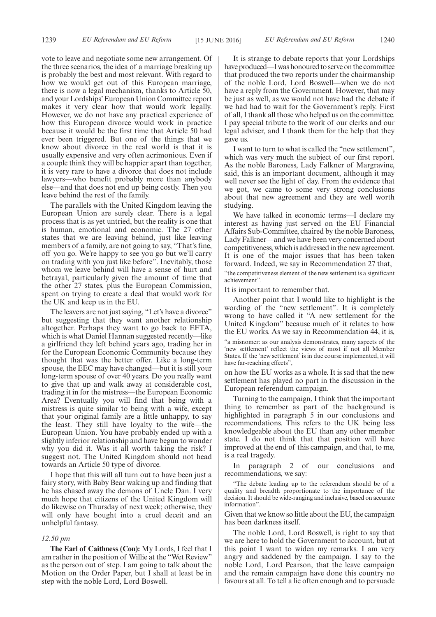vote to leave and negotiate some new arrangement. Of the three scenarios, the idea of a marriage breaking up is probably the best and most relevant. With regard to how we would get out of this European marriage, there is now a legal mechanism, thanks to Article 50, and your Lordships'European Union Committee report makes it very clear how that would work legally. However, we do not have any practical experience of how this European divorce would work in practice because it would be the first time that Article 50 had ever been triggered. But one of the things that we know about divorce in the real world is that it is usually expensive and very often acrimonious. Even if a couple think they will be happier apart than together, it is very rare to have a divorce that does not include lawyers—who benefit probably more than anybody else—and that does not end up being costly. Then you leave behind the rest of the family.

The parallels with the United Kingdom leaving the European Union are surely clear. There is a legal process that is as yet untried, but the reality is one that is human, emotional and economic. The 27 other states that we are leaving behind, just like leaving members of a family, are not going to say, "That's fine, off you go. We're happy to see you go but we'll carry on trading with you just like before". Inevitably, those whom we leave behind will have a sense of hurt and betrayal, particularly given the amount of time that the other 27 states, plus the European Commission, spent on trying to create a deal that would work for the UK and keep us in the EU.

The leavers are not just saying, "Let's have a divorce" but suggesting that they want another relationship altogether. Perhaps they want to go back to EFTA, which is what Daniel Hannan suggested recently—like a girlfriend they left behind years ago, trading her in for the European Economic Community because they thought that was the better offer. Like a long-term spouse, the EEC may have changed—but it is still your long-term spouse of over 40 years. Do you really want to give that up and walk away at considerable cost, trading it in for the mistress—the European Economic Area? Eventually you will find that being with a mistress is quite similar to being with a wife, except that your original family are a little unhappy, to say the least. They still have loyalty to the wife—the European Union. You have probably ended up with a slightly inferior relationship and have begun to wonder why you did it. Was it all worth taking the risk? I suggest not. The United Kingdom should not head towards an Article 50 type of divorce.

I hope that this will all turn out to have been just a fairy story, with Baby Bear waking up and finding that he has chased away the demons of Uncle Dan. I very much hope that citizens of the United Kingdom will do likewise on Thursday of next week; otherwise, they will only have bought into a cruel deceit and an unhelpful fantasy.

#### *12.50 pm*

**The Earl of Caithness (Con):** My Lords, I feel that I am rather in the position of Willie at the "Wet Review" as the person out of step. I am going to talk about the Motion on the Order Paper, but I shall at least be in step with the noble Lord, Lord Boswell.

It is strange to debate reports that your Lordships have produced—I was honoured to serve on the committee that produced the two reports under the chairmanship of the noble Lord, Lord Boswell—when we do not have a reply from the Government. However, that may be just as well, as we would not have had the debate if we had had to wait for the Government's reply. First of all, I thank all those who helped us on the committee. I pay special tribute to the work of our clerks and our legal adviser, and I thank them for the help that they gave us.

I want to turn to what is called the "new settlement", which was very much the subject of our first report. As the noble Baroness, Lady Falkner of Margravine, said, this is an important document, although it may well never see the light of day. From the evidence that we got, we came to some very strong conclusions about that new agreement and they are well worth studying.

We have talked in economic terms—I declare my interest as having just served on the EU Financial Affairs Sub-Committee, chaired by the noble Baroness, Lady Falkner—and we have been very concerned about competitiveness, which is addressed in the new agreement. It is one of the major issues that has been taken forward. Indeed, we say in Recommendation 27 that, "the competitiveness element of the new settlement is a significant achievement".

It is important to remember that.

Another point that I would like to highlight is the wording of the "new settlement". It is completely wrong to have called it "A new settlement for the United Kingdom" because much of it relates to how the EU works. As we say in Recommendation 44, it is, "a misnomer: as our analysis demonstrates, many aspects of the 'new settlement' reflect the views of most if not all Member States. If the 'new settlement' is in due course implemented, it will have far-reaching effects",

on how the EU works as a whole. It is sad that the new settlement has played no part in the discussion in the European referendum campaign.

Turning to the campaign, I think that the important thing to remember as part of the background is highlighted in paragraph 5 in our conclusions and recommendations. This refers to the UK being less knowledgeable about the EU than any other member state. I do not think that that position will have improved at the end of this campaign, and that, to me, is a real tragedy.

In paragraph 2 of our conclusions and recommendations, we say:

"The debate leading up to the referendum should be of a quality and breadth proportionate to the importance of the decision. It should be wide-ranging and inclusive, based on accurate information".

Given that we know so little about the EU, the campaign has been darkness itself.

The noble Lord, Lord Boswell, is right to say that we are here to hold the Government to account, but at this point I want to widen my remarks. I am very angry and saddened by the campaign. I say to the noble Lord, Lord Pearson, that the leave campaign and the remain campaign have done this country no favours at all. To tell a lie often enough and to persuade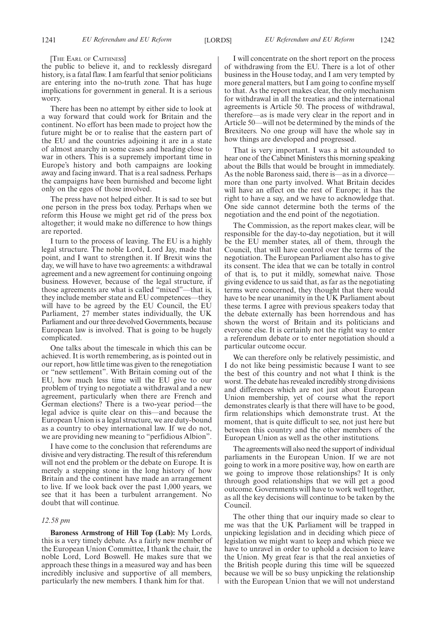#### [THE EARL OF CAITHNESS]

the public to believe it, and to recklessly disregard history, is a fatal flaw. I am fearful that senior politicians are entering into the no-truth zone. That has huge implications for government in general. It is a serious worry.

There has been no attempt by either side to look at a way forward that could work for Britain and the continent. No effort has been made to project how the future might be or to realise that the eastern part of the EU and the countries adjoining it are in a state of almost anarchy in some cases and heading close to war in others. This is a supremely important time in Europe's history and both campaigns are looking away and facing inward. That is a real sadness. Perhaps the campaigns have been burnished and become light only on the egos of those involved.

The press have not helped either. It is sad to see but one person in the press box today. Perhaps when we reform this House we might get rid of the press box altogether; it would make no difference to how things are reported.

I turn to the process of leaving. The EU is a highly legal structure. The noble Lord, Lord Jay, made that point, and I want to strengthen it. If Brexit wins the day, we will have to have two agreements: a withdrawal agreement and a new agreement for continuing ongoing business. However, because of the legal structure, if those agreements are what is called "mixed"—that is, they include member state and EU competences—they will have to be agreed by the EU Council, the EU Parliament, 27 member states individually, the UK Parliament and our three devolved Governments, because European law is involved. That is going to be hugely complicated.

One talks about the timescale in which this can be achieved. It is worth remembering, as is pointed out in our report, how little time was given to the renegotiation or "new settlement". With Britain coming out of the EU, how much less time will the EU give to our problem of trying to negotiate a withdrawal and a new agreement, particularly when there are French and German elections? There is a two-year period—the legal advice is quite clear on this—and because the European Union is a legal structure, we are duty-bound as a country to obey international law. If we do not, we are providing new meaning to "perfidious Albion".

I have come to the conclusion that referendums are divisive and very distracting. The result of this referendum will not end the problem or the debate on Europe. It is merely a stepping stone in the long history of how Britain and the continent have made an arrangement to live. If we look back over the past 1,000 years, we see that it has been a turbulent arrangement. No doubt that will continue.

#### *12.58 pm*

**Baroness Armstrong of Hill Top (Lab):** My Lords, this is a very timely debate. As a fairly new member of the European Union Committee, I thank the chair, the noble Lord, Lord Boswell. He makes sure that we approach these things in a measured way and has been incredibly inclusive and supportive of all members, particularly the new members. I thank him for that.

I will concentrate on the short report on the process of withdrawing from the EU. There is a lot of other business in the House today, and I am very tempted by more general matters, but I am going to confine myself to that. As the report makes clear, the only mechanism for withdrawal in all the treaties and the international agreements is Article 50. The process of withdrawal, therefore—as is made very clear in the report and in Article 50—will not be determined by the minds of the Brexiteers. No one group will have the whole say in how things are developed and progressed.

That is very important. I was a bit astounded to hear one of the Cabinet Ministers this morning speaking about the Bills that would be brought in immediately. As the noble Baroness said, there is—as in a divorce more than one party involved. What Britain decides will have an effect on the rest of Europe; it has the right to have a say, and we have to acknowledge that. One side cannot determine both the terms of the negotiation and the end point of the negotiation.

The Commission, as the report makes clear, will be responsible for the day-to-day negotiation, but it will be the EU member states, all of them, through the Council, that will have control over the terms of the negotiation. The European Parliament also has to give its consent. The idea that we can be totally in control of that is, to put it mildly, somewhat naive. Those giving evidence to us said that, as far as the negotiating terms were concerned, they thought that there would have to be near unanimity in the UK Parliament about these terms. I agree with previous speakers today that the debate externally has been horrendous and has shown the worst of Britain and its politicians and everyone else. It is certainly not the right way to enter a referendum debate or to enter negotiation should a particular outcome occur.

We can therefore only be relatively pessimistic, and I do not like being pessimistic because I want to see the best of this country and not what I think is the worst. The debate has revealed incredibly strong divisions and differences which are not just about European Union membership, yet of course what the report demonstrates clearly is that there will have to be good, firm relationships which demonstrate trust. At the moment, that is quite difficult to see, not just here but between this country and the other members of the European Union as well as the other institutions.

The agreements will also need the support of individual parliaments in the European Union. If we are not going to work in a more positive way, how on earth are we going to improve those relationships? It is only through good relationships that we will get a good outcome. Governments will have to work well together, as all the key decisions will continue to be taken by the Council.

The other thing that our inquiry made so clear to me was that the UK Parliament will be trapped in unpicking legislation and in deciding which piece of legislation we might want to keep and which piece we have to unravel in order to uphold a decision to leave the Union. My great fear is that the real anxieties of the British people during this time will be squeezed because we will be so busy unpicking the relationship with the European Union that we will not understand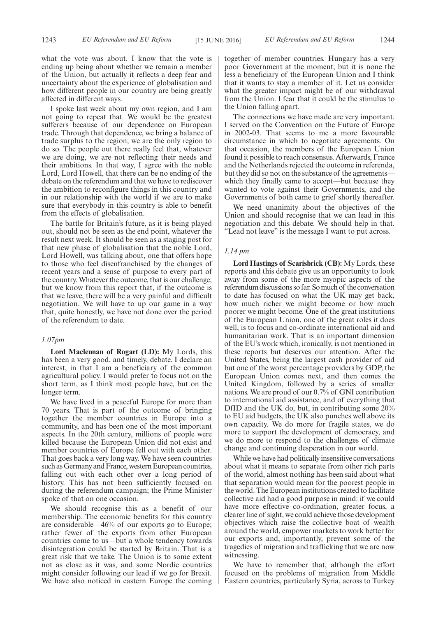what the vote was about. I know that the vote is ending up being about whether we remain a member of the Union, but actually it reflects a deep fear and uncertainty about the experience of globalisation and how different people in our country are being greatly affected in different ways.

I spoke last week about my own region, and I am not going to repeat that. We would be the greatest sufferers because of our dependence on European trade. Through that dependence, we bring a balance of trade surplus to the region; we are the only region to do so. The people out there really feel that, whatever we are doing, we are not reflecting their needs and their ambitions. In that way, I agree with the noble Lord, Lord Howell, that there can be no ending of the debate on the referendum and that we have to rediscover the ambition to reconfigure things in this country and in our relationship with the world if we are to make sure that everybody in this country is able to benefit from the effects of globalisation.

The battle for Britain's future, as it is being played out, should not be seen as the end point, whatever the result next week. It should be seen as a staging post for that new phase of globalisation that the noble Lord, Lord Howell, was talking about, one that offers hope to those who feel disenfranchised by the changes of recent years and a sense of purpose to every part of the country. Whatever the outcome, that is our challenge; but we know from this report that, if the outcome is that we leave, there will be a very painful and difficult negotiation. We will have to up our game in a way that, quite honestly, we have not done over the period of the referendum to date.

#### *1.07pm*

**Lord Maclennan of Rogart (LD):** My Lords, this has been a very good, and timely, debate. I declare an interest, in that I am a beneficiary of the common agricultural policy. I would prefer to focus not on the short term, as I think most people have, but on the longer term.

We have lived in a peaceful Europe for more than 70 years. That is part of the outcome of bringing together the member countries in Europe into a community, and has been one of the most important aspects. In the 20th century, millions of people were killed because the European Union did not exist and member countries of Europe fell out with each other. That goes back a very long way. We have seen countries such as Germany and France, western European countries, falling out with each other over a long period of history. This has not been sufficiently focused on during the referendum campaign; the Prime Minister spoke of that on one occasion.

We should recognise this as a benefit of our membership. The economic benefits for this country are considerable—46% of our exports go to Europe; rather fewer of the exports from other European countries come to us—but a whole tendency towards disintegration could be started by Britain. That is a great risk that we take. The Union is to some extent not as close as it was, and some Nordic countries might consider following our lead if we go for Brexit. We have also noticed in eastern Europe the coming together of member countries. Hungary has a very poor Government at the moment, but it is none the less a beneficiary of the European Union and I think that it wants to stay a member of it. Let us consider what the greater impact might be of our withdrawal from the Union. I fear that it could be the stimulus to the Union falling apart.

The connections we have made are very important. I served on the Convention on the Future of Europe in 2002-03. That seems to me a more favourable circumstance in which to negotiate agreements. On that occasion, the members of the European Union found it possible to reach consensus. Afterwards, France and the Netherlands rejected the outcome in referenda, but they did so not on the substance of the agreements which they finally came to accept—but because they wanted to vote against their Governments, and the Governments of both came to grief shortly thereafter.

We need unanimity about the objectives of the Union and should recognise that we can lead in this negotiation and this debate. We should help in that. "Lead not leave" is the message I want to put across.

#### *1.14 pm*

**Lord Hastings of Scarisbrick (CB):** My Lords, these reports and this debate give us an opportunity to look away from some of the more myopic aspects of the referendum discussions so far. So much of the conversation to date has focused on what the UK may get back, how much richer we might become or how much poorer we might become. One of the great institutions of the European Union, one of the great roles it does well, is to focus and co-ordinate international aid and humanitarian work. That is an important dimension of the EU's work which, ironically, is not mentioned in these reports but deserves our attention. After the United States, being the largest cash provider of aid but one of the worst percentage providers by GDP, the European Union comes next, and then comes the United Kingdom, followed by a series of smaller nations. We are proud of our 0.7% of GNI contribution to international aid assistance, and of everything that DfID and the UK do, but, in contributing some 20% to EU aid budgets, the UK also punches well above its own capacity. We do more for fragile states, we do more to support the development of democracy, and we do more to respond to the challenges of climate change and continuing desperation in our world.

While we have had politically insensitive conversations about what it means to separate from other rich parts of the world, almost nothing has been said about what that separation would mean for the poorest people in the world. The European institutions created to facilitate collective aid had a good purpose in mind: if we could have more effective co-ordination, greater focus, a clearer line of sight, we could achieve those development objectives which raise the collective boat of wealth around the world, empower markets to work better for our exports and, importantly, prevent some of the tragedies of migration and trafficking that we are now witnessing.

We have to remember that, although the effort focused on the problems of migration from Middle Eastern countries, particularly Syria, across to Turkey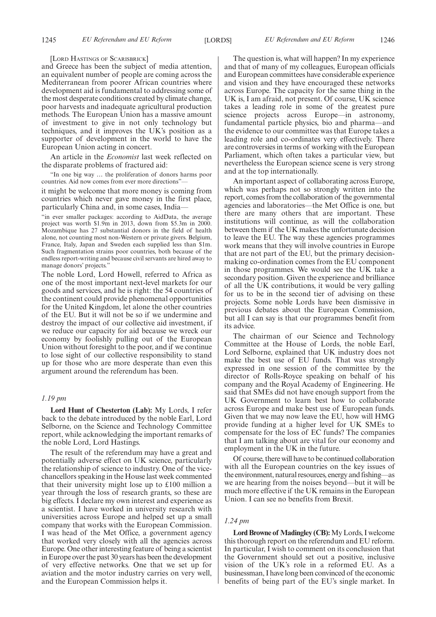[LORD HASTINGS OF SCARISBRICK]

and Greece has been the subject of media attention, an equivalent number of people are coming across the Mediterranean from poorer African countries where development aid is fundamental to addressing some of the most desperate conditions created by climate change, poor harvests and inadequate agricultural production methods. The European Union has a massive amount of investment to give in not only technology but techniques, and it improves the UK's position as a supporter of development in the world to have the European Union acting in concert.

An article in the *Economist* last week reflected on the disparate problems of fractured aid:

"In one big way … the proliferation of donors harms poor countries. Aid now comes from ever more directions"—

it might be welcome that more money is coming from countries which never gave money in the first place, particularly China and, in some cases, India—

"in ever smaller packages: according to AidData, the average project was worth \$1.9m in 2013, down from \$5.3m in 2000. Mozambique has 27 substantial donors in the field of health alone, not counting most non-Western or private givers. Belgium, France, Italy, Japan and Sweden each supplied less than \$1m. Such fragmentation strains poor countries, both because of the endless report-writing and because civil servants are hired away to manage donors' projects."

The noble Lord, Lord Howell, referred to Africa as one of the most important next-level markets for our goods and services, and he is right: the 54 countries of the continent could provide phenomenal opportunities for the United Kingdom, let alone the other countries of the EU. But it will not be so if we undermine and destroy the impact of our collective aid investment, if we reduce our capacity for aid because we wreck our economy by foolishly pulling out of the European Union without foresight to the poor, and if we continue to lose sight of our collective responsibility to stand up for those who are more desperate than even this argument around the referendum has been.

#### *1.19 pm*

**Lord Hunt of Chesterton (Lab):** My Lords, I refer back to the debate introduced by the noble Earl, Lord Selborne, on the Science and Technology Committee report, while acknowledging the important remarks of the noble Lord, Lord Hastings.

The result of the referendum may have a great and potentially adverse effect on UK science, particularly the relationship of science to industry. One of the vicechancellors speaking in the House last week commented that their university might lose up to £100 million a year through the loss of research grants, so these are big effects. I declare my own interest and experience as a scientist. I have worked in university research with universities across Europe and helped set up a small company that works with the European Commission. I was head of the Met Office, a government agency that worked very closely with all the agencies across Europe. One other interesting feature of being a scientist in Europe over the past 30 years has been the development of very effective networks. One that we set up for aviation and the motor industry carries on very well, and the European Commission helps it.

The question is, what will happen? In my experience and that of many of my colleagues, European officials and European committees have considerable experience and vision and they have encouraged these networks across Europe. The capacity for the same thing in the UK is, I am afraid, not present. Of course, UK science takes a leading role in some of the greatest pure science projects across Europe—in astronomy, fundamental particle physics, bio and pharma—and the evidence to our committee was that Europe takes a leading role and co-ordinates very effectively. There are controversies in terms of working with the European Parliament, which often takes a particular view, but nevertheless the European science scene is very strong and at the top internationally.

An important aspect of collaborating across Europe, which was perhaps not so strongly written into the report, comes from the collaboration of the governmental agencies and laboratories—the Met Office is one, but there are many others that are important. These institutions will continue, as will the collaboration between them if the UK makes the unfortunate decision to leave the EU. The way these agencies programmes work means that they will involve countries in Europe that are not part of the EU, but the primary decisionmaking co-ordination comes from the EU component in those programmes. We would see the UK take a secondary position. Given the experience and brilliance of all the UK contributions, it would be very galling for us to be in the second tier of advising on these projects. Some noble Lords have been dismissive in previous debates about the European Commission, but all I can say is that our programmes benefit from its advice.

The chairman of our Science and Technology Committee at the House of Lords, the noble Earl, Lord Selborne, explained that UK industry does not make the best use of EU funds. That was strongly expressed in one session of the committee by the director of Rolls-Royce speaking on behalf of his company and the Royal Academy of Engineering. He said that SMEs did not have enough support from the UK Government to learn best how to collaborate across Europe and make best use of European funds. Given that we may now leave the EU, how will HMG provide funding at a higher level for UK SMEs to compensate for the loss of EC funds? The companies that I am talking about are vital for our economy and employment in the UK in the future.

Of course, there will have to be continued collaboration with all the European countries on the key issues of the environment, natural resources, energy and fishing—as we are hearing from the noises beyond—but it will be much more effective if the UK remains in the European Union. I can see no benefits from Brexit.

#### *1.24 pm*

**Lord Browne of Madingley (CB):**My Lords, I welcome this thorough report on the referendum and EU reform. In particular, I wish to comment on its conclusion that the Government should set out a positive, inclusive vision of the UK's role in a reformed EU. As a businessman, I have long been convinced of the economic benefits of being part of the EU's single market. In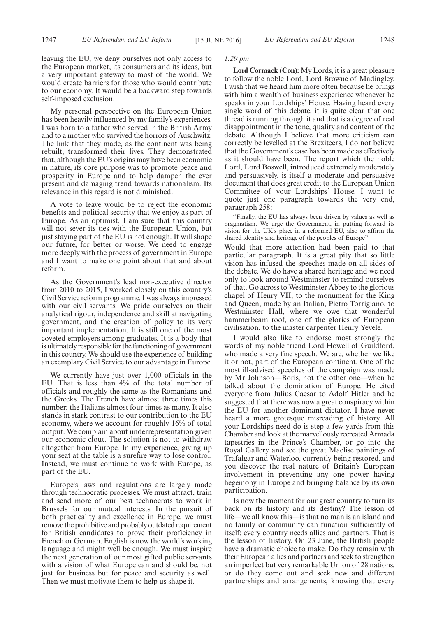leaving the EU, we deny ourselves not only access to the European market, its consumers and its ideas, but a very important gateway to most of the world. We would create barriers for those who would contribute to our economy. It would be a backward step towards self-imposed exclusion.

My personal perspective on the European Union has been heavily influenced by my family's experiences. I was born to a father who served in the British Army and to a mother who survived the horrors of Auschwitz. The link that they made, as the continent was being rebuilt, transformed their lives. They demonstrated that, although the EU's origins may have been economic in nature, its core purpose was to promote peace and prosperity in Europe and to help dampen the ever present and damaging trend towards nationalism. Its relevance in this regard is not diminished.

A vote to leave would be to reject the economic benefits and political security that we enjoy as part of Europe. As an optimist, I am sure that this country will not sever its ties with the European Union, but just staying part of the EU is not enough. It will shape our future, for better or worse. We need to engage more deeply with the process of government in Europe and I want to make one point about that and about reform.

As the Government's lead non-executive director from 2010 to 2015, I worked closely on this country's Civil Service reform programme. I was always impressed with our civil servants. We pride ourselves on their analytical rigour, independence and skill at navigating government, and the creation of policy to its very important implementation. It is still one of the most coveted employers among graduates. It is a body that is ultimately responsible for the functioning of government in this country. We should use the experience of building an exemplary Civil Service to our advantage in Europe.

We currently have just over 1,000 officials in the EU. That is less than 4% of the total number of officials and roughly the same as the Romanians and the Greeks. The French have almost three times this number; the Italians almost four times as many. It also stands in stark contrast to our contribution to the EU economy, where we account for roughly 16% of total output. We complain about underrepresentation given our economic clout. The solution is not to withdraw altogether from Europe. In my experience, giving up your seat at the table is a surefire way to lose control. Instead, we must continue to work with Europe, as part of the EU.

Europe's laws and regulations are largely made through technocratic processes. We must attract, train and send more of our best technocrats to work in Brussels for our mutual interests. In the pursuit of both practicality and excellence in Europe, we must remove the prohibitive and probably outdated requirement for British candidates to prove their proficiency in French or German. English is now the world's working language and might well be enough. We must inspire the next generation of our most gifted public servants with a vision of what Europe can and should be, not just for business but for peace and security as well. Then we must motivate them to help us shape it.

#### *1.29 pm*

**Lord Cormack (Con):** My Lords, it is a great pleasure to follow the noble Lord, Lord Browne of Madingley. I wish that we heard him more often because he brings with him a wealth of business experience whenever he speaks in your Lordships' House. Having heard every single word of this debate, it is quite clear that one thread is running through it and that is a degree of real disappointment in the tone, quality and content of the debate. Although I believe that more criticism can correctly be levelled at the Brexiteers, I do not believe that the Government's case has been made as effectively as it should have been. The report which the noble Lord, Lord Boswell, introduced extremely moderately and persuasively, is itself a moderate and persuasive document that does great credit to the European Union Committee of your Lordships' House. I want to quote just one paragraph towards the very end, paragraph 258:

"Finally, the EU has always been driven by values as well as pragmatism. We urge the Government, in putting forward its vision for the UK's place in a reformed EU, also to affirm the shared identity and heritage of the peoples of Europe".

Would that more attention had been paid to that particular paragraph. It is a great pity that so little vision has infused the speeches made on all sides of the debate. We do have a shared heritage and we need only to look around Westminster to remind ourselves of that. Go across to Westminster Abbey to the glorious chapel of Henry VII, to the monument for the King and Queen, made by an Italian, Pietro Torrigiano, to Westminster Hall, where we owe that wonderful hammerbeam roof, one of the glories of European civilisation, to the master carpenter Henry Yevele.

I would also like to endorse most strongly the words of my noble friend Lord Howell of Guildford, who made a very fine speech. We are, whether we like it or not, part of the European continent. One of the most ill-advised speeches of the campaign was made by Mr Johnson—Boris, not the other one—when he talked about the domination of Europe. He cited everyone from Julius Caesar to Adolf Hitler and he suggested that there was now a great conspiracy within the EU for another dominant dictator. I have never heard a more grotesque misreading of history. All your Lordships need do is step a few yards from this Chamber and look at the marvellously recreated Armada tapestries in the Prince's Chamber, or go into the Royal Gallery and see the great Maclise paintings of Trafalgar and Waterloo, currently being restored, and you discover the real nature of Britain's European involvement in preventing any one power having hegemony in Europe and bringing balance by its own participation.

Is now the moment for our great country to turn its back on its history and its destiny? The lesson of life—we all know this—is that no man is an island and no family or community can function sufficiently of itself; every country needs allies and partners. That is the lesson of history. On 23 June, the British people have a dramatic choice to make. Do they remain with their European allies and partners and seek to strengthen an imperfect but very remarkable Union of 28 nations, or do they come out and seek new and different partnerships and arrangements, knowing that every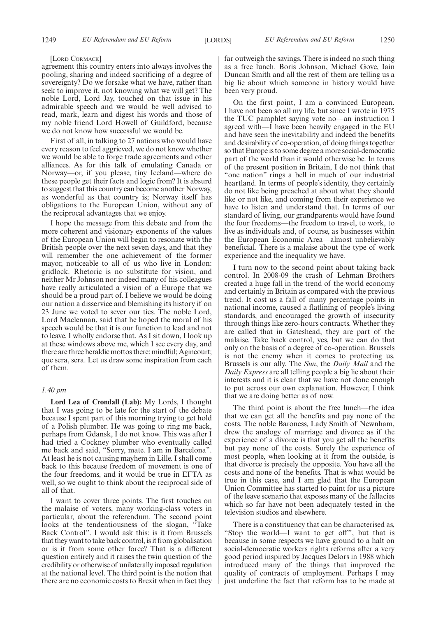#### [LORD CORMACK]

agreement this country enters into always involves the pooling, sharing and indeed sacrificing of a degree of sovereignty? Do we forsake what we have, rather than seek to improve it, not knowing what we will get? The noble Lord, Lord Jay, touched on that issue in his admirable speech and we would be well advised to read, mark, learn and digest his words and those of my noble friend Lord Howell of Guildford, because we do not know how successful we would be.

First of all, in talking to 27 nations who would have every reason to feel aggrieved, we do not know whether we would be able to forge trade agreements and other alliances. As for this talk of emulating Canada or Norway—or, if you please, tiny Iceland—where do these people get their facts and logic from? It is absurd to suggest that this country can become another Norway, as wonderful as that country is; Norway itself has obligations to the European Union, without any of the reciprocal advantages that we enjoy.

I hope the message from this debate and from the more coherent and visionary exponents of the values of the European Union will begin to resonate with the British people over the next seven days, and that they will remember the one achievement of the former mayor, noticeable to all of us who live in London: gridlock. Rhetoric is no substitute for vision, and neither Mr Johnson nor indeed many of his colleagues have really articulated a vision of a Europe that we should be a proud part of. I believe we would be doing our nation a disservice and blemishing its history if on 23 June we voted to sever our ties. The noble Lord, Lord Maclennan, said that he hoped the moral of his speech would be that it is our function to lead and not to leave. I wholly endorse that. As I sit down, I look up at these windows above me, which I see every day, and there are three heraldic mottos there: mindful; Agincourt; que sera, sera. Let us draw some inspiration from each of them.

#### *1.40 pm*

**Lord Lea of Crondall (Lab):** My Lords, I thought that I was going to be late for the start of the debate because I spent part of this morning trying to get hold of a Polish plumber. He was going to ring me back, perhaps from Gdansk, I do not know. This was after I had tried a Cockney plumber who eventually called me back and said, "Sorry, mate. I am in Barcelona". At least he is not causing mayhem in Lille. I shall come back to this because freedom of movement is one of the four freedoms, and it would be true in EFTA as well, so we ought to think about the reciprocal side of all of that.

I want to cover three points. The first touches on the malaise of voters, many working-class voters in particular, about the referendum. The second point looks at the tendentiousness of the slogan, "Take Back Control". I would ask this: is it from Brussels that they want to take back control, is it from globalisation or is it from some other force? That is a different question entirely and it raises the twin question of the credibility or otherwise of unilaterally imposed regulation at the national level. The third point is the notion that there are no economic costs to Brexit when in fact they far outweigh the savings. There is indeed no such thing as a free lunch. Boris Johnson, Michael Gove, Iain Duncan Smith and all the rest of them are telling us a big lie about which someone in history would have been very proud.

On the first point, I am a convinced European. I have not been so all my life, but since I wrote in 1975 the TUC pamphlet saying vote no—an instruction I agreed with—I have been heavily engaged in the EU and have seen the inevitability and indeed the benefits and desirability of co-operation, of doing things together so that Europe is to some degree a more social-democratic part of the world than it would otherwise be. In terms of the present position in Britain, I do not think that "one nation" rings a bell in much of our industrial heartland. In terms of people's identity, they certainly do not like being preached at about what they should like or not like, and coming from their experience we have to listen and understand that. In terms of our standard of living, our grandparents would have found the four freedoms—the freedom to travel, to work, to live as individuals and, of course, as businesses within the European Economic Area—almost unbelievably beneficial. There is a malaise about the type of work experience and the inequality we have.

I turn now to the second point about taking back control. In 2008-09 the crash of Lehman Brothers created a huge fall in the trend of the world economy and certainly in Britain as compared with the previous trend. It cost us a fall of many percentage points in national income, caused a flatlining of people's living standards, and encouraged the growth of insecurity through things like zero-hours contracts. Whether they are called that in Gateshead, they are part of the malaise. Take back control, yes, but we can do that only on the basis of a degree of co-operation. Brussels is not the enemy when it comes to protecting us. Brussels is our ally. The *Sun*, the *Daily Mail* and the *Daily Express* are all telling people a big lie about their interests and it is clear that we have not done enough to put across our own explanation. However, I think that we are doing better as of now.

The third point is about the free lunch—the idea that we can get all the benefits and pay none of the costs. The noble Baroness, Lady Smith of Newnham, drew the analogy of marriage and divorce as if the experience of a divorce is that you get all the benefits but pay none of the costs. Surely the experience of most people, when looking at it from the outside, is that divorce is precisely the opposite. You have all the costs and none of the benefits. That is what would be true in this case, and I am glad that the European Union Committee has started to paint for us a picture of the leave scenario that exposes many of the fallacies which so far have not been adequately tested in the television studios and elsewhere.

There is a constituency that can be characterised as, "Stop the world—I want to get off", but that is because in some respects we have ground to a halt on social-democratic workers rights reforms after a very good period inspired by Jacques Delors in 1988 which introduced many of the things that improved the quality of contracts of employment. Perhaps I may just underline the fact that reform has to be made at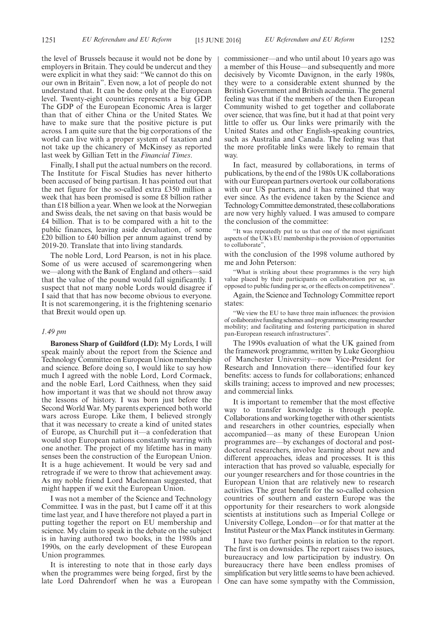the level of Brussels because it would not be done by employers in Britain. They could be undercut and they were explicit in what they said: "We cannot do this on our own in Britain". Even now, a lot of people do not understand that. It can be done only at the European level. Twenty-eight countries represents a big GDP. The GDP of the European Economic Area is larger than that of either China or the United States. We have to make sure that the positive picture is put across. I am quite sure that the big corporations of the world can live with a proper system of taxation and not take up the chicanery of McKinsey as reported last week by Gillian Tett in the *Financial Times*.

Finally, I shall put the actual numbers on the record. The Institute for Fiscal Studies has never hitherto been accused of being partisan. It has pointed out that the net figure for the so-called extra £350 million a week that has been promised is some £8 billion rather than £18 billion a year. When we look at the Norwegian and Swiss deals, the net saving on that basis would be £4 billion. That is to be compared with a hit to the public finances, leaving aside devaluation, of some £20 billion to £40 billion per annum against trend by 2019-20. Translate that into living standards.

The noble Lord, Lord Pearson, is not in his place. Some of us were accused of scaremongering when we—along with the Bank of England and others—said that the value of the pound would fall significantly. I suspect that not many noble Lords would disagree if I said that that has now become obvious to everyone. It is not scaremongering, it is the frightening scenario that Brexit would open up.

# *1.49 pm*

**Baroness Sharp of Guildford (LD):** My Lords, I will speak mainly about the report from the Science and Technology Committee on European Union membership and science. Before doing so, I would like to say how much I agreed with the noble Lord, Lord Cormack, and the noble Earl, Lord Caithness, when they said how important it was that we should not throw away the lessons of history. I was born just before the Second World War. My parents experienced both world wars across Europe. Like them, I believed strongly that it was necessary to create a kind of united states of Europe, as Churchill put it—a confederation that would stop European nations constantly warring with one another. The project of my lifetime has in many senses been the construction of the European Union. It is a huge achievement. It would be very sad and retrograde if we were to throw that achievement away. As my noble friend Lord Maclennan suggested, that might happen if we exit the European Union.

I was not a member of the Science and Technology Committee. I was in the past, but I came off it at this time last year, and I have therefore not played a part in putting together the report on EU membership and science. My claim to speak in the debate on the subject is in having authored two books, in the 1980s and 1990s, on the early development of these European Union programmes.

It is interesting to note that in those early days when the programmes were being forged, first by the late Lord Dahrendorf when he was a European commissioner—and who until about 10 years ago was a member of this House—and subsequently and more decisively by Vicomte Davignon, in the early 1980s, they were to a considerable extent shunned by the British Government and British academia. The general feeling was that if the members of the then European Community wished to get together and collaborate over science, that was fine, but it had at that point very little to offer us. Our links were primarily with the United States and other English-speaking countries, such as Australia and Canada. The feeling was that the more profitable links were likely to remain that way.

In fact, measured by collaborations, in terms of publications, by the end of the 1980s UK collaborations with our European partners overtook our collaborations with our US partners, and it has remained that way ever since. As the evidence taken by the Science and Technology Committee demonstrated, these collaborations are now very highly valued. I was amused to compare the conclusion of the committee:

"It was repeatedly put to us that one of the most significant aspects of the UK's EU membership is the provision of opportunities to collaborate",

with the conclusion of the 1998 volume authored by me and John Peterson:

'What is striking about these programmes is the very high value placed by their participants on collaboration per se, as opposed to public funding per se, or the effects on competitiveness".

Again, the Science and Technology Committee report states:

"We view the EU to have three main influences: the provision of collaborative funding schemes and programmes; ensuring researcher mobility; and facilitating and fostering participation in shared pan-European research infrastructures".

The 1990s evaluation of what the UK gained from the framework programme, written by Luke Georghiou of Manchester University—now Vice-President for Research and Innovation there—identified four key benefits: access to funds for collaborations; enhanced skills training; access to improved and new processes; and commercial links.

It is important to remember that the most effective way to transfer knowledge is through people. Collaborations and working together with other scientists and researchers in other countries, especially when accompanied—as many of these European Union programmes are—by exchanges of doctoral and postdoctoral researchers, involve learning about new and different approaches, ideas and processes. It is this interaction that has proved so valuable, especially for our younger researchers and for those countries in the European Union that are relatively new to research activities. The great benefit for the so-called cohesion countries of southern and eastern Europe was the opportunity for their researchers to work alongside scientists at institutions such as Imperial College or University College, London—or for that matter at the Institut Pasteur or the Max Planck institutes in Germany.

I have two further points in relation to the report. The first is on downsides. The report raises two issues, bureaucracy and low participation by industry. On bureaucracy there have been endless promises of simplification but very little seems to have been achieved. One can have some sympathy with the Commission,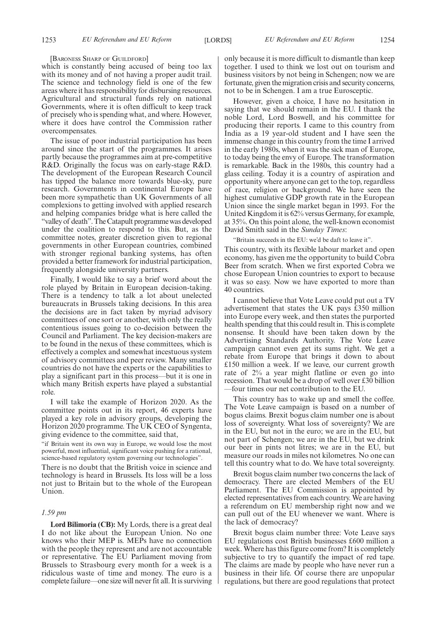[BARONESS SHARP OF GUILDFORD]

which is constantly being accused of being too lax with its money and of not having a proper audit trail. The science and technology field is one of the few areas where it has responsibility for disbursing resources. Agricultural and structural funds rely on national Governments, where it is often difficult to keep track of precisely who is spending what, and where. However, where it does have control the Commission rather overcompensates.

The issue of poor industrial participation has been around since the start of the programmes. It arises partly because the programmes aim at pre-competitive R&D. Originally the focus was on early-stage R&D. The development of the European Research Council has tipped the balance more towards blue-sky, pure research. Governments in continental Europe have been more sympathetic than UK Governments of all complexions to getting involved with applied research and helping companies bridge what is here called the "valley of death". The Catapult programme was developed under the coalition to respond to this. But, as the committee notes, greater discretion given to regional governments in other European countries, combined with stronger regional banking systems, has often provided a better framework for industrial participation, frequently alongside university partners.

Finally, I would like to say a brief word about the role played by Britain in European decision-taking. There is a tendency to talk a lot about unelected bureaucrats in Brussels taking decisions. In this area the decisions are in fact taken by myriad advisory committees of one sort or another, with only the really contentious issues going to co-decision between the Council and Parliament. The key decision-makers are to be found in the nexus of these committees, which is effectively a complex and somewhat incestuous system of advisory committees and peer review. Many smaller countries do not have the experts or the capabilities to play a significant part in this process—but it is one in which many British experts have played a substantial role.

I will take the example of Horizon 2020. As the committee points out in its report, 46 experts have played a key role in advisory groups, developing the Horizon 2020 programme. The UK CEO of Syngenta, giving evidence to the committee, said that,

"if Britain went its own way in Europe, we would lose the most powerful, most influential, significant voice pushing for a rational, science-based regulatory system governing our technologies".

There is no doubt that the British voice in science and technology is heard in Brussels. Its loss will be a loss not just to Britain but to the whole of the European Union.

#### *1.59 pm*

**Lord Bilimoria (CB):** My Lords, there is a great deal I do not like about the European Union. No one knows who their MEP is. MEPs have no connection with the people they represent and are not accountable or representative. The EU Parliament moving from Brussels to Strasbourg every month for a week is a ridiculous waste of time and money. The euro is a complete failure—one size will never fit all. It is surviving only because it is more difficult to dismantle than keep together. I used to think we lost out on tourism and business visitors by not being in Schengen; now we are fortunate, given the migration crisis and security concerns, not to be in Schengen. I am a true Eurosceptic.

However, given a choice, I have no hesitation in saying that we should remain in the EU. I thank the noble Lord, Lord Boswell, and his committee for producing their reports. I came to this country from India as a 19 year-old student and I have seen the immense change in this country from the time I arrived in the early 1980s, when it was the sick man of Europe, to today being the envy of Europe. The transformation is remarkable. Back in the 1980s, this country had a glass ceiling. Today it is a country of aspiration and opportunity where anyone can get to the top, regardless of race, religion or background. We have seen the highest cumulative GDP growth rate in the European Union since the single market began in 1993. For the United Kingdom it is 62% versus Germany, for example, at 35%. On this point alone, the well-known economist David Smith said in the *Sunday Times*:

"Britain succeeds in the EU: we'd be daft to leave it".

This country, with its flexible labour market and open economy, has given me the opportunity to build Cobra Beer from scratch. When we first exported Cobra we chose European Union countries to export to because it was so easy. Now we have exported to more than 40 countries.

I cannot believe that Vote Leave could put out a TV advertisement that states the UK pays £350 million into Europe every week, and then states the purported health spending that this could result in. This is complete nonsense. It should have been taken down by the Advertising Standards Authority. The Vote Leave campaign cannot even get its sums right. We get a rebate from Europe that brings it down to about £150 million a week. If we leave, our current growth rate of 2% a year might flatline or even go into recession. That would be a drop of well over £30 billion —four times our net contribution to the EU.

This country has to wake up and smell the coffee. The Vote Leave campaign is based on a number of bogus claims. Brexit bogus claim number one is about loss of sovereignty. What loss of sovereignty? We are in the EU, but not in the euro; we are in the EU, but not part of Schengen; we are in the EU, but we drink our beer in pints not litres; we are in the EU, but measure our roads in miles not kilometres. No one can tell this country what to do. We have total sovereignty.

Brexit bogus claim number two concerns the lack of democracy. There are elected Members of the EU Parliament. The EU Commission is appointed by elected representatives from each country. We are having a referendum on EU membership right now and we can pull out of the EU whenever we want. Where is the lack of democracy?

Brexit bogus claim number three: Vote Leave says EU regulations cost British businesses £600 million a week. Where has this figure come from? It is completely subjective to try to quantify the impact of red tape. The claims are made by people who have never run a business in their life. Of course there are unpopular regulations, but there are good regulations that protect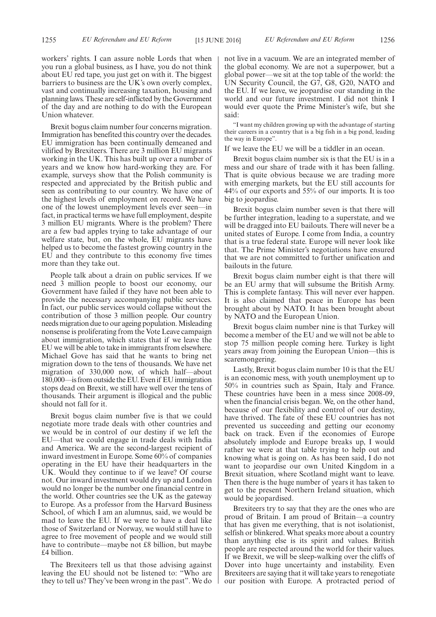workers' rights. I can assure noble Lords that when you run a global business, as I have, you do not think about EU red tape, you just get on with it. The biggest barriers to business are the UK's own overly complex, vast and continually increasing taxation, housing and planning laws. These are self-inflicted by the Government of the day and are nothing to do with the European Union whatever.

Brexit bogus claim number four concerns migration. Immigration has benefited this country over the decades. EU immigration has been continually demeaned and vilified by Brexiteers. There are 3 million EU migrants working in the UK. This has built up over a number of years and we know how hard-working they are. For example, surveys show that the Polish community is respected and appreciated by the British public and seen as contributing to our country. We have one of the highest levels of employment on record. We have one of the lowest unemployment levels ever seen—in fact, in practical terms we have full employment, despite 3 million EU migrants. Where is the problem? There are a few bad apples trying to take advantage of our welfare state, but, on the whole, EU migrants have helped us to become the fastest growing country in the EU and they contribute to this economy five times more than they take out.

People talk about a drain on public services. If we need 3 million people to boost our economy, our Government have failed if they have not been able to provide the necessary accompanying public services. In fact, our public services would collapse without the contribution of those 3 million people. Our country needs migration due to our ageing population. Misleading nonsense is proliferating from the Vote Leave campaign about immigration, which states that if we leave the EU we will be able to take in immigrants from elsewhere. Michael Gove has said that he wants to bring net migration down to the tens of thousands. We have net migration of 330,000 now, of which half—about 180,000—is from outside the EU. Even if EU immigration stops dead on Brexit, we still have well over the tens of thousands. Their argument is illogical and the public should not fall for it.

Brexit bogus claim number five is that we could negotiate more trade deals with other countries and we would be in control of our destiny if we left the EU—that we could engage in trade deals with India and America. We are the second-largest recipient of inward investment in Europe. Some 60% of companies operating in the EU have their headquarters in the UK. Would they continue to if we leave? Of course not. Our inward investment would dry up and London would no longer be the number one financial centre in the world. Other countries see the UK as the gateway to Europe. As a professor from the Harvard Business School, of which I am an alumnus, said, we would be mad to leave the EU. If we were to have a deal like those of Switzerland or Norway, we would still have to agree to free movement of people and we would still have to contribute—maybe not £8 billion, but maybe £4 billion.

The Brexiteers tell us that those advising against leaving the EU should not be listened to: "Who are they to tell us? They've been wrong in the past". We do not live in a vacuum. We are an integrated member of the global economy. We are not a superpower, but a global power—we sit at the top table of the world: the UN Security Council, the G7, G8, G20, NATO and the EU. If we leave, we jeopardise our standing in the world and our future investment. I did not think I would ever quote the Prime Minister's wife, but she said:

"I want my children growing up with the advantage of starting their careers in a country that is a big fish in a big pond, leading the way in Europe".

If we leave the EU we will be a tiddler in an ocean.

Brexit bogus claim number six is that the EU is in a mess and our share of trade with it has been falling. That is quite obvious because we are trading more with emerging markets, but the EU still accounts for 44% of our exports and 55% of our imports. It is too big to jeopardise.

Brexit bogus claim number seven is that there will be further integration, leading to a superstate, and we will be dragged into EU bailouts. There will never be a united states of Europe. I come from India, a country that is a true federal state. Europe will never look like that. The Prime Minister's negotiations have ensured that we are not committed to further unification and bailouts in the future.

Brexit bogus claim number eight is that there will be an EU army that will subsume the British Army. This is complete fantasy. This will never ever happen. It is also claimed that peace in Europe has been brought about by NATO. It has been brought about by NATO and the European Union.

Brexit bogus claim number nine is that Turkey will become a member of the EU and we will not be able to stop 75 million people coming here. Turkey is light years away from joining the European Union—this is scaremongering.

Lastly, Brexit bogus claim number 10 is that the EU is an economic mess, with youth unemployment up to 50% in countries such as Spain, Italy and France. These countries have been in a mess since 2008-09, when the financial crisis began. We, on the other hand, because of our flexibility and control of our destiny, have thrived. The fate of these EU countries has not prevented us succeeding and getting our economy back on track. Even if the economies of Europe absolutely implode and Europe breaks up, I would rather we were at that table trying to help out and knowing what is going on. As has been said, I do not want to jeopardise our own United Kingdom in a Brexit situation, where Scotland might want to leave. Then there is the huge number of years it has taken to get to the present Northern Ireland situation, which would be jeopardised.

Brexiteers try to say that they are the ones who are proud of Britain. I am proud of Britain—a country that has given me everything, that is not isolationist, selfish or blinkered. What speaks more about a country than anything else is its spirit and values. British people are respected around the world for their values. If we Brexit, we will be sleep-walking over the cliffs of Dover into huge uncertainty and instability. Even Brexiteers are saying that it will take years to renegotiate our position with Europe. A protracted period of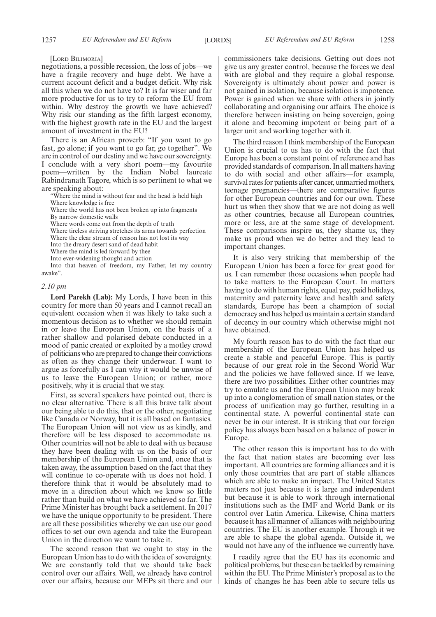[LORD BILIMORIA]

negotiations, a possible recession, the loss of jobs—we have a fragile recovery and huge debt. We have a current account deficit and a budget deficit. Why risk all this when we do not have to? It is far wiser and far more productive for us to try to reform the EU from within. Why destroy the growth we have achieved? Why risk our standing as the fifth largest economy, with the highest growth rate in the EU and the largest amount of investment in the EU?

There is an African proverb: "If you want to go fast, go alone; if you want to go far, go together". We are in control of our destiny and we have our sovereignty. I conclude with a very short poem—my favourite poem—written by the Indian Nobel laureate Rabindranath Tagore, which is so pertinent to what we are speaking about:

"Where the mind is without fear and the head is held high Where knowledge is free

Where the world has not been broken up into fragments

By narrow domestic walls

Where words come out from the depth of truth

Where tireless striving stretches its arms towards perfection

Where the clear stream of reason has not lost its way Into the dreary desert sand of dead habit

Where the mind is led forward by thee

Into ever-widening thought and action

Into that heaven of freedom, my Father, let my country awake".

#### *2.10 pm*

**Lord Parekh (Lab):** My Lords, I have been in this country for more than 50 years and I cannot recall an equivalent occasion when it was likely to take such a momentous decision as to whether we should remain in or leave the European Union, on the basis of a rather shallow and polarised debate conducted in a mood of panic created or exploited by a motley crowd of politicians who are prepared to change their convictions as often as they change their underwear. I want to argue as forcefully as I can why it would be unwise of us to leave the European Union; or rather, more positively, why it is crucial that we stay.

First, as several speakers have pointed out, there is no clear alternative. There is all this brave talk about our being able to do this, that or the other, negotiating like Canada or Norway, but it is all based on fantasies. The European Union will not view us as kindly, and therefore will be less disposed to accommodate us. Other countries will not be able to deal with us because they have been dealing with us on the basis of our membership of the European Union and, once that is taken away, the assumption based on the fact that they will continue to co-operate with us does not hold. I therefore think that it would be absolutely mad to move in a direction about which we know so little rather than build on what we have achieved so far. The Prime Minister has brought back a settlement. In 2017 we have the unique opportunity to be president. There are all these possibilities whereby we can use our good offices to set our own agenda and take the European Union in the direction we want to take it.

The second reason that we ought to stay in the European Union has to do with the idea of sovereignty. We are constantly told that we should take back control over our affairs. Well, we already have control over our affairs, because our MEPs sit there and our

commissioners take decisions. Getting out does not give us any greater control, because the forces we deal with are global and they require a global response. Sovereignty is ultimately about power and power is not gained in isolation, because isolation is impotence. Power is gained when we share with others in jointly collaborating and organising our affairs. The choice is therefore between insisting on being sovereign, going it alone and becoming impotent or being part of a larger unit and working together with it.

The third reason I think membership of the European Union is crucial to us has to do with the fact that Europe has been a constant point of reference and has provided standards of comparison. In all matters having to do with social and other affairs—for example, survival rates for patients after cancer, unmarried mothers, teenage pregnancies—there are comparative figures for other European countries and for our own. These hurt us when they show that we are not doing as well as other countries, because all European countries, more or less, are at the same stage of development. These comparisons inspire us, they shame us, they make us proud when we do better and they lead to important changes.

It is also very striking that membership of the European Union has been a force for great good for us. I can remember those occasions when people had to take matters to the European Court. In matters having to do with human rights, equal pay, paid holidays, maternity and paternity leave and health and safety standards, Europe has been a champion of social democracy and has helped us maintain a certain standard of decency in our country which otherwise might not have obtained.

My fourth reason has to do with the fact that our membership of the European Union has helped us create a stable and peaceful Europe. This is partly because of our great role in the Second World War and the policies we have followed since. If we leave, there are two possibilities. Either other countries may try to emulate us and the European Union may break up into a conglomeration of small nation states, or the process of unification may go further, resulting in a continental state. A powerful continental state can never be in our interest. It is striking that our foreign policy has always been based on a balance of power in Europe.

The other reason this is important has to do with the fact that nation states are becoming ever less important. All countries are forming alliances and it is only those countries that are part of stable alliances which are able to make an impact. The United States matters not just because it is large and independent but because it is able to work through international institutions such as the IMF and World Bank or its control over Latin America. Likewise, China matters because it has all manner of alliances with neighbouring countries. The EU is another example. Through it we are able to shape the global agenda. Outside it, we would not have any of the influence we currently have.

I readily agree that the EU has its economic and political problems, but these can be tackled by remaining within the EU. The Prime Minister's proposal as to the kinds of changes he has been able to secure tells us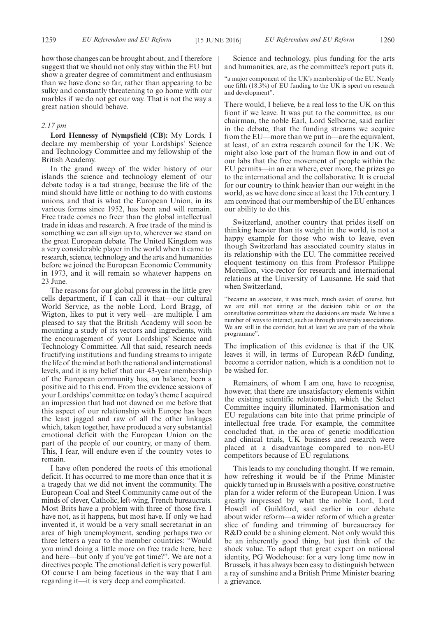how those changes can be brought about, and I therefore suggest that we should not only stay within the EU but show a greater degree of commitment and enthusiasm than we have done so far, rather than appearing to be sulky and constantly threatening to go home with our marbles if we do not get our way. That is not the way a great nation should behave.

#### *2.17 pm*

**Lord Hennessy of Nympsfield (CB):** My Lords, I declare my membership of your Lordships' Science and Technology Committee and my fellowship of the British Academy.

In the grand sweep of the wider history of our islands the science and technology element of our debate today is a tad strange, because the life of the mind should have little or nothing to do with customs unions, and that is what the European Union, in its various forms since 1952, has been and will remain. Free trade comes no freer than the global intellectual trade in ideas and research. A free trade of the mind is something we can all sign up to, wherever we stand on the great European debate. The United Kingdom was a very considerable player in the world when it came to research, science, technology and the arts and humanities before we joined the European Economic Community in 1973, and it will remain so whatever happens on 23 June.

The reasons for our global prowess in the little grey cells department, if I can call it that—our cultural World Service, as the noble Lord, Lord Bragg, of Wigton, likes to put it very well—are multiple. I am pleased to say that the British Academy will soon be mounting a study of its vectors and ingredients, with the encouragement of your Lordships' Science and Technology Committee. All that said, research needs fructifying institutions and funding streams to irrigate the life of the mind at both the national and international levels, and it is my belief that our 43-year membership of the European community has, on balance, been a positive aid to this end. From the evidence sessions of your Lordships' committee on today's theme I acquired an impression that had not dawned on me before that this aspect of our relationship with Europe has been the least jagged and raw of all the other linkages which, taken together, have produced a very substantial emotional deficit with the European Union on the part of the people of our country, or many of them. This, I fear, will endure even if the country votes to remain.

I have often pondered the roots of this emotional deficit. It has occurred to me more than once that it is a tragedy that we did not invent the community. The European Coal and Steel Community came out of the minds of clever, Catholic, left-wing, French bureaucrats. Most Brits have a problem with three of those five. I have not, as it happens, but most have. If only we had invented it, it would be a very small secretariat in an area of high unemployment, sending perhaps two or three letters a year to the member countries: "Would you mind doing a little more on free trade here, here and here—but only if you've got time?". We are not a directives people. The emotional deficit is very powerful. Of course I am being facetious in the way that I am regarding it—it is very deep and complicated.

Science and technology, plus funding for the arts and humanities, are, as the committee's report puts it,

"a major component of the UK's membership of the EU. Nearly one fifth (18.3%) of EU funding to the UK is spent on research and development".

There would, I believe, be a real loss to the UK on this front if we leave. It was put to the committee, as our chairman, the noble Earl, Lord Selborne, said earlier in the debate, that the funding streams we acquire from the EU—more than we put in—are the equivalent, at least, of an extra research council for the UK. We might also lose part of the human flow in and out of our labs that the free movement of people within the EU permits—in an era where, ever more, the prizes go to the international and the collaborative. It is crucial for our country to think heavier than our weight in the world, as we have done since at least the 17th century. I am convinced that our membership of the EU enhances our ability to do this.

Switzerland, another country that prides itself on thinking heavier than its weight in the world, is not a happy example for those who wish to leave, even though Switzerland has associated country status in its relationship with the EU. The committee received eloquent testimony on this from Professor Philippe Moreillon, vice-rector for research and international relations at the University of Lausanne. He said that when Switzerland,

"became an associate, it was much, much easier, of course, but we are still not sitting at the decision table or on the consultative committees where the decisions are made. We have a number of ways to interact, such as through university associations. We are still in the corridor, but at least we are part of the whole programme".

The implication of this evidence is that if the UK leaves it will, in terms of European R&D funding, become a corridor nation, which is a condition not to be wished for.

Remainers, of whom I am one, have to recognise, however, that there are unsatisfactory elements within the existing scientific relationship, which the Select Committee inquiry illuminated. Harmonisation and EU regulations can bite into that prime principle of intellectual free trade. For example, the committee concluded that, in the area of genetic modification and clinical trials, UK business and research were placed at a disadvantage compared to non-EU competitors because of EU regulations.

This leads to my concluding thought. If we remain, how refreshing it would be if the Prime Minister quickly turned up in Brussels with a positive, constructive plan for a wider reform of the European Union. I was greatly impressed by what the noble Lord, Lord Howell of Guildford, said earlier in our debate about wider reform—a wider reform of which a greater slice of funding and trimming of bureaucracy for R&D could be a shining element. Not only would this be an inherently good thing, but just think of the shock value. To adapt that great expert on national identity, PG Wodehouse: for a very long time now in Brussels, it has always been easy to distinguish between a ray of sunshine and a British Prime Minister bearing a grievance.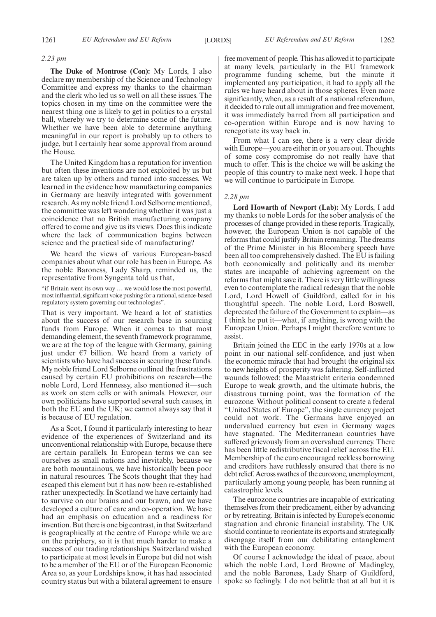#### *2.23 pm*

**The Duke of Montrose (Con):** My Lords, I also declare my membership of the Science and Technology Committee and express my thanks to the chairman and the clerk who led us so well on all these issues. The topics chosen in my time on the committee were the nearest thing one is likely to get in politics to a crystal ball, whereby we try to determine some of the future. Whether we have been able to determine anything meaningful in our report is probably up to others to judge, but I certainly hear some approval from around the House.

The United Kingdom has a reputation for invention but often these inventions are not exploited by us but are taken up by others and turned into successes. We learned in the evidence how manufacturing companies in Germany are heavily integrated with government research. As my noble friend Lord Selborne mentioned, the committee was left wondering whether it was just a coincidence that no British manufacturing company offered to come and give us its views. Does this indicate where the lack of communication begins between science and the practical side of manufacturing?

We heard the views of various European-based companies about what our role has been in Europe. As the noble Baroness, Lady Sharp, reminded us, the representative from Syngenta told us that,

"if Britain went its own way … we would lose the most powerful, most influential, significant voice pushing for a rational, science-based regulatory system governing our technologies".

That is very important. We heard a lot of statistics about the success of our research base in sourcing funds from Europe. When it comes to that most demanding element, the seventh framework programme, we are at the top of the league with Germany, gaining just under  $E7$  billion. We heard from a variety of scientists who have had success in securing these funds. My noble friend Lord Selborne outlined the frustrations caused by certain EU prohibitions on research—the noble Lord, Lord Hennessy, also mentioned it—such as work on stem cells or with animals. However, our own politicians have supported several such causes, in both the EU and the UK; we cannot always say that it is because of EU regulation.

As a Scot, I found it particularly interesting to hear evidence of the experiences of Switzerland and its unconventional relationship with Europe, because there are certain parallels. In European terms we can see ourselves as small nations and inevitably, because we are both mountainous, we have historically been poor in natural resources. The Scots thought that they had escaped this element but it has now been re-established rather unexpectedly. In Scotland we have certainly had to survive on our brains and our brawn, and we have developed a culture of care and co-operation. We have had an emphasis on education and a readiness for invention. But there is one big contrast, in that Switzerland is geographically at the centre of Europe while we are on the periphery, so it is that much harder to make a success of our trading relationships. Switzerland wished to participate at most levels in Europe but did not wish to be a member of the EU or of the European Economic Area so, as your Lordships know, it has had associated country status but with a bilateral agreement to ensure free movement of people. This has allowed it to participate at many levels, particularly in the EU framework programme funding scheme, but the minute it implemented any participation, it had to apply all the rules we have heard about in those spheres. Even more significantly, when, as a result of a national referendum, it decided to rule out all immigration and free movement, it was immediately barred from all participation and co-operation within Europe and is now having to renegotiate its way back in.

From what I can see, there is a very clear divide with Europe—you are either in or you are out. Thoughts of some cosy compromise do not really have that much to offer. This is the choice we will be asking the people of this country to make next week. I hope that we will continue to participate in Europe.

#### *2.28 pm*

**Lord Howarth of Newport (Lab):** My Lords, I add my thanks to noble Lords for the sober analysis of the processes of change provided in these reports. Tragically, however, the European Union is not capable of the reforms that could justify Britain remaining. The dreams of the Prime Minister in his Bloomberg speech have been all too comprehensively dashed. The EU is failing both economically and politically and its member states are incapable of achieving agreement on the reforms that might save it. There is very little willingness even to contemplate the radical redesign that the noble Lord, Lord Howell of Guildford, called for in his thoughtful speech. The noble Lord, Lord Boswell, deprecated the failure of the Government to explain—as I think he put it—what, if anything, is wrong with the European Union. Perhaps I might therefore venture to assist.

Britain joined the EEC in the early 1970s at a low point in our national self-confidence, and just when the economic miracle that had brought the original six to new heights of prosperity was faltering. Self-inflicted wounds followed: the Maastricht criteria condemned Europe to weak growth, and the ultimate hubris, the disastrous turning point, was the formation of the eurozone. Without political consent to create a federal "United States of Europe", the single currency project could not work. The Germans have enjoyed an undervalued currency but even in Germany wages have stagnated. The Mediterranean countries have suffered grievously from an overvalued currency. There has been little redistributive fiscal relief across the EU. Membership of the euro encouraged reckless borrowing and creditors have ruthlessly ensured that there is no debt relief. Across swathes of the eurozone, unemployment, particularly among young people, has been running at catastrophic levels.

The eurozone countries are incapable of extricating themselves from their predicament, either by advancing or by retreating. Britain is infected by Europe's economic stagnation and chronic financial instability. The UK should continue to reorientate its exports and strategically disengage itself from our debilitating entanglement with the European economy.

Of course I acknowledge the ideal of peace, about which the noble Lord, Lord Browne of Madingley, and the noble Baroness, Lady Sharp of Guildford, spoke so feelingly. I do not belittle that at all but it is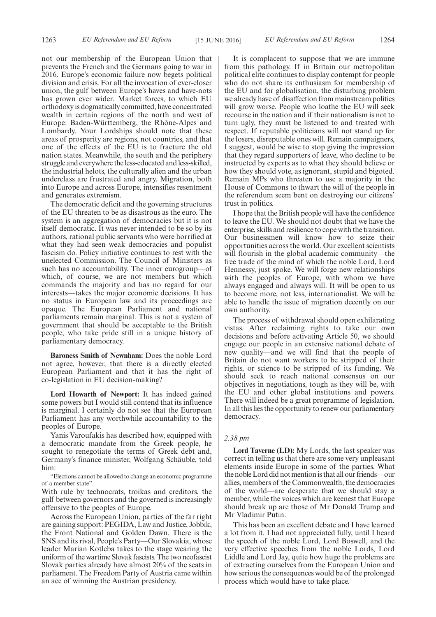not our membership of the European Union that prevents the French and the Germans going to war in 2016. Europe's economic failure now begets political division and crisis. For all the invocation of ever-closer union, the gulf between Europe's haves and have-nots has grown ever wider. Market forces, to which EU orthodoxy is dogmatically committed, have concentrated wealth in certain regions of the north and west of Europe: Baden-Württemberg, the Rhône-Alpes and Lombardy. Your Lordships should note that these areas of prosperity are regions, not countries, and that one of the effects of the EU is to fracture the old nation states. Meanwhile, the south and the periphery struggle and everywhere the less-educated and less-skilled, the industrial helots, the culturally alien and the urban underclass are frustrated and angry. Migration, both into Europe and across Europe, intensifies resentment and generates extremism.

The democratic deficit and the governing structures of the EU threaten to be as disastrous as the euro. The system is an aggregation of democracies but it is not itself democratic. It was never intended to be so by its authors, rational public servants who were horrified at what they had seen weak democracies and populist fascism do. Policy initiative continues to rest with the unelected Commission. The Council of Ministers as such has no accountability. The inner eurogroup—of which, of course, we are not members but which commands the majority and has no regard for our interests—takes the major economic decisions. It has no status in European law and its proceedings are opaque. The European Parliament and national parliaments remain marginal. This is not a system of government that should be acceptable to the British people, who take pride still in a unique history of parliamentary democracy.

**Baroness Smith of Newnham:** Does the noble Lord not agree, however, that there is a directly elected European Parliament and that it has the right of co-legislation in EU decision-making?

**Lord Howarth of Newport:** It has indeed gained some powers but I would still contend that its influence is marginal. I certainly do not see that the European Parliament has any worthwhile accountability to the peoples of Europe.

Yanis Varoufakis has described how, equipped with a democratic mandate from the Greek people, he sought to renegotiate the terms of Greek debt and, Germany's finance minister, Wolfgang Schäuble, told him:

"Elections cannot be allowed to change an economic programme of a member state".

With rule by technocrats, troikas and creditors, the gulf between governors and the governed is increasingly offensive to the peoples of Europe.

Across the European Union, parties of the far right are gaining support: PEGIDA, Law and Justice, Jobbik, the Front National and Golden Dawn. There is the SNS and its rival, People's Party—Our Slovakia, whose leader Marian Kotleba takes to the stage wearing the uniform of the wartime Slovak fascists. The two neofascist Slovak parties already have almost 20% of the seats in parliament. The Freedom Party of Austria came within an ace of winning the Austrian presidency.

It is complacent to suppose that we are immune from this pathology. If in Britain our metropolitan political elite continues to display contempt for people who do not share its enthusiasm for membership of the EU and for globalisation, the disturbing problem we already have of disaffection from mainstream politics will grow worse. People who loathe the EU will seek recourse in the nation and if their nationalism is not to turn ugly, they must be listened to and treated with respect. If reputable politicians will not stand up for the losers, disreputable ones will. Remain campaigners, I suggest, would be wise to stop giving the impression that they regard supporters of leave, who decline to be instructed by experts as to what they should believe or how they should vote, as ignorant, stupid and bigoted. Remain MPs who threaten to use a majority in the House of Commons to thwart the will of the people in the referendum seem bent on destroying our citizens' trust in politics.

I hope that the British people will have the confidence to leave the EU. We should not doubt that we have the enterprise, skills and resilience to cope with the transition. Our businessmen will know how to seize their opportunities across the world. Our excellent scientists will flourish in the global academic community—the free trade of the mind of which the noble Lord, Lord Hennessy, just spoke. We will forge new relationships with the peoples of Europe, with whom we have always engaged and always will. It will be open to us to become more, not less, internationalist. We will be able to handle the issue of migration decently on our own authority.

The process of withdrawal should open exhilarating vistas. After reclaiming rights to take our own decisions and before activating Article 50, we should engage our people in an extensive national debate of new quality—and we will find that the people of Britain do not want workers to be stripped of their rights, or science to be stripped of its funding. We should seek to reach national consensus on our objectives in negotiations, tough as they will be, with the EU and other global institutions and powers. There will indeed be a great programme of legislation. In all this lies the opportunity to renew our parliamentary democracy.

#### *2.38 pm*

**Lord Taverne (LD):** My Lords, the last speaker was correct in telling us that there are some very unpleasant elements inside Europe in some of the parties. What the noble Lord did not mention is that all our friends—our allies, members of the Commonwealth, the democracies of the world—are desperate that we should stay a member, while the voices which are keenest that Europe should break up are those of Mr Donald Trump and Mr Vladimir Putin.

This has been an excellent debate and I have learned a lot from it. I had not appreciated fully, until I heard the speech of the noble Lord, Lord Boswell, and the very effective speeches from the noble Lords, Lord Liddle and Lord Jay, quite how huge the problems are of extracting ourselves from the European Union and how serious the consequences would be of the prolonged process which would have to take place.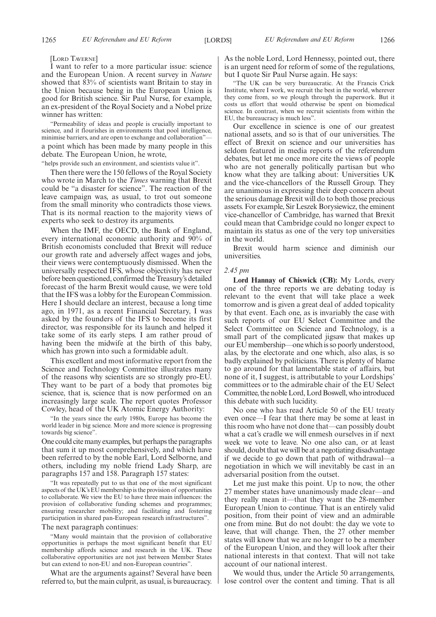[LORD TAVERNE]

I want to refer to a more particular issue: science and the European Union. A recent survey in *Nature* showed that 83% of scientists want Britain to stay in the Union because being in the European Union is good for British science. Sir Paul Nurse, for example, an ex-president of the Royal Society and a Nobel prize winner has written:

"Permeability of ideas and people is crucially important to science, and it flourishes in environments that pool intelligence, minimise barriers, and are open to exchange and collaboration" a point which has been made by many people in this debate. The European Union, he wrote,

"helps provide such an environment, and scientists value it".

Then there were the 150 fellows of the Royal Society who wrote in March to the *Times* warning that Brexit could be "a disaster for science". The reaction of the leave campaign was, as usual, to trot out someone from the small minority who contradicts those views. That is its normal reaction to the majority views of experts who seek to destroy its arguments.

When the IMF, the OECD, the Bank of England, every international economic authority and 90% of British economists concluded that Brexit will reduce our growth rate and adversely affect wages and jobs, their views were contemptuously dismissed. When the universally respected IFS, whose objectivity has never before been questioned, confirmed the Treasury's detailed forecast of the harm Brexit would cause, we were told that the IFS was a lobby for the European Commission. Here I should declare an interest, because a long time ago, in 1971, as a recent Financial Secretary, I was asked by the founders of the IFS to become its first director, was responsible for its launch and helped it take some of its early steps. I am rather proud of having been the midwife at the birth of this baby, which has grown into such a formidable adult.

This excellent and most informative report from the Science and Technology Committee illustrates many of the reasons why scientists are so strongly pro-EU. They want to be part of a body that promotes big science, that is, science that is now performed on an increasingly large scale. The report quotes Professor Cowley, head of the UK Atomic Energy Authority:

"In the years since the early 1980s, Europe has become the world leader in big science. More and more science is progressing towards big science".

One could cite many examples, but perhaps the paragraphs that sum it up most comprehensively, and which have been referred to by the noble Earl, Lord Selborne, and others, including my noble friend Lady Sharp, are paragraphs 157 and 158. Paragraph 157 states:

"It was repeatedly put to us that one of the most significant aspects of the UK's EU membership is the provision of opportunities to collaborate. We view the EU to have three main influences: the provision of collaborative funding schemes and programmes; ensuring researcher mobility; and facilitating and fostering participation in shared pan-European research infrastructures".

#### The next paragraph continues:

"Many would maintain that the provision of collaborative opportunities is perhaps the most significant benefit that EU membership affords science and research in the UK. These collaborative opportunities are not just between Member States but can extend to non-EU and non-European countries".

What are the arguments against? Several have been referred to, but the main culprit, as usual, is bureaucracy. As the noble Lord, Lord Hennessy, pointed out, there is an urgent need for reform of some of the regulations, but I quote Sir Paul Nurse again. He says:

"The UK can be very bureaucratic. At the Francis Crick Institute, where I work, we recruit the best in the world, wherever they come from, so we plough through the paperwork. But it costs us effort that would otherwise be spent on biomedical science. In contrast, when we recruit scientists from within the EU, the bureaucracy is much less".

Our excellence in science is one of our greatest national assets, and so is that of our universities. The effect of Brexit on science and our universities has seldom featured in media reports of the referendum debates, but let me once more cite the views of people who are not generally politically partisan but who know what they are talking about: Universities UK and the vice-chancellors of the Russell Group. They are unanimous in expressing their deep concern about the serious damage Brexit will do to both those precious assets. For example, Sir Leszek Borysiewicz, the eminent vice-chancellor of Cambridge, has warned that Brexit could mean that Cambridge could no longer expect to maintain its status as one of the very top universities in the world.

Brexit would harm science and diminish our universities.

## *2.45 pm*

**Lord Hannay of Chiswick (CB):** My Lords, every one of the three reports we are debating today is relevant to the event that will take place a week tomorrow and is given a great deal of added topicality by that event. Each one, as is invariably the case with such reports of our EU Select Committee and the Select Committee on Science and Technology, is a small part of the complicated jigsaw that makes up our EU membership—one which is so poorly understood, alas, by the electorate and one which, also alas, is so badly explained by politicians. There is plenty of blame to go around for that lamentable state of affairs, but none of it, I suggest, is attributable to your Lordships' committees or to the admirable chair of the EU Select Committee, the noble Lord, Lord Boswell, who introduced this debate with such lucidity.

No one who has read Article 50 of the EU treaty even once—I fear that there may be some at least in this room who have not done that—can possibly doubt what a cat's cradle we will enmesh ourselves in if next week we vote to leave. No one also can, or at least should, doubt that we will be at a negotiating disadvantage if we decide to go down that path of withdrawal—a negotiation in which we will inevitably be cast in an adversarial position from the outset.

Let me just make this point. Up to now, the other 27 member states have unanimously made clear—and they really mean it—that they want the 28-member European Union to continue. That is an entirely valid position, from their point of view and an admirable one from mine. But do not doubt: the day we vote to leave, that will change. Then, the 27 other member states will know that we are no longer to be a member of the European Union, and they will look after their national interests in that context. That will not take account of our national interest.

We would thus, under the Article 50 arrangements, lose control over the content and timing. That is all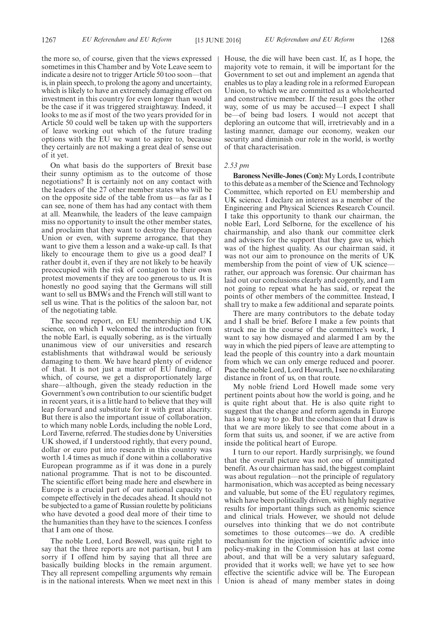the more so, of course, given that the views expressed sometimes in this Chamber and by Vote Leave seem to indicate a desire not to trigger Article 50 too soon—that is, in plain speech, to prolong the agony and uncertainty, which is likely to have an extremely damaging effect on investment in this country for even longer than would be the case if it was triggered straightaway. Indeed, it looks to me as if most of the two years provided for in Article 50 could well be taken up with the supporters of leave working out which of the future trading options with the EU we want to aspire to, because they certainly are not making a great deal of sense out of it yet.

On what basis do the supporters of Brexit base their sunny optimism as to the outcome of those negotiations? It is certainly not on any contact with the leaders of the 27 other member states who will be on the opposite side of the table from us—as far as I can see, none of them has had any contact with them at all. Meanwhile, the leaders of the leave campaign miss no opportunity to insult the other member states, and proclaim that they want to destroy the European Union or even, with supreme arrogance, that they want to give them a lesson and a wake-up call. Is that likely to encourage them to give us a good deal? I rather doubt it, even if they are not likely to be heavily preoccupied with the risk of contagion to their own protest movements if they are too generous to us. It is honestly no good saying that the Germans will still want to sell us BMWs and the French will still want to sell us wine. That is the politics of the saloon bar, not of the negotiating table.

The second report, on EU membership and UK science, on which I welcomed the introduction from the noble Earl, is equally sobering, as is the virtually unanimous view of our universities and research establishments that withdrawal would be seriously damaging to them. We have heard plenty of evidence of that. It is not just a matter of EU funding, of which, of course, we get a disproportionately large share—although, given the steady reduction in the Government's own contribution to our scientific budget in recent years, it is a little hard to believe that they will leap forward and substitute for it with great alacrity. But there is also the important issue of collaboration, to which many noble Lords, including the noble Lord, Lord Taverne, referred. The studies done by Universities UK showed, if I understood rightly, that every pound, dollar or euro put into research in this country was worth 1.4 times as much if done within a collaborative European programme as if it was done in a purely national programme. That is not to be discounted. The scientific effort being made here and elsewhere in Europe is a crucial part of our national capacity to compete effectively in the decades ahead. It should not be subjected to a game of Russian roulette by politicians who have devoted a good deal more of their time to the humanities than they have to the sciences. I confess that I am one of those.

The noble Lord, Lord Boswell, was quite right to say that the three reports are not partisan, but I am sorry if I offend him by saying that all three are basically building blocks in the remain argument. They all represent compelling arguments why remain is in the national interests. When we meet next in this House, the die will have been cast. If, as I hope, the majority vote to remain, it will be important for the Government to set out and implement an agenda that enables us to play a leading role in a reformed European Union, to which we are committed as a wholehearted and constructive member. If the result goes the other way, some of us may be accused—I expect I shall be—of being bad losers. I would not accept that deploring an outcome that will, irretrievably and in a lasting manner, damage our economy, weaken our security and diminish our role in the world, is worthy of that characterisation.

#### *2.53 pm*

**Baroness Neville-Jones (Con):** My Lords, I contribute to this debate as a member of the Science and Technology Committee, which reported on EU membership and UK science. I declare an interest as a member of the Engineering and Physical Sciences Research Council. I take this opportunity to thank our chairman, the noble Earl, Lord Selborne, for the excellence of his chairmanship, and also thank our committee clerk and advisers for the support that they gave us, which was of the highest quality. As our chairman said, it was not our aim to pronounce on the merits of UK membership from the point of view of UK science rather, our approach was forensic. Our chairman has laid out our conclusions clearly and cogently, and I am not going to repeat what he has said, or repeat the points of other members of the committee. Instead, I shall try to make a few additional and separate points.

There are many contributors to the debate today and I shall be brief. Before I make a few points that struck me in the course of the committee's work, I want to say how dismayed and alarmed I am by the way in which the pied pipers of leave are attempting to lead the people of this country into a dark mountain from which we can only emerge reduced and poorer. Pace the noble Lord, Lord Howarth, I see no exhilarating distance in front of us, on that route.

My noble friend Lord Howell made some very pertinent points about how the world is going, and he is quite right about that. He is also quite right to suggest that the change and reform agenda in Europe has a long way to go. But the conclusion that I draw is that we are more likely to see that come about in a form that suits us, and sooner, if we are active from inside the political heart of Europe.

I turn to our report. Hardly surprisingly, we found that the overall picture was not one of unmitigated benefit. As our chairman has said, the biggest complaint was about regulation—not the principle of regulatory harmonisation, which was accepted as being necessary and valuable, but some of the EU regulatory regimes, which have been politically driven, with highly negative results for important things such as genomic science and clinical trials. However, we should not delude ourselves into thinking that we do not contribute sometimes to those outcomes—we do. A credible mechanism for the injection of scientific advice into policy-making in the Commission has at last come about, and that will be a very salutary safeguard, provided that it works well; we have yet to see how effective the scientific advice will be. The European Union is ahead of many member states in doing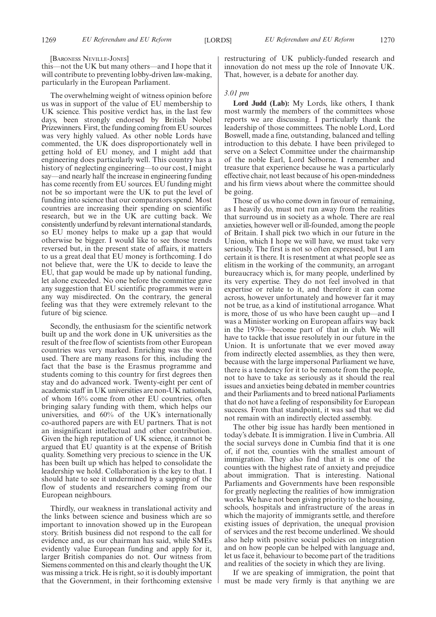#### [BARONESS NEVILLE-JONES]

this—not the UK but many others—and I hope that it will contribute to preventing lobby-driven law-making, particularly in the European Parliament.

The overwhelming weight of witness opinion before us was in support of the value of EU membership to UK science. This positive verdict has, in the last few days, been strongly endorsed by British Nobel Prizewinners. First, the funding coming from EU sources was very highly valued. As other noble Lords have commented, the UK does disproportionately well in getting hold of EU money, and I might add that engineering does particularly well. This country has a history of neglecting engineering—to our cost, I might say—and nearly half the increase in engineering funding has come recently from EU sources. EU funding might not be so important were the UK to put the level of funding into science that our comparators spend. Most countries are increasing their spending on scientific research, but we in the UK are cutting back. We consistently underfund by relevant international standards, so EU money helps to make up a gap that would otherwise be bigger. I would like to see those trends reversed but, in the present state of affairs, it matters to us a great deal that EU money is forthcoming. I do not believe that, were the UK to decide to leave the EU, that gap would be made up by national funding, let alone exceeded. No one before the committee gave any suggestion that EU scientific programmes were in any way misdirected. On the contrary, the general feeling was that they were extremely relevant to the future of big science.

Secondly, the enthusiasm for the scientific network built up and the work done in UK universities as the result of the free flow of scientists from other European countries was very marked. Enriching was the word used. There are many reasons for this, including the fact that the base is the Erasmus programme and students coming to this country for first degrees then stay and do advanced work. Twenty-eight per cent of academic staff in UK universities are non-UK nationals, of whom 16% come from other EU countries, often bringing salary funding with them, which helps our universities, and 60% of the UK's internationally co-authored papers are with EU partners. That is not an insignificant intellectual and other contribution. Given the high reputation of UK science, it cannot be argued that EU quantity is at the expense of British quality. Something very precious to science in the UK has been built up which has helped to consolidate the leadership we hold. Collaboration is the key to that. I should hate to see it undermined by a sapping of the flow of students and researchers coming from our European neighbours.

Thirdly, our weakness in translational activity and the links between science and business which are so important to innovation showed up in the European story. British business did not respond to the call for evidence and, as our chairman has said, while SMEs evidently value European funding and apply for it, larger British companies do not. Our witness from Siemens commented on this and clearly thought the UK was missing a trick. He is right, so it is doubly important that the Government, in their forthcoming extensive

restructuring of UK publicly-funded research and innovation do not mess up the role of Innovate UK. That, however, is a debate for another day.

#### *3.01 pm*

**Lord Judd (Lab):** My Lords, like others, I thank most warmly the members of the committees whose reports we are discussing. I particularly thank the leadership of those committees. The noble Lord, Lord Boswell, made a fine, outstanding, balanced and telling introduction to this debate. I have been privileged to serve on a Select Committee under the chairmanship of the noble Earl, Lord Selborne. I remember and treasure that experience because he was a particularly effective chair, not least because of his open-mindedness and his firm views about where the committee should be going.

Those of us who come down in favour of remaining, as I heavily do, must not run away from the realities that surround us in society as a whole. There are real anxieties, however well or ill-founded, among the people of Britain. I shall pick two which in our future in the Union, which I hope we will have, we must take very seriously. The first is not so often expressed, but I am certain it is there. It is resentment at what people see as elitism in the working of the community, an arrogant bureaucracy which is, for many people, underlined by its very expertise. They do not feel involved in that expertise or relate to it, and therefore it can come across, however unfortunately and however far it may not be true, as a kind of institutional arrogance. What is more, those of us who have been caught up—and I was a Minister working on European affairs way back in the 1970s—become part of that in club. We will have to tackle that issue resolutely in our future in the Union. It is unfortunate that we ever moved away from indirectly elected assemblies, as they then were, because with the large impersonal Parliament we have, there is a tendency for it to be remote from the people, not to have to take as seriously as it should the real issues and anxieties being debated in member countries and their Parliaments and to breed national Parliaments that do not have a feeling of responsibility for European success. From that standpoint, it was sad that we did not remain with an indirectly elected assembly.

The other big issue has hardly been mentioned in today's debate. It is immigration. I live in Cumbria. All the social surveys done in Cumbia find that it is one of, if not the, counties with the smallest amount of immigration. They also find that it is one of the counties with the highest rate of anxiety and prejudice about immigration. That is interesting. National Parliaments and Governments have been responsible for greatly neglecting the realities of how immigration works. We have not been giving priority to the housing, schools, hospitals and infrastructure of the areas in which the majority of immigrants settle, and therefore existing issues of deprivation, the unequal provision of services and the rest become underlined. We should also help with positive social policies on integration and on how people can be helped with language and, let us face it, behaviour to become part of the traditions and realities of the society in which they are living.

If we are speaking of immigration, the point that must be made very firmly is that anything we are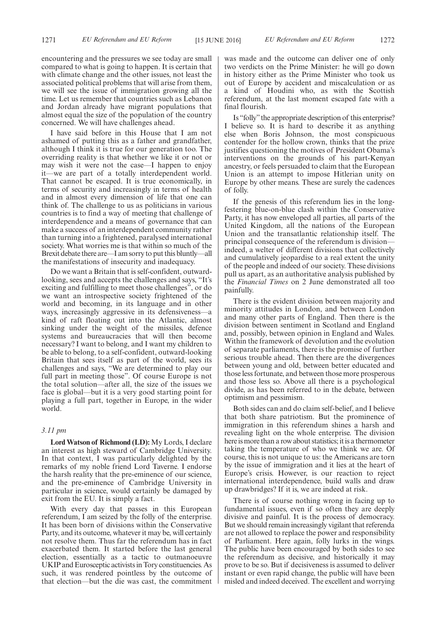encountering and the pressures we see today are small compared to what is going to happen. It is certain that with climate change and the other issues, not least the associated political problems that will arise from them, we will see the issue of immigration growing all the time. Let us remember that countries such as Lebanon and Jordan already have migrant populations that almost equal the size of the population of the country concerned. We will have challenges ahead.

I have said before in this House that I am not ashamed of putting this as a father and grandfather, although I think it is true for our generation too. The overriding reality is that whether we like it or not or may wish it were not the case—I happen to enjoy it—we are part of a totally interdependent world. That cannot be escaped. It is true economically, in terms of security and increasingly in terms of health and in almost every dimension of life that one can think of. The challenge to us as politicians in various countries is to find a way of meeting that challenge of interdependence and a means of governance that can make a success of an interdependent community rather than turning into a frightened, paralysed international society. What worries me is that within so much of the Brexit debate there are—I am sorry to put this bluntly—all the manifestations of insecurity and inadequacy.

Do we want a Britain that is self-confident, outwardlooking, sees and accepts the challenges and says, "It's exciting and fulfilling to meet those challenges", or do we want an introspective society frightened of the world and becoming, in its language and in other ways, increasingly aggressive in its defensiveness—a kind of raft floating out into the Atlantic, almost sinking under the weight of the missiles, defence systems and bureaucracies that will then become necessary? I want to belong, and I want my children to be able to belong, to a self-confident, outward-looking Britain that sees itself as part of the world, sees its challenges and says, "We are determined to play our full part in meeting those". Of course Europe is not the total solution—after all, the size of the issues we face is global—but it is a very good starting point for playing a full part, together in Europe, in the wider world.

### *3.11 pm*

**Lord Watson of Richmond (LD):** My Lords, I declare an interest as high steward of Cambridge University. In that context, I was particularly delighted by the remarks of my noble friend Lord Taverne. I endorse the harsh reality that the pre-eminence of our science, and the pre-eminence of Cambridge University in particular in science, would certainly be damaged by exit from the EU. It is simply a fact.

With every day that passes in this European referendum, I am seized by the folly of the enterprise. It has been born of divisions within the Conservative Party, and its outcome, whatever it may be, will certainly not resolve them. Thus far the referendum has in fact exacerbated them. It started before the last general election, essentially as a tactic to outmanoeuvre UKIP and Eurosceptic activists in Tory constituencies. As such, it was rendered pointless by the outcome of that election—but the die was cast, the commitment was made and the outcome can deliver one of only two verdicts on the Prime Minister: he will go down in history either as the Prime Minister who took us out of Europe by accident and miscalculation or as a kind of Houdini who, as with the Scottish referendum, at the last moment escaped fate with a final flourish.

Is "folly"the appropriate description of this enterprise? I believe so. It is hard to describe it as anything else when Boris Johnson, the most conspicuous contender for the hollow crown, thinks that the prize justifies questioning the motives of President Obama's interventions on the grounds of his part-Kenyan ancestry, or feels persuaded to claim that the European Union is an attempt to impose Hitlerian unity on Europe by other means. These are surely the cadences of folly.

If the genesis of this referendum lies in the longfestering blue-on-blue clash within the Conservative Party, it has now enveloped all parties, all parts of the United Kingdom, all the nations of the European Union and the transatlantic relationship itself. The principal consequence of the referendum is division indeed, a welter of different divisions that collectively and cumulatively jeopardise to a real extent the unity of the people and indeed of our society. These divisions pull us apart, as an authoritative analysis published by the *Financial Times* on 2 June demonstrated all too painfully.

There is the evident division between majority and minority attitudes in London, and between London and many other parts of England. Then there is the division between sentiment in Scotland and England and, possibly, between opinion in England and Wales. Within the framework of devolution and the evolution of separate parliaments, there is the promise of further serious trouble ahead. Then there are the divergences between young and old, between better educated and those less fortunate, and between those more prosperous and those less so. Above all there is a psychological divide, as has been referred to in the debate, between optimism and pessimism.

Both sides can and do claim self-belief, and I believe that both share patriotism. But the prominence of immigration in this referendum shines a harsh and revealing light on the whole enterprise. The division here is more than a row about statistics; it is a thermometer taking the temperature of who we think we are. Of course, this is not unique to us: the Americans are torn by the issue of immigration and it lies at the heart of Europe's crisis. However, is our reaction to reject international interdependence, build walls and draw up drawbridges? If it is, we are indeed at risk.

There is of course nothing wrong in facing up to fundamental issues, even if so often they are deeply divisive and painful. It is the process of democracy. But we should remain increasingly vigilant that referenda are not allowed to replace the power and responsibility of Parliament. Here again, folly lurks in the wings. The public have been encouraged by both sides to see the referendum as decisive, and historically it may prove to be so. But if decisiveness is assumed to deliver instant or even rapid change, the public will have been misled and indeed deceived. The excellent and worrying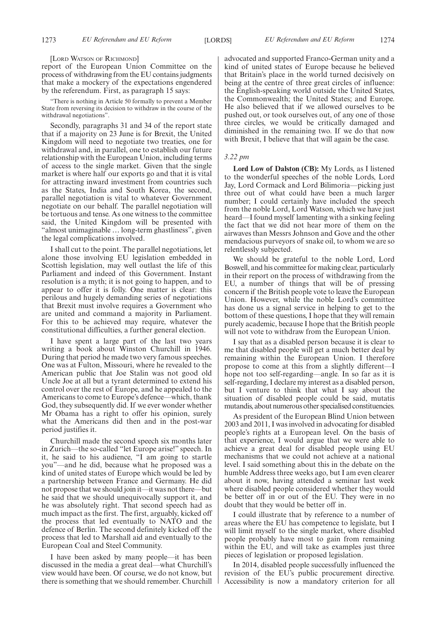#### [LORD WATSON OF RICHMOND]

report of the European Union Committee on the process of withdrawing from the EU contains judgments that make a mockery of the expectations engendered by the referendum. First, as paragraph 15 says:

"There is nothing in Article 50 formally to prevent a Member State from reversing its decision to withdraw in the course of the withdrawal negotiations".

Secondly, paragraphs 31 and 34 of the report state that if a majority on 23 June is for Brexit, the United Kingdom will need to negotiate two treaties, one for withdrawal and, in parallel, one to establish our future relationship with the European Union, including terms of access to the single market. Given that the single market is where half our exports go and that it is vital for attracting inward investment from countries such as the States, India and South Korea, the second, parallel negotiation is vital to whatever Government negotiate on our behalf. The parallel negotiation will be tortuous and tense. As one witness to the committee said, the United Kingdom will be presented with "almost unimaginable … long-term ghastliness", given the legal complications involved.

I shall cut to the point. The parallel negotiations, let alone those involving EU legislation embedded in Scottish legislation, may well outlast the life of this Parliament and indeed of this Government. Instant resolution is a myth; it is not going to happen, and to appear to offer it is folly. One matter is clear: this perilous and hugely demanding series of negotiations that Brexit must involve requires a Government who are united and command a majority in Parliament. For this to be achieved may require, whatever the constitutional difficulties, a further general election.

I have spent a large part of the last two years writing a book about Winston Churchill in 1946. During that period he made two very famous speeches. One was at Fulton, Missouri, where he revealed to the American public that Joe Stalin was not good old Uncle Joe at all but a tyrant determined to extend his control over the rest of Europe, and he appealed to the Americans to come to Europe's defence—which, thank God, they subsequently did. If we ever wonder whether Mr Obama has a right to offer his opinion, surely what the Americans did then and in the post-war period justifies it.

Churchill made the second speech six months later in Zurich—the so-called "let Europe arise!" speech. In it, he said to his audience, "I am going to startle you"—and he did, because what he proposed was a kind of united states of Europe which would be led by a partnership between France and Germany. He did not propose that we should join it—it was not there—but he said that we should unequivocally support it, and he was absolutely right. That second speech had as much impact as the first. The first, arguably, kicked off the process that led eventually to NATO and the defence of Berlin. The second definitely kicked off the process that led to Marshall aid and eventually to the European Coal and Steel Community.

I have been asked by many people—it has been discussed in the media a great deal—what Churchill's view would have been. Of course, we do not know, but there is something that we should remember. Churchill advocated and supported Franco-German unity and a kind of united states of Europe because he believed that Britain's place in the world turned decisively on being at the centre of three great circles of influence: the English-speaking world outside the United States, the Commonwealth; the United States; and Europe. He also believed that if we allowed ourselves to be pushed out, or took ourselves out, of any one of those three circles, we would be critically damaged and diminished in the remaining two. If we do that now with Brexit, I believe that that will again be the case.

#### *3.22 pm*

**Lord Low of Dalston (CB):** My Lords, as I listened to the wonderful speeches of the noble Lords, Lord Jay, Lord Cormack and Lord Bilimoria—picking just three out of what could have been a much larger number; I could certainly have included the speech from the noble Lord, Lord Watson, which we have just heard—I found myself lamenting with a sinking feeling the fact that we did not hear more of them on the airwaves than Messrs Johnson and Gove and the other mendacious purveyors of snake oil, to whom we are so relentlessly subjected.

We should be grateful to the noble Lord, Lord Boswell, and his committee for making clear, particularly in their report on the process of withdrawing from the EU, a number of things that will be of pressing concern if the British people vote to leave the European Union. However, while the noble Lord's committee has done us a signal service in helping to get to the bottom of these questions, I hope that they will remain purely academic, because I hope that the British people will not vote to withdraw from the European Union.

I say that as a disabled person because it is clear to me that disabled people will get a much better deal by remaining within the European Union. I therefore propose to come at this from a slightly different—I hope not too self-regarding—angle. In so far as it is self-regarding, I declare my interest as a disabled person, but I venture to think that what I say about the situation of disabled people could be said, mutatis mutandis, about numerous other specialised constituencies.

As president of the European Blind Union between 2003 and 2011, I was involved in advocating for disabled people's rights at a European level. On the basis of that experience, I would argue that we were able to achieve a great deal for disabled people using EU mechanisms that we could not achieve at a national level. I said something about this in the debate on the humble Address three weeks ago, but I am even clearer about it now, having attended a seminar last week where disabled people considered whether they would be better off in or out of the EU. They were in no doubt that they would be better off in.

I could illustrate that by reference to a number of areas where the EU has competence to legislate, but I will limit myself to the single market, where disabled people probably have most to gain from remaining within the EU, and will take as examples just three pieces of legislation or proposed legislation.

In 2014, disabled people successfully influenced the revision of the EU's public procurement directive. Accessibility is now a mandatory criterion for all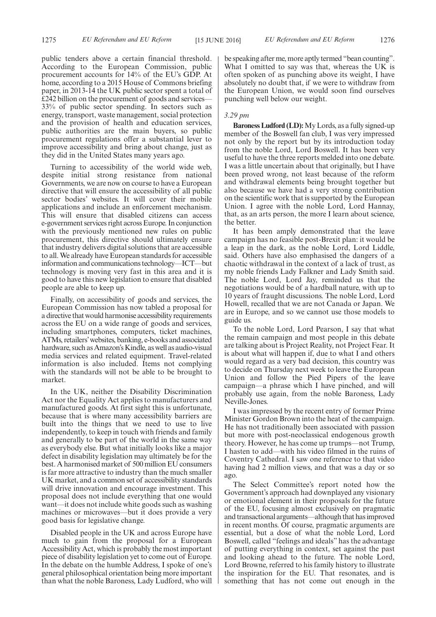public tenders above a certain financial threshold. According to the European Commission, public procurement accounts for 14% of the EU's GDP. At home, according to a 2015 House of Commons briefing paper, in 2013-14 the UK public sector spent a total of £242 billion on the procurement of goods and services— 33% of public sector spending. In sectors such as energy, transport, waste management, social protection and the provision of health and education services, public authorities are the main buyers, so public procurement regulations offer a substantial lever to improve accessibility and bring about change, just as they did in the United States many years ago.

Turning to accessibility of the world wide web, despite initial strong resistance from national Governments, we are now on course to have a European directive that will ensure the accessibility of all public sector bodies' websites. It will cover their mobile applications and include an enforcement mechanism. This will ensure that disabled citizens can access e-government services right across Europe. In conjunction with the previously mentioned new rules on public procurement, this directive should ultimately ensure that industry delivers digital solutions that are accessible to all. We already have European standards for accessible information and communications technology—ICT—but technology is moving very fast in this area and it is good to have this new legislation to ensure that disabled people are able to keep up.

Finally, on accessibility of goods and services, the European Commission has now tabled a proposal for a directive that would harmonise accessibility requirements across the EU on a wide range of goods and services, including smartphones, computers, ticket machines, ATMs, retailers'websites, banking, e-books and associated hardware, such as Amazon's Kindle, as well as audio-visual media services and related equipment. Travel-related information is also included. Items not complying with the standards will not be able to be brought to market.

In the UK, neither the Disability Discrimination Act nor the Equality Act applies to manufacturers and manufactured goods. At first sight this is unfortunate, because that is where many accessibility barriers are built into the things that we need to use to live independently, to keep in touch with friends and family and generally to be part of the world in the same way as everybody else. But what initially looks like a major defect in disability legislation may ultimately be for the best. A harmonised market of 500 million EU consumers is far more attractive to industry than the much smaller UK market, and a common set of accessibility standards will drive innovation and encourage investment. This proposal does not include everything that one would want—it does not include white goods such as washing machines or microwaves—but it does provide a very good basis for legislative change.

Disabled people in the UK and across Europe have much to gain from the proposal for a European Accessibility Act, which is probably the most important piece of disability legislation yet to come out of Europe. In the debate on the humble Address, I spoke of one's general philosophical orientation being more important than what the noble Baroness, Lady Ludford, who will be speaking after me, more aptly termed "bean counting". What I omitted to say was that, whereas the UK is often spoken of as punching above its weight, I have absolutely no doubt that, if we were to withdraw from the European Union, we would soon find ourselves punching well below our weight.

#### *3.29 pm*

**Baroness Ludford (LD):**My Lords, as a fully signed-up member of the Boswell fan club, I was very impressed not only by the report but by its introduction today from the noble Lord, Lord Boswell. It has been very useful to have the three reports melded into one debate. I was a little uncertain about that originally, but I have been proved wrong, not least because of the reform and withdrawal elements being brought together but also because we have had a very strong contribution on the scientific work that is supported by the European Union. I agree with the noble Lord, Lord Hannay, that, as an arts person, the more I learn about science, the better.

It has been amply demonstrated that the leave campaign has no feasible post-Brexit plan: it would be a leap in the dark, as the noble Lord, Lord Liddle, said. Others have also emphasised the dangers of a chaotic withdrawal in the context of a lack of trust, as my noble friends Lady Falkner and Lady Smith said. The noble Lord, Lord Jay, reminded us that the negotiations would be of a hardball nature, with up to 10 years of fraught discussions. The noble Lord, Lord Howell, recalled that we are not Canada or Japan. We are in Europe, and so we cannot use those models to guide us.

To the noble Lord, Lord Pearson, I say that what the remain campaign and most people in this debate are talking about is Project Reality, not Project Fear. It is about what will happen if, due to what I and others would regard as a very bad decision, this country was to decide on Thursday next week to leave the European Union and follow the Pied Pipers of the leave campaign—a phrase which I have pinched, and will probably use again, from the noble Baroness, Lady Neville-Jones.

I was impressed by the recent entry of former Prime Minister Gordon Brown into the heat of the campaign. He has not traditionally been associated with passion but more with post-neoclassical endogenous growth theory. However, he has come up trumps—not Trump, I hasten to add—with his video filmed in the ruins of Coventry Cathedral. I saw one reference to that video having had 2 million views, and that was a day or so ago.

The Select Committee's report noted how the Government's approach had downplayed any visionary or emotional element in their proposals for the future of the EU, focusing almost exclusively on pragmatic and transactional arguments—although that has improved in recent months. Of course, pragmatic arguments are essential, but a dose of what the noble Lord, Lord Boswell, called "feelings and ideals" has the advantage of putting everything in context, set against the past and looking ahead to the future. The noble Lord, Lord Browne, referred to his family history to illustrate the inspiration for the EU. That resonates, and is something that has not come out enough in the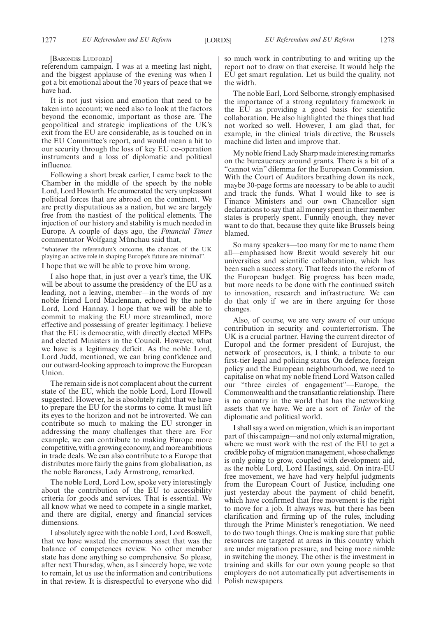[BARONESS LUDFORD]

referendum campaign. I was at a meeting last night, and the biggest applause of the evening was when I got a bit emotional about the 70 years of peace that we have had.

It is not just vision and emotion that need to be taken into account; we need also to look at the factors beyond the economic, important as those are. The geopolitical and strategic implications of the UK's exit from the EU are considerable, as is touched on in the EU Committee's report, and would mean a hit to our security through the loss of key EU co-operation instruments and a loss of diplomatic and political influence.

Following a short break earlier, I came back to the Chamber in the middle of the speech by the noble Lord, Lord Howarth. He enumerated the very unpleasant political forces that are abroad on the continent. We are pretty disputatious as a nation, but we are largely free from the nastiest of the political elements. The injection of our history and stability is much needed in Europe. A couple of days ago, the *Financial Times* commentator Wolfgang Münchau said that,

"whatever the referendum's outcome, the chances of the UK playing an active role in shaping Europe's future are minimal".

I hope that we will be able to prove him wrong.

I also hope that, in just over a year's time, the UK will be about to assume the presidency of the EU as a leading, not a leaving, member—in the words of my noble friend Lord Maclennan, echoed by the noble Lord, Lord Hannay. I hope that we will be able to commit to making the EU more streamlined, more effective and possessing of greater legitimacy. I believe that the EU is democratic, with directly elected MEPs and elected Ministers in the Council. However, what we have is a legitimacy deficit. As the noble Lord, Lord Judd, mentioned, we can bring confidence and our outward-looking approach to improve the European Union.

The remain side is not complacent about the current state of the EU, which the noble Lord, Lord Howell suggested. However, he is absolutely right that we have to prepare the EU for the storms to come. It must lift its eyes to the horizon and not be introverted. We can contribute so much to making the EU stronger in addressing the many challenges that there are. For example, we can contribute to making Europe more competitive, with a growing economy, and more ambitious in trade deals. We can also contribute to a Europe that distributes more fairly the gains from globalisation, as the noble Baroness, Lady Armstrong, remarked.

The noble Lord, Lord Low, spoke very interestingly about the contribution of the EU to accessibility criteria for goods and services. That is essential. We all know what we need to compete in a single market, and there are digital, energy and financial services dimensions.

I absolutely agree with the noble Lord, Lord Boswell, that we have wasted the enormous asset that was the balance of competences review. No other member state has done anything so comprehensive. So please, after next Thursday, when, as I sincerely hope, we vote to remain, let us use the information and contributions in that review. It is disrespectful to everyone who did so much work in contributing to and writing up the report not to draw on that exercise. It would help the EU get smart regulation. Let us build the quality, not the width.

The noble Earl, Lord Selborne, strongly emphasised the importance of a strong regulatory framework in the EU as providing a good basis for scientific collaboration. He also highlighted the things that had not worked so well. However, I am glad that, for example, in the clinical trials directive, the Brussels machine did listen and improve that.

My noble friend Lady Sharp made interesting remarks on the bureaucracy around grants. There is a bit of a "cannot win" dilemma for the European Commission. With the Court of Auditors breathing down its neck, maybe 30-page forms are necessary to be able to audit and track the funds. What I would like to see is Finance Ministers and our own Chancellor sign declarations to say that all money spent in their member states is properly spent. Funnily enough, they never want to do that, because they quite like Brussels being blamed.

So many speakers—too many for me to name them all—emphasised how Brexit would severely hit our universities and scientific collaboration, which has been such a success story. That feeds into the reform of the European budget. Big progress has been made, but more needs to be done with the continued switch to innovation, research and infrastructure. We can do that only if we are in there arguing for those changes.

Also, of course, we are very aware of our unique contribution in security and counterterrorism. The UK is a crucial partner. Having the current director of Europol and the former president of Eurojust, the network of prosecutors, is, I think, a tribute to our first-tier legal and policing status. On defence, foreign policy and the European neighbourhood, we need to capitalise on what my noble friend Lord Watson called our "three circles of engagement"—Europe, the Commonwealth and the transatlantic relationship. There is no country in the world that has the networking assets that we have. We are a sort of *Tatler* of the diplomatic and political world.

I shall say a word on migration, which is an important part of this campaign—and not only external migration, where we must work with the rest of the EU to get a credible policy of migration management, whose challenge is only going to grow, coupled with development aid, as the noble Lord, Lord Hastings, said. On intra-EU free movement, we have had very helpful judgments from the European Court of Justice, including one just yesterday about the payment of child benefit, which have confirmed that free movement is the right to move for a job. It always was, but there has been clarification and firming up of the rules, including through the Prime Minister's renegotiation. We need to do two tough things. One is making sure that public resources are targeted at areas in this country which are under migration pressure, and being more nimble in switching the money. The other is the investment in training and skills for our own young people so that employers do not automatically put advertisements in Polish newspapers.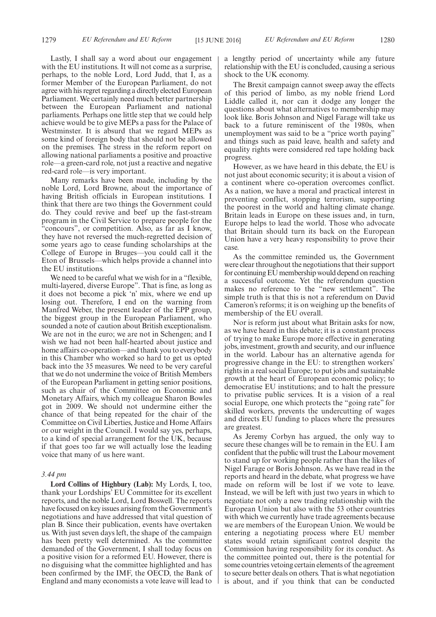Lastly, I shall say a word about our engagement with the EU institutions. It will not come as a surprise, perhaps, to the noble Lord, Lord Judd, that I, as a former Member of the European Parliament, do not agree with his regret regarding a directly elected European Parliament. We certainly need much better partnership between the European Parliament and national parliaments. Perhaps one little step that we could help achieve would be to give MEPs a pass for the Palace of Westminster. It is absurd that we regard MEPs as some kind of foreign body that should not be allowed on the premises. The stress in the reform report on allowing national parliaments a positive and proactive role—a green-card role, not just a reactive and negative red-card role—is very important.

Many remarks have been made, including by the noble Lord, Lord Browne, about the importance of having British officials in European institutions. I think that there are two things the Government could do. They could revive and beef up the fast-stream program in the Civil Service to prepare people for the "concours", or competition. Also, as far as I know, they have not reversed the much-regretted decision of some years ago to cease funding scholarships at the College of Europe in Bruges—you could call it the Eton of Brussels—which helps provide a channel into the EU institutions.

We need to be careful what we wish for in a "flexible, multi-layered, diverse Europe". That is fine, as long as it does not become a pick 'n' mix, where we end up losing out. Therefore, I end on the warning from Manfred Weber, the present leader of the EPP group, the biggest group in the European Parliament, who sounded a note of caution about British exceptionalism. We are not in the euro; we are not in Schengen; and I wish we had not been half-hearted about justice and home affairs co-operation—and thank you to everybody in this Chamber who worked so hard to get us opted back into the 35 measures. We need to be very careful that we do not undermine the voice of British Members of the European Parliament in getting senior positions, such as chair of the Committee on Economic and Monetary Affairs, which my colleague Sharon Bowles got in 2009. We should not undermine either the chance of that being repeated for the chair of the Committee on Civil Liberties, Justice and Home Affairs or our weight in the Council. I would say yes, perhaps, to a kind of special arrangement for the UK, because if that goes too far we will actually lose the leading voice that many of us here want.

#### *3.44 pm*

**Lord Collins of Highbury (Lab):** My Lords, I, too, thank your Lordships' EU Committee for its excellent reports, and the noble Lord, Lord Boswell. The reports have focused on key issues arising from the Government's negotiations and have addressed that vital question of plan B. Since their publication, events have overtaken us. With just seven days left, the shape of the campaign has been pretty well determined. As the committee demanded of the Government, I shall today focus on a positive vision for a reformed EU. However, there is no disguising what the committee highlighted and has been confirmed by the IMF, the OECD, the Bank of England and many economists a vote leave will lead to a lengthy period of uncertainty while any future relationship with the EU is concluded, causing a serious shock to the UK economy.

The Brexit campaign cannot sweep away the effects of this period of limbo, as my noble friend Lord Liddle called it, nor can it dodge any longer the questions about what alternatives to membership may look like. Boris Johnson and Nigel Farage will take us back to a future reminiscent of the 1980s, when unemployment was said to be a "price worth paying" and things such as paid leave, health and safety and equality rights were considered red tape holding back progress.

However, as we have heard in this debate, the EU is not just about economic security; it is about a vision of a continent where co-operation overcomes conflict. As a nation, we have a moral and practical interest in preventing conflict, stopping terrorism, supporting the poorest in the world and halting climate change. Britain leads in Europe on these issues and, in turn, Europe helps to lead the world. Those who advocate that Britain should turn its back on the European Union have a very heavy responsibility to prove their case.

As the committee reminded us, the Government were clear throughout the negotiations that their support for continuing EU membership would depend on reaching a successful outcome. Yet the referendum question makes no reference to the "new settlement". The simple truth is that this is not a referendum on David Cameron's reforms; it is on weighing up the benefits of membership of the EU overall.

Nor is reform just about what Britain asks for now, as we have heard in this debate; it is a constant process of trying to make Europe more effective in generating jobs, investment, growth and security, and our influence in the world. Labour has an alternative agenda for progressive change in the EU: to strengthen workers' rights in a real social Europe; to put jobs and sustainable growth at the heart of European economic policy; to democratise EU institutions; and to halt the pressure to privatise public services. It is a vision of a real social Europe, one which protects the "going rate" for skilled workers, prevents the undercutting of wages and directs EU funding to places where the pressures are greatest.

As Jeremy Corbyn has argued, the only way to secure these changes will be to remain in the EU. I am confident that the public will trust the Labour movement to stand up for working people rather than the likes of Nigel Farage or Boris Johnson. As we have read in the reports and heard in the debate, what progress we have made on reform will be lost if we vote to leave. Instead, we will be left with just two years in which to negotiate not only a new trading relationship with the European Union but also with the 53 other countries with which we currently have trade agreements because we are members of the European Union. We would be entering a negotiating process where EU member states would retain significant control despite the Commission having responsibility for its conduct. As the committee pointed out, there is the potential for some countries vetoing certain elements of the agreement to secure better deals on others. That is what negotiation is about, and if you think that can be conducted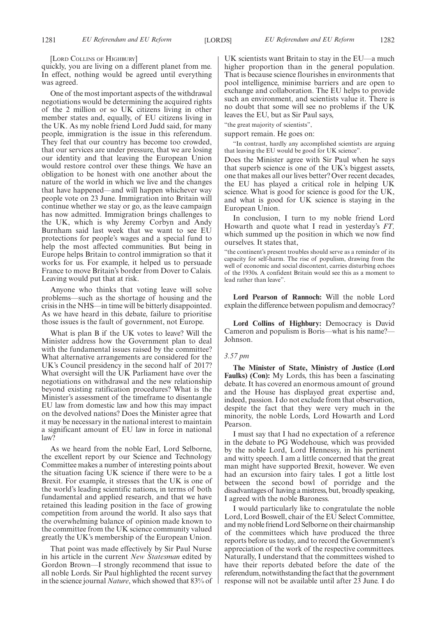[LORD COLLINS OF HIGHBURY]

quickly, you are living on a different planet from me. In effect, nothing would be agreed until everything was agreed.

One of the most important aspects of the withdrawal negotiations would be determining the acquired rights of the 2 million or so UK citizens living in other member states and, equally, of EU citizens living in the UK. As my noble friend Lord Judd said, for many people, immigration is the issue in this referendum. They feel that our country has become too crowded, that our services are under pressure, that we are losing our identity and that leaving the European Union would restore control over these things. We have an obligation to be honest with one another about the nature of the world in which we live and the changes that have happened—and will happen whichever way people vote on 23 June. Immigration into Britain will continue whether we stay or go, as the leave campaign has now admitted. Immigration brings challenges to the UK, which is why Jeremy Corbyn and Andy Burnham said last week that we want to see EU protections for people's wages and a special fund to help the most affected communities. But being in Europe helps Britain to control immigration so that it works for us. For example, it helped us to persuade France to move Britain's border from Dover to Calais. Leaving would put that at risk.

Anyone who thinks that voting leave will solve problems—such as the shortage of housing and the crisis in the NHS—in time will be bitterly disappointed. As we have heard in this debate, failure to prioritise those issues is the fault of government, not Europe.

What is plan B if the UK votes to leave? Will the Minister address how the Government plan to deal with the fundamental issues raised by the committee? What alternative arrangements are considered for the UK's Council presidency in the second half of 2017? What oversight will the UK Parliament have over the negotiations on withdrawal and the new relationship beyond existing ratification procedures? What is the Minister's assessment of the timeframe to disentangle EU law from domestic law and how this may impact on the devolved nations? Does the Minister agree that it may be necessary in the national interest to maintain a significant amount of EU law in force in national law?

As we heard from the noble Earl, Lord Selborne, the excellent report by our Science and Technology Committee makes a number of interesting points about the situation facing UK science if there were to be a Brexit. For example, it stresses that the UK is one of the world's leading scientific nations, in terms of both fundamental and applied research, and that we have retained this leading position in the face of growing competition from around the world. It also says that the overwhelming balance of opinion made known to the committee from the UK science community valued greatly the UK's membership of the European Union.

That point was made effectively by Sir Paul Nurse in his article in the current *New Statesman* edited by Gordon Brown—I strongly recommend that issue to all noble Lords. Sir Paul highlighted the recent survey in the science journal *Nature*, which showed that 83% of

UK scientists want Britain to stay in the EU—a much higher proportion than in the general population. That is because science flourishes in environments that pool intelligence, minimise barriers and are open to exchange and collaboration. The EU helps to provide such an environment, and scientists value it. There is no doubt that some will see no problems if the UK leaves the EU, but as Sir Paul says,

"the great majority of scientists",

support remain. He goes on:

"In contrast, hardly any accomplished scientists are arguing that leaving the EU would be good for UK science".

Does the Minister agree with Sir Paul when he says that superb science is one of the UK's biggest assets, one that makes all our lives better? Over recent decades, the EU has played a critical role in helping UK science. What is good for science is good for the UK, and what is good for UK science is staying in the European Union.

In conclusion, I turn to my noble friend Lord Howarth and quote what I read in yesterday's *FT,* which summed up the position in which we now find ourselves. It states that,

"the continent's present troubles should serve as a reminder of its capacity for self-harm. The rise of populism, drawing from the well of economic and social discontent, carries disturbing echoes of the 1930s. A confident Britain would see this as a moment to lead rather than leave".

**Lord Pearson of Rannoch:** Will the noble Lord explain the difference between populism and democracy?

**Lord Collins of Highbury:** Democracy is David Cameron and populism is Boris—what is his name?— Johnson.

#### *3.57 pm*

**The Minister of State, Ministry of Justice (Lord Faulks) (Con):** My Lords, this has been a fascinating debate. It has covered an enormous amount of ground and the House has displayed great expertise and, indeed, passion. I do not exclude from that observation, despite the fact that they were very much in the minority, the noble Lords, Lord Howarth and Lord Pearson.

I must say that I had no expectation of a reference in the debate to PG Wodehouse, which was provided by the noble Lord, Lord Hennessy, in his pertinent and witty speech. I am a little concerned that the great man might have supported Brexit, however. We even had an excursion into fairy tales. I got a little lost between the second bowl of porridge and the disadvantages of having a mistress, but, broadly speaking, I agreed with the noble Baroness.

I would particularly like to congratulate the noble Lord, Lord Boswell, chair of the EU Select Committee, and my noble friend Lord Selborne on their chairmanship of the committees which have produced the three reports before us today, and to record the Government's appreciation of the work of the respective committees. Naturally, I understand that the committees wished to have their reports debated before the date of the referendum, notwithstanding the fact that the government response will not be available until after 23 June. I do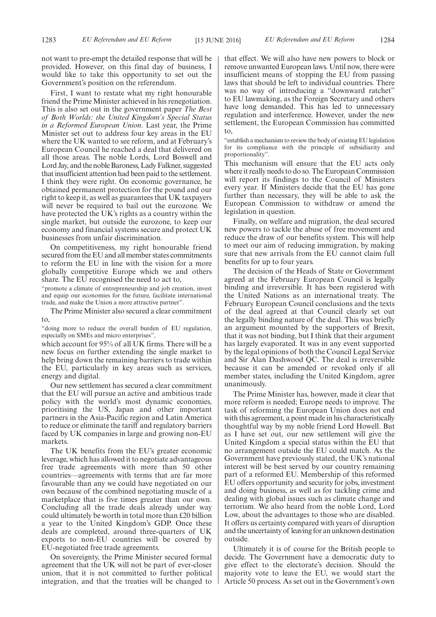not want to pre-empt the detailed response that will be provided. However, on this final day of business, I would like to take this opportunity to set out the Government's position on the referendum.

First, I want to restate what my right honourable friend the Prime Minister achieved in his renegotiation. This is also set out in the government paper *The Best of Both Worlds: the United Kingdom's Special Status in a Reformed European Union*. Last year, the Prime Minister set out to address four key areas in the EU where the UK wanted to see reform, and at February's European Council he reached a deal that delivered on all those areas. The noble Lords, Lord Boswell and Lord Jay, and the noble Baroness, Lady Falkner, suggested that insufficient attention had been paid to the settlement. I think they were right. On economic governance, he obtained permanent protection for the pound and our right to keep it, as well as guarantees that UK taxpayers will never be required to bail out the eurozone. We have protected the UK's rights as a country within the single market, but outside the eurozone, to keep our economy and financial systems secure and protect UK businesses from unfair discrimination.

On competitiveness, my right honourable friend secured from the EU and all member states commitments to reform the EU in line with the vision for a more globally competitive Europe which we and others share. The EU recognised the need to act to,

"promote a climate of entrepreneurship and job creation, invest and equip our economies for the future, facilitate international trade, and make the Union a more attractive partner".

The Prime Minister also secured a clear commitment to,

"doing more to reduce the overall burden of EU regulation, especially on SMEs and micro enterprises",

which account for 95% of all UK firms. There will be a new focus on further extending the single market to help bring down the remaining barriers to trade within the EU, particularly in key areas such as services, energy and digital.

Our new settlement has secured a clear commitment that the EU will pursue an active and ambitious trade policy with the world's most dynamic economies, prioritising the US, Japan and other important partners in the Asia-Pacific region and Latin America to reduce or eliminate the tariff and regulatory barriers faced by UK companies in large and growing non-EU markets.

The UK benefits from the EU's greater economic leverage, which has allowed it to negotiate advantageous free trade agreements with more than 50 other countries—agreements with terms that are far more favourable than any we could have negotiated on our own because of the combined negotiating muscle of a marketplace that is five times greater than our own. Concluding all the trade deals already under way could ultimately be worth in total more than £20 billion a year to the United Kingdom's GDP. Once these deals are completed, around three-quarters of UK exports to non-EU countries will be covered by EU-negotiated free trade agreements.

On sovereignty, the Prime Minister secured formal agreement that the UK will not be part of ever-closer union, that it is not committed to further political integration, and that the treaties will be changed to that effect. We will also have new powers to block or remove unwanted European laws. Until now, there were insufficient means of stopping the EU from passing laws that should be left to individual countries. There was no way of introducing a "downward ratchet" to EU lawmaking, as the Foreign Secretary and others have long demanded. This has led to unnecessary regulation and interference. However, under the new settlement, the European Commission has committed to,

"establish a mechanism to review the body of existing EU legislation for its compliance with the principle of subsidiarity and proportionality".

This mechanism will ensure that the EU acts only where it really needs to do so. The European Commission will report its findings to the Council of Ministers every year. If Ministers decide that the EU has gone further than necessary, they will be able to ask the European Commission to withdraw or amend the legislation in question.

Finally, on welfare and migration, the deal secured new powers to tackle the abuse of free movement and reduce the draw of our benefits system. This will help to meet our aim of reducing immigration, by making sure that new arrivals from the EU cannot claim full benefits for up to four years.

The decision of the Heads of State or Government agreed at the February European Council is legally binding and irreversible. It has been registered with the United Nations as an international treaty. The February European Council conclusions and the texts of the deal agreed at that Council clearly set out the legally binding nature of the deal. This was briefly an argument mounted by the supporters of Brexit, that it was not binding, but I think that their argument has largely evaporated. It was in any event supported by the legal opinions of both the Council Legal Service and Sir Alan Dashwood QC. The deal is irreversible because it can be amended or revoked only if all member states, including the United Kingdom, agree unanimously.

The Prime Minister has, however, made it clear that more reform is needed; Europe needs to improve. The task of reforming the European Union does not end with this agreement, a point made in his characteristically thoughtful way by my noble friend Lord Howell. But as I have set out, our new settlement will give the United Kingdom a special status within the EU that no arrangement outside the EU could match. As the Government have previously stated, the UK's national interest will be best served by our country remaining part of a reformed EU. Membership of this reformed EU offers opportunity and security for jobs, investment and doing business, as well as for tackling crime and dealing with global issues such as climate change and terrorism. We also heard from the noble Lord, Lord Low, about the advantages to those who are disabled. It offers us certainty compared with years of disruption and the uncertainty of leaving for an unknown destination outside.

Ultimately it is of course for the British people to decide. The Government have a democratic duty to give effect to the electorate's decision. Should the majority vote to leave the EU, we would start the Article 50 process. As set out in the Government's own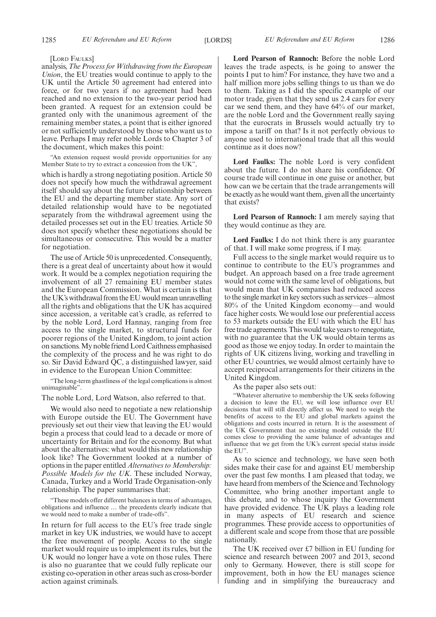[LORD FAULKS]

analysis, *The Process for Withdrawing from the European Union*, the EU treaties would continue to apply to the UK until the Article 50 agreement had entered into force, or for two years if no agreement had been reached and no extension to the two-year period had been granted. A request for an extension could be granted only with the unanimous agreement of the remaining member states, a point that is either ignored or not sufficiently understood by those who want us to leave. Perhaps I may refer noble Lords to Chapter 3 of the document, which makes this point:

"An extension request would provide opportunities for any Member State to try to extract a concession from the UK",

which is hardly a strong negotiating position. Article 50 does not specify how much the withdrawal agreement itself should say about the future relationship between the EU and the departing member state. Any sort of detailed relationship would have to be negotiated separately from the withdrawal agreement using the detailed processes set out in the EU treaties. Article 50 does not specify whether these negotiations should be simultaneous or consecutive. This would be a matter for negotiation.

The use of Article 50 is unprecedented. Consequently, there is a great deal of uncertainty about how it would work. It would be a complex negotiation requiring the involvement of all 27 remaining EU member states and the European Commission. What is certain is that the UK's withdrawal from the EU would mean unravelling all the rights and obligations that the UK has acquired since accession, a veritable cat's cradle, as referred to by the noble Lord, Lord Hannay, ranging from free access to the single market, to structural funds for poorer regions of the United Kingdom, to joint action on sanctions. My noble friend Lord Caithness emphasised the complexity of the process and he was right to do so. Sir David Edward QC, a distinguished lawyer, said in evidence to the European Union Committee:

"The long-term ghastliness of the legal complications is almost unimaginable".

The noble Lord, Lord Watson, also referred to that.

We would also need to negotiate a new relationship with Europe outside the EU. The Government have previously set out their view that leaving the EU would begin a process that could lead to a decade or more of uncertainty for Britain and for the economy. But what about the alternatives: what would this new relationship look like? The Government looked at a number of options in the paper entitled *Alternatives to Membership: Possible Models for the UK*. These included Norway, Canada, Turkey and a World Trade Organisation-only relationship. The paper summarises that:

"These models offer different balances in terms of advantages, obligations and influence … the precedents clearly indicate that we would need to make a number of trade-offs".

In return for full access to the EU's free trade single market in key UK industries, we would have to accept the free movement of people. Access to the single market would require us to implement its rules, but the UK would no longer have a vote on those rules. There is also no guarantee that we could fully replicate our existing co-operation in other areas such as cross-border action against criminals.

**Lord Pearson of Rannoch:** Before the noble Lord leaves the trade aspects, is he going to answer the points I put to him? For instance, they have two and a half million more jobs selling things to us than we do to them. Taking as I did the specific example of our motor trade, given that they send us 2.4 cars for every car we send them, and they have 64% of our market, are the noble Lord and the Government really saying that the eurocrats in Brussels would actually try to impose a tariff on that? Is it not perfectly obvious to anyone used to international trade that all this would continue as it does now?

**Lord Faulks:** The noble Lord is very confident about the future. I do not share his confidence. Of course trade will continue in one guise or another, but how can we be certain that the trade arrangements will be exactly as he would want them, given all the uncertainty that exists?

**Lord Pearson of Rannoch:** I am merely saying that they would continue as they are.

**Lord Faulks:** I do not think there is any guarantee of that. I will make some progress, if I may.

Full access to the single market would require us to continue to contribute to the EU's programmes and budget. An approach based on a free trade agreement would not come with the same level of obligations, but would mean that UK companies had reduced access to the single market in key sectors such as services—almost 80% of the United Kingdom economy—and would face higher costs. We would lose our preferential access to 53 markets outside the EU with which the EU has free trade agreements. This would take years to renegotiate, with no guarantee that the UK would obtain terms as good as those we enjoy today. In order to maintain the rights of UK citizens living, working and travelling in other EU countries, we would almost certainly have to accept reciprocal arrangements for their citizens in the United Kingdom.

As the paper also sets out:

"Whatever alternative to membership the UK seeks following a decision to leave the EU, we will lose influence over EU decisions that will still directly affect us. We need to weigh the benefits of access to the EU and global markets against the obligations and costs incurred in return. It is the assessment of the UK Government that no existing model outside the EU comes close to providing the same balance of advantages and influence that we get from the UK's current special status inside the EU".

As to science and technology, we have seen both sides make their case for and against EU membership over the past few months. I am pleased that today, we have heard from members of the Science and Technology Committee, who bring another important angle to this debate, and to whose inquiry the Government have provided evidence. The UK plays a leading role in many aspects of EU research and science programmes. These provide access to opportunities of a different scale and scope from those that are possible nationally.

The UK received over £7 billion in EU funding for science and research between 2007 and 2013, second only to Germany. However, there is still scope for improvement, both in how the EU manages science funding and in simplifying the bureaucracy and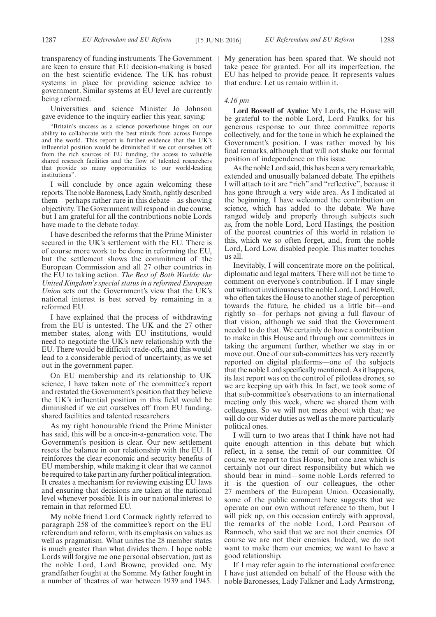transparency of funding instruments. The Government are keen to ensure that EU decision-making is based on the best scientific evidence. The UK has robust systems in place for providing science advice to government. Similar systems at EU level are currently being reformed.

Universities and science Minister Jo Johnson gave evidence to the inquiry earlier this year, saying:

"Britain's success as a science powerhouse hinges on our ability to collaborate with the best minds from across Europe and the world. This report is further evidence that the UK's influential position would be diminished if we cut ourselves off from the rich sources of EU funding, the access to valuable shared research facilities and the flow of talented researchers that provide so many opportunities to our world-leading institutions".

I will conclude by once again welcoming these reports. The noble Baroness, Lady Smith, rightly described them—perhaps rather rare in this debate—as showing objectivity. The Government will respond in due course, but I am grateful for all the contributions noble Lords have made to the debate today.

I have described the reforms that the Prime Minister secured in the UK's settlement with the EU. There is of course more work to be done in reforming the EU, but the settlement shows the commitment of the European Commission and all 27 other countries in the EU to taking action. *The Best of Both Worlds: the United Kingdom's special status in a reformed European Union* sets out the Government's view that the UK's national interest is best served by remaining in a reformed EU.

I have explained that the process of withdrawing from the EU is untested. The UK and the 27 other member states, along with EU institutions, would need to negotiate the UK's new relationship with the EU. There would be difficult trade-offs, and this would lead to a considerable period of uncertainty, as we set out in the government paper.

On EU membership and its relationship to UK science, I have taken note of the committee's report and restated the Government's position that they believe the UK's influential position in this field would be diminished if we cut ourselves off from EU funding, shared facilities and talented researchers.

As my right honourable friend the Prime Minister has said, this will be a once-in-a-generation vote. The Government's position is clear. Our new settlement resets the balance in our relationship with the EU. It reinforces the clear economic and security benefits of EU membership, while making it clear that we cannot be required to take part in any further political integration. It creates a mechanism for reviewing existing EU laws and ensuring that decisions are taken at the national level whenever possible. It is in our national interest to remain in that reformed EU.

My noble friend Lord Cormack rightly referred to paragraph 258 of the committee's report on the EU referendum and reform, with its emphasis on values as well as pragmatism. What unites the 28 member states is much greater than what divides them. I hope noble Lords will forgive me one personal observation, just as the noble Lord, Lord Browne, provided one. My grandfather fought at the Somme. My father fought in a number of theatres of war between 1939 and 1945.

My generation has been spared that. We should not take peace for granted. For all its imperfection, the EU has helped to provide peace. It represents values that endure. Let us remain within it.

## *4.16 pm*

**Lord Boswell of Aynho:** My Lords, the House will be grateful to the noble Lord, Lord Faulks, for his generous response to our three committee reports collectively, and for the tone in which he explained the Government's position. I was rather moved by his final remarks, although that will not shake our formal position of independence on this issue.

As the noble Lord said, this has been a very remarkable, extended and unusually balanced debate. The epithets I will attach to it are "rich" and "reflective", because it has gone through a very wide area. As I indicated at the beginning, I have welcomed the contribution on science, which has added to the debate. We have ranged widely and properly through subjects such as, from the noble Lord, Lord Hastings, the position of the poorest countries of this world in relation to this, which we so often forget, and, from the noble Lord, Lord Low, disabled people. This matter touches us all.

Inevitably, I will concentrate more on the political, diplomatic and legal matters. There will not be time to comment on everyone's contribution. If I may single out without invidiousness the noble Lord, Lord Howell, who often takes the House to another stage of perception towards the future, he chided us a little bit—and rightly so—for perhaps not giving a full flavour of that vision, although we said that the Government needed to do that. We certainly do have a contribution to make in this House and through our committees in taking the argument further, whether we stay in or move out. One of our sub-committees has very recently reported on digital platforms—one of the subjects that the noble Lord specifically mentioned. As it happens, its last report was on the control of pilotless drones, so we are keeping up with this. In fact, we took some of that sub-committee's observations to an international meeting only this week, where we shared them with colleagues. So we will not mess about with that; we will do our wider duties as well as the more particularly political ones.

I will turn to two areas that I think have not had quite enough attention in this debate but which reflect, in a sense, the remit of our committee. Of course, we report to this House, but one area which is certainly not our direct responsibility but which we should bear in mind—some noble Lords referred to it—is the question of our colleagues, the other 27 members of the European Union. Occasionally, some of the public comment here suggests that we operate on our own without reference to them, but I will pick up, on this occasion entirely with approval, the remarks of the noble Lord, Lord Pearson of Rannoch, who said that we are not their enemies. Of course we are not their enemies. Indeed, we do not want to make them our enemies; we want to have a good relationship.

If I may refer again to the international conference I have just attended on behalf of the House with the noble Baronesses, Lady Falkner and Lady Armstrong,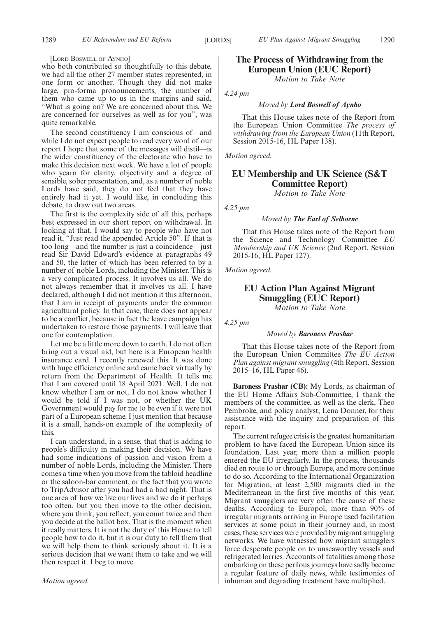#### [LORD BOSWELL OF AYNHO]

who both contributed so thoughtfully to this debate, we had all the other 27 member states represented, in one form or another. Though they did not make large, pro-forma pronouncements, the number of them who came up to us in the margins and said, "What is going on? We are concerned about this. We are concerned for ourselves as well as for you", was quite remarkable.

The second constituency I am conscious of—and while I do not expect people to read every word of our report I hope that some of the messages will distil—is the wider constituency of the electorate who have to make this decision next week. We have a lot of people who yearn for clarity, objectivity and a degree of sensible, sober presentation, and, as a number of noble Lords have said, they do not feel that they have entirely had it yet. I would like, in concluding this debate, to draw out two areas.

The first is the complexity side of all this, perhaps best expressed in our short report on withdrawal. In looking at that, I would say to people who have not read it, "Just read the appended Article 50". If that is too long—and the number is just a coincidence—just read Sir David Edward's evidence at paragraphs 49 and 50, the latter of which has been referred to by a number of noble Lords, including the Minister. This is a very complicated process. It involves us all. We do not always remember that it involves us all. I have declared, although I did not mention it this afternoon, that I am in receipt of payments under the common agricultural policy. In that case, there does not appear to be a conflict, because in fact the leave campaign has undertaken to restore those payments. I will leave that one for contemplation.

Let me be a little more down to earth. I do not often bring out a visual aid, but here is a European health insurance card. I recently renewed this. It was done with huge efficiency online and came back virtually by return from the Department of Health. It tells me that I am covered until 18 April 2021. Well, I do not know whether I am or not. I do not know whether I would be told if I was not, or whether the UK Government would pay for me to be even if it were not part of a European scheme. I just mention that because it is a small, hands-on example of the complexity of this.

I can understand, in a sense, that that is adding to people's difficulty in making their decision. We have had some indications of passion and vision from a number of noble Lords, including the Minister. There comes a time when you move from the tabloid headline or the saloon-bar comment, or the fact that you wrote to TripAdvisor after you had had a bad night. That is one area of how we live our lives and we do it perhaps too often, but you then move to the other decision, where you think, you reflect, you count twice and then you decide at the ballot box. That is the moment when it really matters. It is not the duty of this House to tell people how to do it, but it is our duty to tell them that we will help them to think seriously about it. It is a serious decision that we want them to take and we will then respect it. I beg to move.

#### *Motion agreed.*

# **The Process of Withdrawing from the European Union (EUC Report)**

*Motion to Take Note*

#### *4.24 pm*

## *Moved by Lord Boswell of Aynho*

That this House takes note of the Report from the European Union Committee *The process of withdrawing from the European Union* (11th Report, Session 2015-16, HL Paper 138).

*Motion agreed.*

# **EU Membership and UK Science (S&T Committee Report)**

*Motion to Take Note*

*4.25 pm*

*Moved by The Earl of Selborne*

That this House takes note of the Report from the Science and Technology Committee *EU Membership and UK Science* (2nd Report, Session 2015-16, HL Paper 127).

*Motion agreed.*

# **EU Action Plan Against Migrant Smuggling (EUC Report)**

*Motion to Take Note*

*4.25 pm*

#### *Moved by Baroness Prashar*

That this House takes note of the Report from the European Union Committee *The EU Action Plan against migrant smuggling* (4th Report, Session 2015–16, HL Paper 46).

**Baroness Prashar (CB):** My Lords, as chairman of the EU Home Affairs Sub-Committee, I thank the members of the committee, as well as the clerk, Theo Pembroke, and policy analyst, Lena Donner, for their assistance with the inquiry and preparation of this report.

The current refugee crisis is the greatest humanitarian problem to have faced the European Union since its foundation. Last year, more than a million people entered the EU irregularly. In the process, thousands died en route to or through Europe, and more continue to do so. According to the International Organization for Migration, at least 2,500 migrants died in the Mediterranean in the first five months of this year. Migrant smugglers are very often the cause of these deaths. According to Europol, more than 90% of irregular migrants arriving in Europe used facilitation services at some point in their journey and, in most cases, these services were provided by migrant smuggling networks. We have witnessed how migrant smugglers force desperate people on to unseaworthy vessels and refrigerated lorries. Accounts of fatalities among those embarking on these perilous journeys have sadly become a regular feature of daily news, while testimonies of inhuman and degrading treatment have multiplied.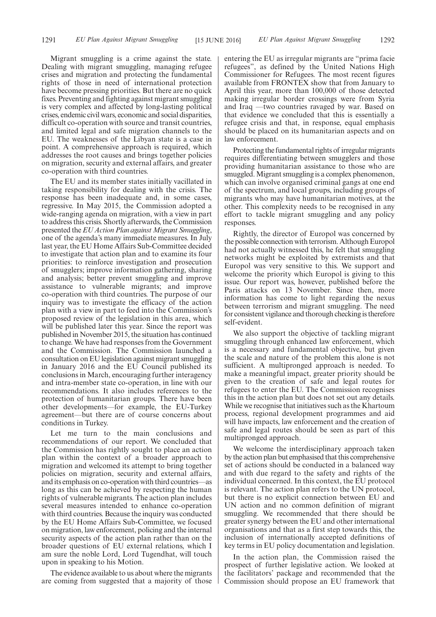Migrant smuggling is a crime against the state. Dealing with migrant smuggling, managing refugee crises and migration and protecting the fundamental rights of those in need of international protection have become pressing priorities. But there are no quick fixes. Preventing and fighting against migrant smuggling is very complex and affected by long-lasting political crises, endemic civil wars, economic and social disparities, difficult co-operation with source and transit countries, and limited legal and safe migration channels to the EU. The weaknesses of the Libyan state is a case in point. A comprehensive approach is required, which addresses the root causes and brings together policies on migration, security and external affairs, and greater co-operation with third countries.

The EU and its member states initially vacillated in taking responsibility for dealing with the crisis. The response has been inadequate and, in some cases, regressive. In May 2015, the Commission adopted a wide-ranging agenda on migration, with a view in part to address this crisis. Shortly afterwards, the Commission presented the*EU Action Plan against Migrant Smuggling*, one of the agenda's many immediate measures. In July last year, the EU Home Affairs Sub-Committee decided to investigate that action plan and to examine its four priorities: to reinforce investigation and prosecution of smugglers; improve information gathering, sharing and analysis; better prevent smuggling and improve assistance to vulnerable migrants; and improve co-operation with third countries. The purpose of our inquiry was to investigate the efficacy of the action plan with a view in part to feed into the Commission's proposed review of the legislation in this area, which will be published later this year. Since the report was published in November 2015, the situation has continued to change. We have had responses from the Government and the Commission. The Commission launched a consultation on EU legislation against migrant smuggling in January 2016 and the EU Council published its conclusions in March, encouraging further interagency and intra-member state co-operation, in line with our recommendations. It also includes references to the protection of humanitarian groups. There have been other developments—for example, the EU-Turkey agreement—but there are of course concerns about conditions in Turkey.

Let me turn to the main conclusions and recommendations of our report. We concluded that the Commission has rightly sought to place an action plan within the context of a broader approach to migration and welcomed its attempt to bring together policies on migration, security and external affairs, and its emphasis on co-operation with third countries—as long as this can be achieved by respecting the human rights of vulnerable migrants. The action plan includes several measures intended to enhance co-operation with third countries. Because the inquiry was conducted by the EU Home Affairs Sub-Committee, we focused on migration, law enforcement, policing and the internal security aspects of the action plan rather than on the broader questions of EU external relations, which I am sure the noble Lord, Lord Tugendhat, will touch upon in speaking to his Motion.

The evidence available to us about where the migrants are coming from suggested that a majority of those entering the EU as irregular migrants are "prima facie refugees", as defined by the United Nations High Commissioner for Refugees. The most recent figures available from FRONTEX show that from January to April this year, more than 100,000 of those detected making irregular border crossings were from Syria and Iraq —two countries ravaged by war. Based on that evidence we concluded that this is essentially a refugee crisis and that, in response, equal emphasis should be placed on its humanitarian aspects and on law enforcement.

Protecting the fundamental rights of irregular migrants requires differentiating between smugglers and those providing humanitarian assistance to those who are smuggled. Migrant smuggling is a complex phenomenon, which can involve organised criminal gangs at one end of the spectrum, and local groups, including groups of migrants who may have humanitarian motives, at the other. This complexity needs to be recognised in any effort to tackle migrant smuggling and any policy responses.

Rightly, the director of Europol was concerned by the possible connection with terrorism. Although Europol had not actually witnessed this, he felt that smuggling networks might be exploited by extremists and that Europol was very sensitive to this. We support and welcome the priority which Europol is giving to this issue. Our report was, however, published before the Paris attacks on 13 November. Since then, more information has come to light regarding the nexus between terrorism and migrant smuggling. The need for consistent vigilance and thorough checking is therefore self-evident.

We also support the objective of tackling migrant smuggling through enhanced law enforcement, which is a necessary and fundamental objective, but given the scale and nature of the problem this alone is not sufficient. A multipronged approach is needed. To make a meaningful impact, greater priority should be given to the creation of safe and legal routes for refugees to enter the EU. The Commission recognises this in the action plan but does not set out any details. While we recognise that initiatives such as the Khartoum process, regional development programmes and aid will have impacts, law enforcement and the creation of safe and legal routes should be seen as part of this multipronged approach.

We welcome the interdisciplinary approach taken by the action plan but emphasised that this comprehensive set of actions should be conducted in a balanced way and with due regard to the safety and rights of the individual concerned. In this context, the EU protocol is relevant. The action plan refers to the UN protocol, but there is no explicit connection between EU and UN action and no common definition of migrant smuggling. We recommended that there should be greater synergy between the EU and other international organisations and that as a first step towards this, the inclusion of internationally accepted definitions of key terms in EU policy documentation and legislation.

In the action plan, the Commission raised the prospect of further legislative action. We looked at the facilitators' package and recommended that the Commission should propose an EU framework that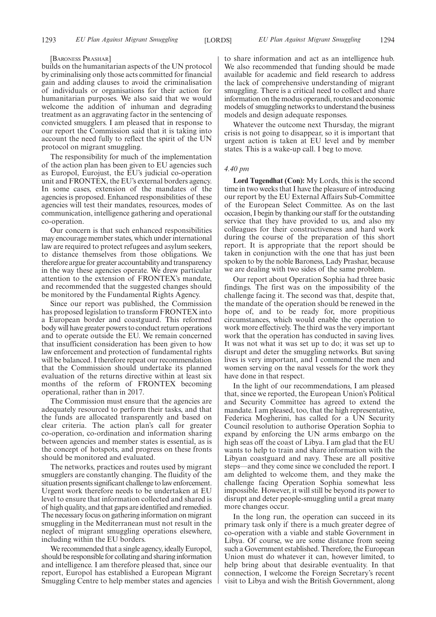#### [BARONESS PRASHAR]

builds on the humanitarian aspects of the UN protocol by criminalising only those acts committed for financial gain and adding clauses to avoid the criminalisation of individuals or organisations for their action for humanitarian purposes. We also said that we would welcome the addition of inhuman and degrading treatment as an aggravating factor in the sentencing of convicted smugglers. I am pleased that in response to our report the Commission said that it is taking into account the need fully to reflect the spirit of the UN protocol on migrant smuggling.

The responsibility for much of the implementation of the action plan has been given to EU agencies such as Europol, Eurojust, the EU's judicial co-operation unit and FRONTEX, the EU's external borders agency. In some cases, extension of the mandates of the agencies is proposed. Enhanced responsibilities of these agencies will test their mandates, resources, modes of communication, intelligence gathering and operational co-operation.

Our concern is that such enhanced responsibilities may encourage member states, which under international law are required to protect refugees and asylum seekers, to distance themselves from those obligations. We therefore argue for greater accountability and transparency in the way these agencies operate. We drew particular attention to the extension of FRONTEX's mandate, and recommended that the suggested changes should be monitored by the Fundamental Rights Agency.

Since our report was published, the Commission has proposed legislation to transform FRONTEX into a European border and coastguard. This reformed body will have greater powers to conduct return operations and to operate outside the EU. We remain concerned that insufficient consideration has been given to how law enforcement and protection of fundamental rights will be balanced. I therefore repeat our recommendation that the Commission should undertake its planned evaluation of the returns directive within at least six months of the reform of FRONTEX becoming operational, rather than in 2017.

The Commission must ensure that the agencies are adequately resourced to perform their tasks, and that the funds are allocated transparently and based on clear criteria. The action plan's call for greater co-operation, co-ordination and information sharing between agencies and member states is essential, as is the concept of hotspots, and progress on these fronts should be monitored and evaluated.

The networks, practices and routes used by migrant smugglers are constantly changing. The fluidity of the situation presents significant challenge to law enforcement. Urgent work therefore needs to be undertaken at EU level to ensure that information collected and shared is of high quality, and that gaps are identified and remedied. The necessary focus on gathering information on migrant smuggling in the Mediterranean must not result in the neglect of migrant smuggling operations elsewhere, including within the EU borders.

We recommended that a single agency, ideally Europol, should be responsible for collating and sharing information and intelligence. I am therefore pleased that, since our report, Europol has established a European Migrant Smuggling Centre to help member states and agencies to share information and act as an intelligence hub. We also recommended that funding should be made available for academic and field research to address the lack of comprehensive understanding of migrant smuggling. There is a critical need to collect and share information on the modus operandi, routes and economic models of smuggling networks to understand the business models and design adequate responses.

Whatever the outcome next Thursday, the migrant crisis is not going to disappear, so it is important that urgent action is taken at EU level and by member states. This is a wake-up call. I beg to move.

#### *4.40 pm*

**Lord Tugendhat (Con):** My Lords, this is the second time in two weeks that I have the pleasure of introducing our report by the EU External Affairs Sub-Committee of the European Select Committee. As on the last occasion, I begin by thanking our staff for the outstanding service that they have provided to us, and also my colleagues for their constructiveness and hard work during the course of the preparation of this short report. It is appropriate that the report should be taken in conjunction with the one that has just been spoken to by the noble Baroness, Lady Prashar, because we are dealing with two sides of the same problem.

Our report about Operation Sophia had three basic findings. The first was on the impossibility of the challenge facing it. The second was that, despite that, the mandate of the operation should be renewed in the hope of, and to be ready for, more propitious circumstances, which would enable the operation to work more effectively. The third was the very important work that the operation has conducted in saving lives. It was not what it was set up to do; it was set up to disrupt and deter the smuggling networks. But saving lives is very important, and I commend the men and women serving on the naval vessels for the work they have done in that respect.

In the light of our recommendations, I am pleased that, since we reported, the European Union's Political and Security Committee has agreed to extend the mandate. I am pleased, too, that the high representative, Federica Mogherini, has called for a UN Security Council resolution to authorise Operation Sophia to expand by enforcing the UN arms embargo on the high seas off the coast of Libya. I am glad that the EU wants to help to train and share information with the Libyan coastguard and navy. These are all positive steps—and they come since we concluded the report. I am delighted to welcome them, and they make the challenge facing Operation Sophia somewhat less impossible. However, it will still be beyond its power to disrupt and deter people-smuggling until a great many more changes occur.

In the long run, the operation can succeed in its primary task only if there is a much greater degree of co-operation with a viable and stable Government in Libya. Of course, we are some distance from seeing such a Government established. Therefore, the European Union must do whatever it can, however limited, to help bring about that desirable eventuality. In that connection, I welcome the Foreign Secretary's recent visit to Libya and wish the British Government, along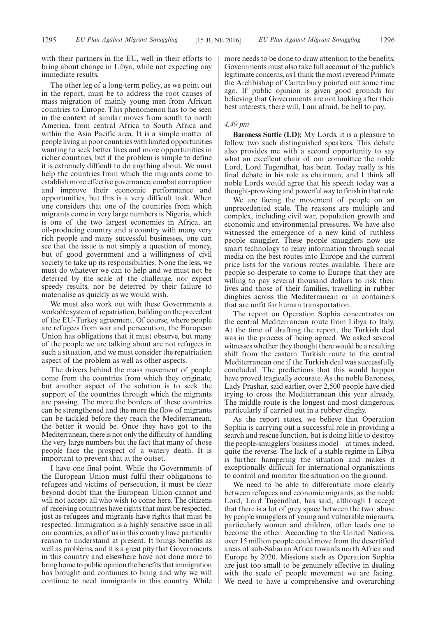with their partners in the EU, well in their efforts to bring about change in Libya, while not expecting any immediate results.

The other leg of a long-term policy, as we point out in the report, must be to address the root causes of mass migration of mainly young men from African countries to Europe. This phenomenon has to be seen in the context of similar moves from south to north America, from central Africa to South Africa and within the Asia Pacific area. It is a simple matter of people living in poor countries with limited opportunities wanting to seek better lives and more opportunities in richer countries, but if the problem is simple to define it is extremely difficult to do anything about. We must help the countries from which the migrants come to establish more effective governance, combat corruption and improve their economic performance and opportunities, but this is a very difficult task. When one considers that one of the countries from which migrants come in very large numbers is Nigeria, which is one of the two largest economies in Africa, an oil-producing country and a country with many very rich people and many successful businesses, one can see that the issue is not simply a question of money, but of good government and a willingness of civil society to take up its responsibilities. None the less, we must do whatever we can to help and we must not be deterred by the scale of the challenge, nor expect speedy results, nor be deterred by their failure to materialise as quickly as we would wish.

We must also work out with these Governments a workable system of repatriation, building on the precedent of the EU-Turkey agreement. Of course, where people are refugees from war and persecution, the European Union has obligations that it must observe, but many of the people we are talking about are not refugees in such a situation, and we must consider the repatriation aspect of the problem as well as other aspects.

The drivers behind the mass movement of people come from the countries from which they originate, but another aspect of the solution is to seek the support of the countries through which the migrants are passing. The more the borders of these countries can be strengthened and the more the flow of migrants can be tackled before they reach the Mediterranean, the better it would be. Once they have got to the Mediterranean, there is not only the difficulty of handling the very large numbers but the fact that many of those people face the prospect of a watery death. It is important to prevent that at the outset.

I have one final point. While the Governments of the European Union must fulfil their obligations to refugees and victims of persecution, it must be clear beyond doubt that the European Union cannot and will not accept all who wish to come here. The citizens of receiving countries have rights that must be respected, just as refugees and migrants have rights that must be respected. Immigration is a highly sensitive issue in all our countries, as all of us in this country have particular reason to understand at present. It brings benefits as well as problems, and it is a great pity that Governments in this country and elsewhere have not done more to bring home to public opinion the benefits that immigration has brought and continues to bring and why we will continue to need immigrants in this country. While more needs to be done to draw attention to the benefits, Governments must also take full account of the public's legitimate concerns, as I think the most reverend Primate the Archbishop of Canterbury pointed out some time ago. If public opinion is given good grounds for believing that Governments are not looking after their best interests, there will, I am afraid, be hell to pay.

## *4.49 pm*

**Baroness Suttie (LD):** My Lords, it is a pleasure to follow two such distinguished speakers. This debate also provides me with a second opportunity to say what an excellent chair of our committee the noble Lord, Lord Tugendhat, has been. Today really is his final debate in his role as chairman, and I think all noble Lords would agree that his speech today was a thought-provoking and powerful way to finish in that role.

We are facing the movement of people on an unprecedented scale. The reasons are multiple and complex, including civil war, population growth and economic and environmental pressures. We have also witnessed the emergence of a new kind of ruthless people smuggler. These people smugglers now use smart technology to relay information through social media on the best routes into Europe and the current price lists for the various routes available. There are people so desperate to come to Europe that they are willing to pay several thousand dollars to risk their lives and those of their families, travelling in rubber dinghies across the Mediterranean or in containers that are unfit for human transportation.

The report on Operation Sophia concentrates on the central Mediterranean route from Libya to Italy. At the time of drafting the report, the Turkish deal was in the process of being agreed. We asked several witnesses whether they thought there would be a resulting shift from the eastern Turkish route to the central Mediterranean one if the Turkish deal was successfully concluded. The predictions that this would happen have proved tragically accurate. As the noble Baroness, Lady Prashar, said earlier, over 2,500 people have died trying to cross the Mediterranean this year already. The middle route is the longest and most dangerous, particularly if carried out in a rubber dinghy.

As the report states, we believe that Operation Sophia is carrying out a successful role in providing a search and rescue function, but is doing little to destroy the people-smugglers' business model—at times, indeed, quite the reverse. The lack of a stable regime in Libya is further hampering the situation and makes it exceptionally difficult for international organisations to control and monitor the situation on the ground.

We need to be able to differentiate more clearly between refugees and economic migrants, as the noble Lord, Lord Tugendhat, has said, although I accept that there is a lot of grey space between the two: abuse by people smugglers of young and vulnerable migrants, particularly women and children, often leads one to become the other. According to the United Nations, over 15 million people could move from the desertified areas of sub-Saharan Africa towards north Africa and Europe by 2020. Missions such as Operation Sophia are just too small to be genuinely effective in dealing with the scale of people movement we are facing. We need to have a comprehensive and overarching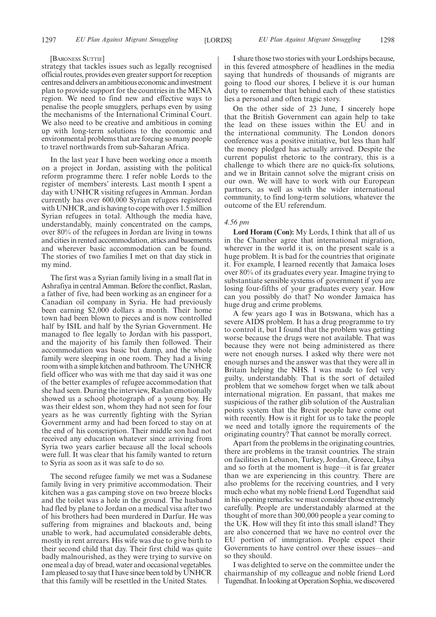#### [BARONESS SUTTIE]

strategy that tackles issues such as legally recognised official routes, provides even greater support for reception centres and delivers an ambitious economic and investment plan to provide support for the countries in the MENA region. We need to find new and effective ways to penalise the people smugglers, perhaps even by using the mechanisms of the International Criminal Court. We also need to be creative and ambitious in coming up with long-term solutions to the economic and environmental problems that are forcing so many people to travel northwards from sub-Saharan Africa.

In the last year I have been working once a month on a project in Jordan, assisting with the political reform programme there. I refer noble Lords to the register of members' interests. Last month I spent a day with UNHCR visiting refugees in Amman. Jordan currently has over 600,000 Syrian refugees registered with UNHCR, and is having to cope with over 1.5 million Syrian refugees in total. Although the media have, understandably, mainly concentrated on the camps, over 80% of the refugees in Jordan are living in towns and cities in rented accommodation, attics and basements and wherever basic accommodation can be found. The stories of two families I met on that day stick in my mind.

The first was a Syrian family living in a small flat in Ashrafiya in central Amman. Before the conflict, Raslan, a father of five, had been working as an engineer for a Canadian oil company in Syria. He had previously been earning \$2,000 dollars a month. Their home town had been blown to pieces and is now controlled half by ISIL and half by the Syrian Government. He managed to flee legally to Jordan with his passport, and the majority of his family then followed. Their accommodation was basic but damp, and the whole family were sleeping in one room. They had a living room with a simple kitchen and bathroom. The UNHCR field officer who was with me that day said it was one of the better examples of refugee accommodation that she had seen. During the interview, Raslan emotionally showed us a school photograph of a young boy. He was their eldest son, whom they had not seen for four years as he was currently fighting with the Syrian Government army and had been forced to stay on at the end of his conscription. Their middle son had not received any education whatever since arriving from Syria two years earlier because all the local schools were full. It was clear that his family wanted to return to Syria as soon as it was safe to do so.

The second refugee family we met was a Sudanese family living in very primitive accommodation. Their kitchen was a gas camping stove on two breeze blocks and the toilet was a hole in the ground. The husband had fled by plane to Jordan on a medical visa after two of his brothers had been murdered in Darfur. He was suffering from migraines and blackouts and, being unable to work, had accumulated considerable debts, mostly in rent arrears. His wife was due to give birth to their second child that day. Their first child was quite badly malnourished, as they were trying to survive on one meal a day of bread, water and occasional vegetables. I am pleased to say that I have since been told by UNHCR that this family will be resettled in the United States.

I share those two stories with your Lordships because, in this fevered atmosphere of headlines in the media saying that hundreds of thousands of migrants are going to flood our shores, I believe it is our human duty to remember that behind each of these statistics lies a personal and often tragic story.

On the other side of 23 June, I sincerely hope that the British Government can again help to take the lead on these issues within the EU and in the international community. The London donors conference was a positive initiative, but less than half the money pledged has actually arrived. Despite the current populist rhetoric to the contrary, this is a challenge to which there are no quick-fix solutions, and we in Britain cannot solve the migrant crisis on our own. We will have to work with our European partners, as well as with the wider international community, to find long-term solutions, whatever the outcome of the EU referendum.

#### *4.56 pm*

**Lord Horam (Con):** My Lords, I think that all of us in the Chamber agree that international migration, wherever in the world it is, on the present scale is a huge problem. It is bad for the countries that originate it. For example, I learned recently that Jamaica loses over 80% of its graduates every year. Imagine trying to substantiate sensible systems of government if you are losing four-fifths of your graduates every year. How can you possibly do that? No wonder Jamaica has huge drug and crime problems.

A few years ago I was in Botswana, which has a severe AIDS problem. It has a drug programme to try to control it, but I found that the problem was getting worse because the drugs were not available. That was because they were not being administered as there were not enough nurses. I asked why there were not enough nurses and the answer was that they were all in Britain helping the NHS. I was made to feel very guilty, understandably. That is the sort of detailed problem that we somehow forget when we talk about international migration. En passant, that makes me suspicious of the rather glib solution of the Australian points system that the Brexit people have come out with recently. How is it right for us to take the people we need and totally ignore the requirements of the originating country? That cannot be morally correct.

Apart from the problems in the originating countries, there are problems in the transit countries. The strain on facilities in Lebanon, Turkey, Jordan, Greece, Libya and so forth at the moment is huge—it is far greater than we are experiencing in this country. There are also problems for the receiving countries, and I very much echo what my noble friend Lord Tugendhat said in his opening remarks: we must consider those extremely carefully. People are understandably alarmed at the thought of more than 300,000 people a year coming to the UK. How will they fit into this small island? They are also concerned that we have no control over the EU portion of immigration. People expect their Governments to have control over these issues—and so they should.

I was delighted to serve on the committee under the chairmanship of my colleague and noble friend Lord Tugendhat. In looking at Operation Sophia, we discovered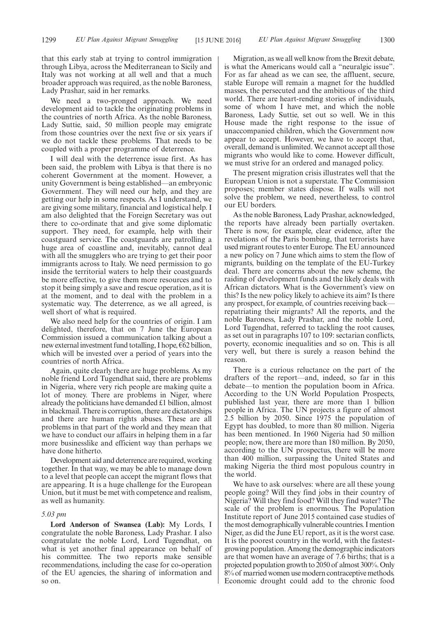that this early stab at trying to control immigration through Libya, across the Mediterranean to Sicily and Italy was not working at all well and that a much broader approach was required, as the noble Baroness, Lady Prashar, said in her remarks.

We need a two-pronged approach. We need development aid to tackle the originating problems in the countries of north Africa. As the noble Baroness, Lady Suttie, said, 50 million people may emigrate from those countries over the next five or six years if we do not tackle these problems. That needs to be coupled with a proper programme of deterrence.

I will deal with the deterrence issue first. As has been said, the problem with Libya is that there is no coherent Government at the moment. However, a unity Government is being established—an embryonic Government. They will need our help, and they are getting our help in some respects. As I understand, we are giving some military, financial and logistical help. I am also delighted that the Foreign Secretary was out there to co-ordinate that and give some diplomatic support. They need, for example, help with their coastguard service. The coastguards are patrolling a huge area of coastline and, inevitably, cannot deal with all the smugglers who are trying to get their poor immigrants across to Italy. We need permission to go inside the territorial waters to help their coastguards be more effective, to give them more resources and to stop it being simply a save and rescue operation, as it is at the moment, and to deal with the problem in a systematic way. The deterrence, as we all agreed, is well short of what is required.

We also need help for the countries of origin. I am delighted, therefore, that on 7 June the European Commission issued a communication talking about a new external investment fund totalling, I hope,  $\epsilon$ 62 billion, which will be invested over a period of years into the countries of north Africa.

Again, quite clearly there are huge problems. As my noble friend Lord Tugendhat said, there are problems in Nigeria, where very rich people are making quite a lot of money. There are problems in Niger, where already the politicians have demanded £1 billion, almost in blackmail. There is corruption, there are dictatorships and there are human rights abuses. These are all problems in that part of the world and they mean that we have to conduct our affairs in helping them in a far more businesslike and efficient way than perhaps we have done hitherto.

Development aid and deterrence are required, working together. In that way, we may be able to manage down to a level that people can accept the migrant flows that are appearing. It is a huge challenge for the European Union, but it must be met with competence and realism, as well as humanity.

## *5.03 pm*

**Lord Anderson of Swansea (Lab):** My Lords, I congratulate the noble Baroness, Lady Prashar. I also congratulate the noble Lord, Lord Tugendhat, on what is yet another final appearance on behalf of his committee. The two reports make sensible recommendations, including the case for co-operation of the EU agencies, the sharing of information and so on.

Migration, as we all well know from the Brexit debate, is what the Americans would call a "neuralgic issue". For as far ahead as we can see, the affluent, secure, stable Europe will remain a magnet for the huddled masses, the persecuted and the ambitious of the third world. There are heart-rending stories of individuals, some of whom I have met, and which the noble Baroness, Lady Suttie, set out so well. We in this House made the right response to the issue of unaccompanied children, which the Government now appear to accept. However, we have to accept that, overall, demand is unlimited. We cannot accept all those migrants who would like to come. However difficult, we must strive for an ordered and managed policy.

The present migration crisis illustrates well that the European Union is not a superstate. The Commission proposes; member states dispose. If walls will not solve the problem, we need, nevertheless, to control our EU borders.

As the noble Baroness, Lady Prashar, acknowledged, the reports have already been partially overtaken. There is now, for example, clear evidence, after the revelations of the Paris bombing, that terrorists have used migrant routes to enter Europe. The EU announced a new policy on 7 June which aims to stem the flow of migrants, building on the template of the EU-Turkey deal. There are concerns about the new scheme, the raiding of development funds and the likely deals with African dictators. What is the Government's view on this? Is the new policy likely to achieve its aim? Is there any prospect, for example, of countries receiving back repatriating their migrants? All the reports, and the noble Baroness, Lady Prashar, and the noble Lord, Lord Tugendhat, referred to tackling the root causes, as set out in paragraphs 107 to 109: sectarian conflicts, poverty, economic inequalities and so on. This is all very well, but there is surely a reason behind the reason.

There is a curious reluctance on the part of the drafters of the report—and, indeed, so far in this debate—to mention the population boom in Africa. According to the UN World Population Prospects, published last year, there are more than 1 billion people in Africa. The UN projects a figure of almost 2.5 billion by 2050. Since 1975 the population of Egypt has doubled, to more than 80 million. Nigeria has been mentioned. In 1960 Nigeria had 50 million people; now, there are more than 180 million. By 2050, according to the UN prospectus, there will be more than 400 million, surpassing the United States and making Nigeria the third most populous country in the world.

We have to ask ourselves: where are all these young people going? Will they find jobs in their country of Nigeria? Will they find food? Will they find water? The scale of the problem is enormous. The Population Institute report of June 2015 contained case studies of the most demographically vulnerable countries. I mention Niger, as did the June EU report, as it is the worst case. It is the poorest country in the world, with the fastestgrowing population. Among the demographic indicators are that women have an average of 7.6 births; that is a projected population growth to 2050 of almost 300%. Only 8% of married women use modern contraceptive methods. Economic drought could add to the chronic food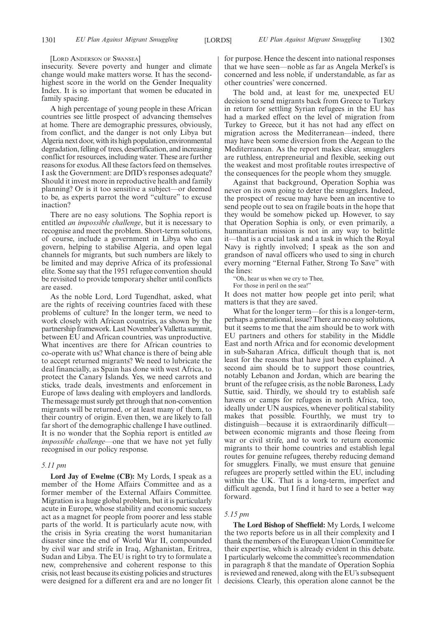#### [LORD ANDERSON OF SWANSEA]

insecurity. Severe poverty and hunger and climate change would make matters worse. It has the secondhighest score in the world on the Gender Inequality Index. It is so important that women be educated in family spacing.

A high percentage of young people in these African countries see little prospect of advancing themselves at home. There are demographic pressures, obviously, from conflict, and the danger is not only Libya but Algeria next door, with its high population, environmental degradation, felling of trees, desertification, and increasing conflict for resources, including water. These are further reasons for exodus. All these factors feed on themselves. I ask the Government: are DfID's responses adequate? Should it invest more in reproductive health and family planning? Or is it too sensitive a subject—or deemed to be, as experts parrot the word "culture" to excuse inaction?

There are no easy solutions. The Sophia report is entitled *an impossible challenge*, but it is necessary to recognise and meet the problem. Short-term solutions, of course, include a government in Libya who can govern, helping to stabilise Algeria, and open legal channels for migrants, but such numbers are likely to be limited and may deprive Africa of its professional elite. Some say that the 1951 refugee convention should be revisited to provide temporary shelter until conflicts are eased.

As the noble Lord, Lord Tugendhat, asked, what are the rights of receiving countries faced with these problems of culture? In the longer term, we need to work closely with African countries, as shown by the partnership framework. Last November's Valletta summit, between EU and African countries, was unproductive. What incentives are there for African countries to co-operate with us? What chance is there of being able to accept returned migrants? We need to lubricate the deal financially, as Spain has done with west Africa, to protect the Canary Islands. Yes, we need carrots and sticks, trade deals, investments and enforcement in Europe of laws dealing with employers and landlords. The message must surely get through that non-convention migrants will be returned, or at least many of them, to their country of origin. Even then, we are likely to fall far short of the demographic challenge I have outlined. It is no wonder that the Sophia report is entitled *an impossible challenge—*one that we have not yet fully recognised in our policy response.

#### *5.11 pm*

**Lord Jay of Ewelme (CB):** My Lords, I speak as a member of the Home Affairs Committee and as a former member of the External Affairs Committee. Migration is a huge global problem, but it is particularly acute in Europe, whose stability and economic success act as a magnet for people from poorer and less stable parts of the world. It is particularly acute now, with the crisis in Syria creating the worst humanitarian disaster since the end of World War II, compounded by civil war and strife in Iraq, Afghanistan, Eritrea, Sudan and Libya. The EU is right to try to formulate a new, comprehensive and coherent response to this crisis, not least because its existing policies and structures were designed for a different era and are no longer fit for purpose. Hence the descent into national responses that we have seen—noble as far as Angela Merkel's is concerned and less noble, if understandable, as far as other countries' were concerned.

The bold and, at least for me, unexpected EU decision to send migrants back from Greece to Turkey in return for settling Syrian refugees in the EU has had a marked effect on the level of migration from Turkey to Greece, but it has not had any effect on migration across the Mediterranean—indeed, there may have been some diversion from the Aegean to the Mediterranean. As the report makes clear, smugglers are ruthless, entrepreneurial and flexible, seeking out the weakest and most profitable routes irrespective of the consequences for the people whom they smuggle.

Against that background, Operation Sophia was never on its own going to deter the smugglers. Indeed, the prospect of rescue may have been an incentive to send people out to sea on fragile boats in the hope that they would be somehow picked up. However, to say that Operation Sophia is only, or even primarily, a humanitarian mission is not in any way to belittle it—that is a crucial task and a task in which the Royal Navy is rightly involved; I speak as the son and grandson of naval officers who used to sing in church every morning "Eternal Father, Strong To Save" with the lines:

"Oh, hear us when we cry to Thee,

For those in peril on the sea!"

It does not matter how people get into peril; what matters is that they are saved.

What for the longer term—for this is a longer-term, perhaps a generational, issue? There are no easy solutions, but it seems to me that the aim should be to work with EU partners and others for stability in the Middle East and north Africa and for economic development in sub-Saharan Africa, difficult though that is, not least for the reasons that have just been explained. A second aim should be to support those countries, notably Lebanon and Jordan, which are bearing the brunt of the refugee crisis, as the noble Baroness, Lady Suttie, said. Thirdly, we should try to establish safe havens or camps for refugees in north Africa, too, ideally under UN auspices, whenever political stability makes that possible. Fourthly, we must try to distinguish—because it is extraordinarily difficult between economic migrants and those fleeing from war or civil strife, and to work to return economic migrants to their home countries and establish legal routes for genuine refugees, thereby reducing demand for smugglers. Finally, we must ensure that genuine refugees are properly settled within the EU, including within the UK. That is a long-term, imperfect and difficult agenda, but I find it hard to see a better way forward.

#### *5.15 pm*

**The Lord Bishop of Sheffield:** My Lords, I welcome the two reports before us in all their complexity and I thank the members of the European Union Committee for their expertise, which is already evident in this debate. I particularly welcome the committee's recommendation in paragraph 8 that the mandate of Operation Sophia is reviewed and renewed, along with the EU's subsequent decisions. Clearly, this operation alone cannot be the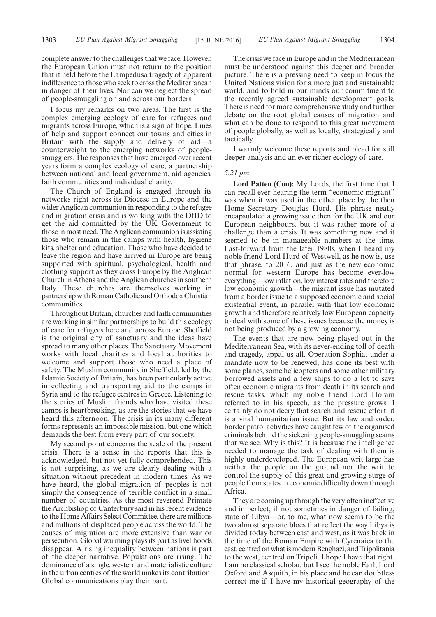complete answer to the challenges that we face. However, the European Union must not return to the position that it held before the Lampedusa tragedy of apparent indifference to those who seek to cross the Mediterranean in danger of their lives. Nor can we neglect the spread of people-smuggling on and across our borders.

I focus my remarks on two areas. The first is the complex emerging ecology of care for refugees and migrants across Europe, which is a sign of hope. Lines of help and support connect our towns and cities in Britain with the supply and delivery of aid—a counterweight to the emerging networks of peoplesmugglers. The responses that have emerged over recent years form a complex ecology of care; a partnership between national and local government, aid agencies, faith communities and individual charity.

The Church of England is engaged through its networks right across its Diocese in Europe and the wider Anglican communion in responding to the refugee and migration crisis and is working with the DfID to get the aid committed by the UK Government to those in most need. The Anglican communion is assisting those who remain in the camps with health, hygiene kits, shelter and education. Those who have decided to leave the region and have arrived in Europe are being supported with spiritual, psychological, health and clothing support as they cross Europe by the Anglican Church in Athens and the Anglican churches in southern Italy. These churches are themselves working in partnership with Roman Catholic and Orthodox Christian communities.

Throughout Britain, churches and faith communities are working in similar partnerships to build this ecology of care for refugees here and across Europe. Sheffield is the original city of sanctuary and the ideas have spread to many other places. The Sanctuary Movement works with local charities and local authorities to welcome and support those who need a place of safety. The Muslim community in Sheffield, led by the Islamic Society of Britain, has been particularly active in collecting and transporting aid to the camps in Syria and to the refugee centres in Greece. Listening to the stories of Muslim friends who have visited these camps is heartbreaking, as are the stories that we have heard this afternoon. The crisis in its many different forms represents an impossible mission, but one which demands the best from every part of our society.

My second point concerns the scale of the present crisis. There is a sense in the reports that this is acknowledged, but not yet fully comprehended. This is not surprising, as we are clearly dealing with a situation without precedent in modern times. As we have heard, the global migration of peoples is not simply the consequence of terrible conflict in a small number of countries. As the most reverend Primate the Archbishop of Canterbury said in his recent evidence to the Home Affairs Select Committee, there are millions and millions of displaced people across the world. The causes of migration are more extensive than war or persecution. Global warming plays its part as livelihoods disappear. A rising inequality between nations is part of the deeper narrative. Populations are rising. The dominance of a single, western and materialistic culture in the urban centres of the world makes its contribution. Global communications play their part.

The crisis we face in Europe and in the Mediterranean must be understood against this deeper and broader picture. There is a pressing need to keep in focus the United Nations vision for a more just and sustainable world, and to hold in our minds our commitment to the recently agreed sustainable development goals. There is need for more comprehensive study and further debate on the root global causes of migration and what can be done to respond to this great movement of people globally, as well as locally, strategically and tactically.

I warmly welcome these reports and plead for still deeper analysis and an ever richer ecology of care.

#### *5.21 pm*

**Lord Patten (Con):** My Lords, the first time that I can recall ever hearing the term "economic migrant" was when it was used in the other place by the then Home Secretary Douglas Hurd. His phrase neatly encapsulated a growing issue then for the UK and our European neighbours, but it was rather more of a challenge than a crisis. It was something new and it seemed to be in manageable numbers at the time. Fast-forward from the later 1980s, when I heard my noble friend Lord Hurd of Westwell, as he now is, use that phrase, to 2016, and just as the new economic normal for western Europe has become ever-low everything—low inflation, low interest rates and therefore low economic growth—the migrant issue has mutated from a border issue to a supposed economic and social existential event, in parallel with that low economic growth and therefore relatively low European capacity to deal with some of these issues because the money is not being produced by a growing economy.

The events that are now being played out in the Mediterranean Sea, with its never-ending toll of death and tragedy, appal us all. Operation Sophia, under a mandate now to be renewed, has done its best with some planes, some helicopters and some other military borrowed assets and a few ships to do a lot to save often economic migrants from death in its search and rescue tasks, which my noble friend Lord Horam referred to in his speech, as the pressure grows. I certainly do not decry that search and rescue effort; it is a vital humanitarian issue. But its law and order, border patrol activities have caught few of the organised criminals behind the sickening people-smuggling scams that we see. Why is this? It is because the intelligence needed to manage the task of dealing with them is highly underdeveloped. The European writ large has neither the people on the ground nor the writ to control the supply of this great and growing surge of people from states in economic difficulty down through Africa.

They are coming up through the very often ineffective and imperfect, if not sometimes in danger of failing, state of Libya—or, to me, what now seems to be the two almost separate blocs that reflect the way Libya is divided today between east and west, as it was back in the time of the Roman Empire with Cyrenaica to the east, centred on what is modern Benghazi, and Tripolitania to the west, centred on Tripoli. I hope I have that right. I am no classical scholar, but I see the noble Earl, Lord Oxford and Asquith, in his place and he can doubtless correct me if I have my historical geography of the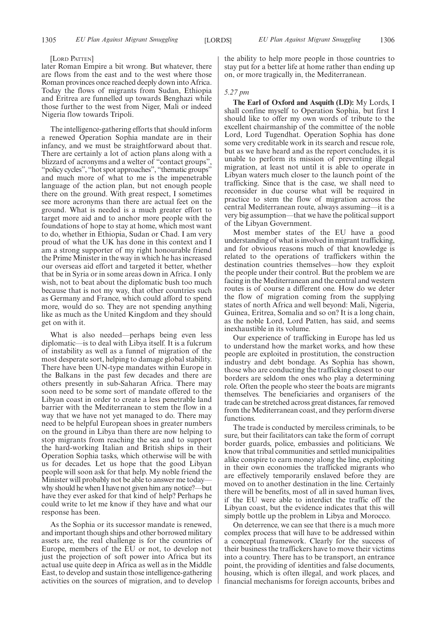#### [LORD PATTEN]

later Roman Empire a bit wrong. But whatever, there are flows from the east and to the west where those Roman provinces once reached deeply down into Africa. Today the flows of migrants from Sudan, Ethiopia and Eritrea are funnelled up towards Benghazi while those further to the west from Niger, Mali or indeed Nigeria flow towards Tripoli.

The intelligence-gathering efforts that should inform a renewed Operation Sophia mandate are in their infancy, and we must be straightforward about that. There are certainly a lot of action plans along with a blizzard of acronyms and a welter of "contact groups", "policy cycles", "hot spot approaches", "thematic groups" and much more of what to me is the impenetrable language of the action plan, but not enough people there on the ground. With great respect, I sometimes see more acronyms than there are actual feet on the ground. What is needed is a much greater effort to target more aid and to anchor more people with the foundations of hope to stay at home, which most want to do, whether in Ethiopia, Sudan or Chad. I am very proud of what the UK has done in this context and I am a strong supporter of my right honourable friend the Prime Minister in the way in which he has increased our overseas aid effort and targeted it better, whether that be in Syria or in some areas down in Africa. I only wish, not to beat about the diplomatic bush too much because that is not my way, that other countries such as Germany and France, which could afford to spend more, would do so. They are not spending anything like as much as the United Kingdom and they should get on with it.

What is also needed—perhaps being even less diplomatic—is to deal with Libya itself. It is a fulcrum of instability as well as a funnel of migration of the most desperate sort, helping to damage global stability. There have been UN-type mandates within Europe in the Balkans in the past few decades and there are others presently in sub-Saharan Africa. There may soon need to be some sort of mandate offered to the Libyan coast in order to create a less penetrable land barrier with the Mediterranean to stem the flow in a way that we have not yet managed to do. There may need to be helpful European shoes in greater numbers on the ground in Libya than there are now helping to stop migrants from reaching the sea and to support the hard-working Italian and British ships in their Operation Sophia tasks, which otherwise will be with us for decades. Let us hope that the good Libyan people will soon ask for that help. My noble friend the Minister will probably not be able to answer me today why should he when I have not given him any notice?—but have they ever asked for that kind of help? Perhaps he could write to let me know if they have and what our response has been.

As the Sophia or its successor mandate is renewed, and important though ships and other borrowed military assets are, the real challenge is for the countries of Europe, members of the EU or not, to develop not just the projection of soft power into Africa but its actual use quite deep in Africa as well as in the Middle East, to develop and sustain those intelligence-gathering activities on the sources of migration, and to develop the ability to help more people in those countries to stay put for a better life at home rather than ending up on, or more tragically in, the Mediterranean.

#### *5.27 pm*

**The Earl of Oxford and Asquith (LD):** My Lords, I shall confine myself to Operation Sophia, but first I should like to offer my own words of tribute to the excellent chairmanship of the committee of the noble Lord, Lord Tugendhat. Operation Sophia has done some very creditable work in its search and rescue role, but as we have heard and as the report concludes, it is unable to perform its mission of preventing illegal migration, at least not until it is able to operate in Libyan waters much closer to the launch point of the trafficking. Since that is the case, we shall need to reconsider in due course what will be required in practice to stem the flow of migration across the central Mediterranean route, always assuming—it is a very big assumption—that we have the political support of the Libyan Government.

Most member states of the EU have a good understanding of what is involved in migrant trafficking, and for obvious reasons much of that knowledge is related to the operations of traffickers within the destination countries themselves—how they exploit the people under their control. But the problem we are facing in the Mediterranean and the central and western routes is of course a different one. How do we deter the flow of migration coming from the supplying states of north Africa and well beyond: Mali, Nigeria, Guinea, Eritrea, Somalia and so on? It is a long chain, as the noble Lord, Lord Patten, has said, and seems inexhaustible in its volume.

Our experience of trafficking in Europe has led us to understand how the market works, and how these people are exploited in prostitution, the construction industry and debt bondage. As Sophia has shown, those who are conducting the trafficking closest to our borders are seldom the ones who play a determining role. Often the people who steer the boats are migrants themselves. The beneficiaries and organisers of the trade can be stretched across great distances, far removed from the Mediterranean coast, and they perform diverse functions.

The trade is conducted by merciless criminals, to be sure, but their facilitators can take the form of corrupt border guards, police, embassies and politicians. We know that tribal communities and settled municipalities alike conspire to earn money along the line, exploiting in their own economies the trafficked migrants who are effectively temporarily enslaved before they are moved on to another destination in the line. Certainly there will be benefits, most of all in saved human lives, if the EU were able to interdict the traffic off the Libyan coast, but the evidence indicates that this will simply bottle up the problem in Libya and Morocco.

On deterrence, we can see that there is a much more complex process that will have to be addressed within a conceptual framework. Clearly for the success of their business the traffickers have to move their victims into a country. There has to be transport, an entrance point, the providing of identities and false documents, housing, which is often illegal, and work places, and financial mechanisms for foreign accounts, bribes and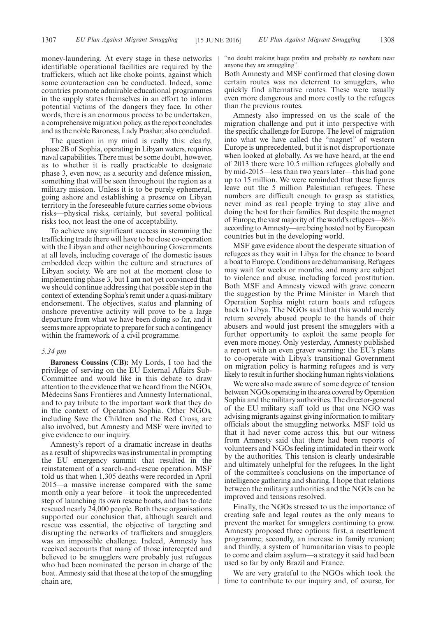money-laundering. At every stage in these networks identifiable operational facilities are required by the traffickers, which act like choke points, against which some counteraction can be conducted. Indeed, some countries promote admirable educational programmes in the supply states themselves in an effort to inform potential victims of the dangers they face. In other words, there is an enormous process to be undertaken, a comprehensive migration policy, as the report concludes and as the noble Baroness, Lady Prashar, also concluded.

The question in my mind is really this: clearly, phase 2B of Sophia, operating in Libyan waters, requires naval capabilities. There must be some doubt, however, as to whether it is really practicable to designate phase 3, even now, as a security and defence mission, something that will be seen throughout the region as a military mission. Unless it is to be purely ephemeral, going ashore and establishing a presence on Libyan territory in the foreseeable future carries some obvious risks—physical risks, certainly, but several political risks too, not least the one of acceptability.

To achieve any significant success in stemming the trafficking trade there will have to be close co-operation with the Libyan and other neighbouring Governments at all levels, including coverage of the domestic issues embedded deep within the culture and structures of Libyan society. We are not at the moment close to implementing phase 3, but I am not yet convinced that we should continue addressing that possible step in the context of extending Sophia's remit under a quasi-military endorsement. The objectives, status and planning of onshore preventive activity will prove to be a large departure from what we have been doing so far, and it seems more appropriate to prepare for such a contingency within the framework of a civil programme.

#### *5.34 pm*

**Baroness Coussins (CB):** My Lords, I too had the privilege of serving on the EU External Affairs Sub-Committee and would like in this debate to draw attention to the evidence that we heard from the NGOs, Médecins Sans Frontières and Amnesty International, and to pay tribute to the important work that they do in the context of Operation Sophia. Other NGOs, including Save the Children and the Red Cross, are also involved, but Amnesty and MSF were invited to give evidence to our inquiry.

Amnesty's report of a dramatic increase in deaths as a result of shipwrecks was instrumental in prompting the EU emergency summit that resulted in the reinstatement of a search-and-rescue operation. MSF told us that when 1,305 deaths were recorded in April 2015—a massive increase compared with the same month only a year before—it took the unprecedented step of launching its own rescue boats, and has to date rescued nearly 24,000 people. Both these organisations supported our conclusion that, although search and rescue was essential, the objective of targeting and disrupting the networks of traffickers and smugglers was an impossible challenge. Indeed, Amnesty has received accounts that many of those intercepted and believed to be smugglers were probably just refugees who had been nominated the person in charge of the boat. Amnesty said that those at the top of the smuggling chain are,

"no doubt making huge profits and probably go nowhere near anyone they are smuggling".

Both Amnesty and MSF confirmed that closing down certain routes was no deterrent to smugglers, who quickly find alternative routes. These were usually even more dangerous and more costly to the refugees than the previous routes.

Amnesty also impressed on us the scale of the migration challenge and put it into perspective with the specific challenge for Europe. The level of migration into what we have called the "magnet" of western Europe is unprecedented, but it is not disproportionate when looked at globally. As we have heard, at the end of 2013 there were 10.5 million refugees globally and by mid-2015—less than two years later—this had gone up to 15 million. We were reminded that these figures leave out the 5 million Palestinian refugees. These numbers are difficult enough to grasp as statistics, never mind as real people trying to stay alive and doing the best for their families. But despite the magnet of Europe, the vast majority of the world's refugees—86% according to Amnesty—are being hosted not by European countries but in the developing world.

MSF gave evidence about the desperate situation of refugees as they wait in Libya for the chance to board a boat to Europe. Conditions are dehumanising. Refugees may wait for weeks or months, and many are subject to violence and abuse, including forced prostitution. Both MSF and Amnesty viewed with grave concern the suggestion by the Prime Minister in March that Operation Sophia might return boats and refugees back to Libya. The NGOs said that this would merely return severely abused people to the hands of their abusers and would just present the smugglers with a further opportunity to exploit the same people for even more money. Only yesterday, Amnesty published a report with an even graver warning: the EU's plans to co-operate with Libya's transitional Government on migration policy is harming refugees and is very likely to result in further shocking human rights violations.

We were also made aware of some degree of tension between NGOs operating in the area covered by Operation Sophia and the military authorities. The director-general of the EU military staff told us that one NGO was advising migrants against giving information to military officials about the smuggling networks. MSF told us that it had never come across this, but our witness from Amnesty said that there had been reports of volunteers and NGOs feeling intimidated in their work by the authorities. This tension is clearly undesirable and ultimately unhelpful for the refugees. In the light of the committee's conclusions on the importance of intelligence gathering and sharing, I hope that relations between the military authorities and the NGOs can be improved and tensions resolved.

Finally, the NGOs stressed to us the importance of creating safe and legal routes as the only means to prevent the market for smugglers continuing to grow. Amnesty proposed three options: first, a resettlement programme; secondly, an increase in family reunion; and thirdly, a system of humanitarian visas to people to come and claim asylum—a strategy it said had been used so far by only Brazil and France.

We are very grateful to the NGOs which took the time to contribute to our inquiry and, of course, for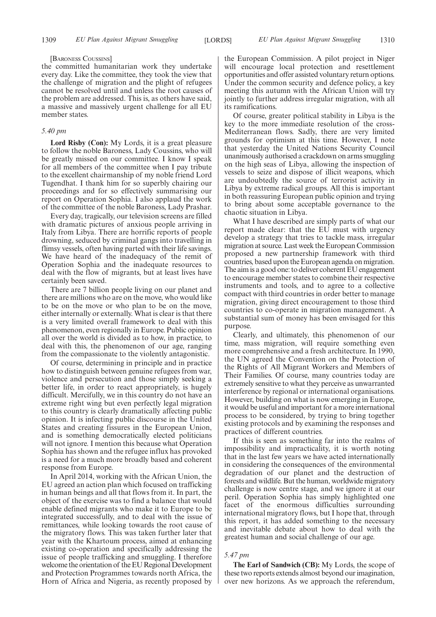#### [BARONESS COUSSINS]

the committed humanitarian work they undertake every day. Like the committee, they took the view that the challenge of migration and the plight of refugees cannot be resolved until and unless the root causes of the problem are addressed. This is, as others have said, a massive and massively urgent challenge for all EU member states.

#### *5.40 pm*

**Lord Risby (Con):** My Lords, it is a great pleasure to follow the noble Baroness, Lady Coussins, who will be greatly missed on our committee. I know I speak for all members of the committee when I pay tribute to the excellent chairmanship of my noble friend Lord Tugendhat. I thank him for so superbly chairing our proceedings and for so effectively summarising our report on Operation Sophia. I also applaud the work of the committee of the noble Baroness, Lady Prashar.

Every day, tragically, our television screens are filled with dramatic pictures of anxious people arriving in Italy from Libya. There are horrific reports of people drowning, seduced by criminal gangs into travelling in flimsy vessels, often having parted with their life savings. We have heard of the inadequacy of the remit of Operation Sophia and the inadequate resources to deal with the flow of migrants, but at least lives have certainly been saved.

There are 7 billion people living on our planet and there are millions who are on the move, who would like to be on the move or who plan to be on the move, either internally or externally. What is clear is that there is a very limited overall framework to deal with this phenomenon, even regionally in Europe. Public opinion all over the world is divided as to how, in practice, to deal with this, the phenomenon of our age, ranging from the compassionate to the violently antagonistic.

Of course, determining in principle and in practice how to distinguish between genuine refugees from war, violence and persecution and those simply seeking a better life, in order to react appropriately, is hugely difficult. Mercifully, we in this country do not have an extreme right wing but even perfectly legal migration to this country is clearly dramatically affecting public opinion. It is infecting public discourse in the United States and creating fissures in the European Union, and is something democratically elected politicians will not ignore. I mention this because what Operation Sophia has shown and the refugee influx has provoked is a need for a much more broadly based and coherent response from Europe.

In April 2014, working with the African Union, the EU agreed an action plan which focused on trafficking in human beings and all that flows from it. In part, the object of the exercise was to find a balance that would enable defined migrants who make it to Europe to be integrated successfully, and to deal with the issue of remittances, while looking towards the root cause of the migratory flows. This was taken further later that year with the Khartoum process, aimed at enhancing existing co-operation and specifically addressing the issue of people trafficking and smuggling. I therefore welcome the orientation of the EU Regional Development and Protection Programmes towards north Africa, the Horn of Africa and Nigeria, as recently proposed by

the European Commission. A pilot project in Niger will encourage local protection and resettlement opportunities and offer assisted voluntary return options. Under the common security and defence policy, a key meeting this autumn with the African Union will try jointly to further address irregular migration, with all its ramifications.

Of course, greater political stability in Libya is the key to the more immediate resolution of the cross-Mediterranean flows. Sadly, there are very limited grounds for optimism at this time. However, I note that yesterday the United Nations Security Council unanimously authorised a crackdown on arms smuggling on the high seas of Libya, allowing the inspection of vessels to seize and dispose of illicit weapons, which are undoubtedly the source of terrorist activity in Libya by extreme radical groups. All this is important in both reassuring European public opinion and trying to bring about some acceptable governance to the chaotic situation in Libya.

What I have described are simply parts of what our report made clear: that the EU must with urgency develop a strategy that tries to tackle mass, irregular migration at source. Last week the European Commission proposed a new partnership framework with third countries, based upon the European agenda on migration. The aim is a good one: to deliver coherent EU engagement to encourage member states to combine their respective instruments and tools, and to agree to a collective compact with third countries in order better to manage migration, giving direct encouragement to those third countries to co-operate in migration management. A substantial sum of money has been envisaged for this purpose.

Clearly, and ultimately, this phenomenon of our time, mass migration, will require something even more comprehensive and a fresh architecture. In 1990, the UN agreed the Convention on the Protection of the Rights of All Migrant Workers and Members of Their Families. Of course, many countries today are extremely sensitive to what they perceive as unwarranted interference by regional or international organisations. However, building on what is now emerging in Europe, it would be useful and important for a more international process to be considered, by trying to bring together existing protocols and by examining the responses and practices of different countries.

If this is seen as something far into the realms of impossibility and impracticality, it is worth noting that in the last few years we have acted internationally in considering the consequences of the environmental degradation of our planet and the destruction of forests and wildlife. But the human, worldwide migratory challenge is now centre stage, and we ignore it at our peril. Operation Sophia has simply highlighted one facet of the enormous difficulties surrounding international migratory flows, but I hope that, through this report, it has added something to the necessary and inevitable debate about how to deal with the greatest human and social challenge of our age.

#### *5.47 pm*

**The Earl of Sandwich (CB):** My Lords, the scope of these two reports extends almost beyond our imagination, over new horizons. As we approach the referendum,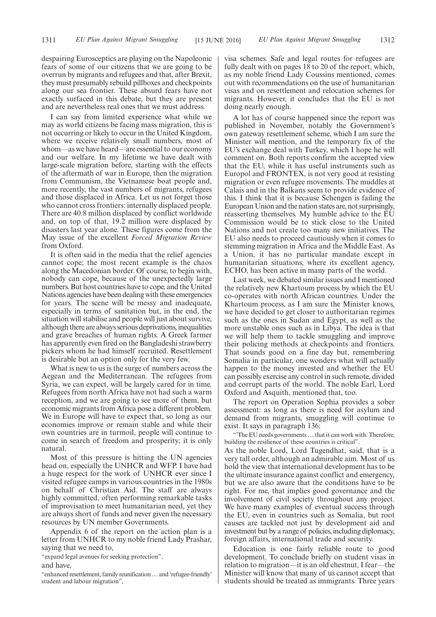despairing Eurosceptics are playing on the Napoleonic fears of some of our citizens that we are going to be overrun by migrants and refugees and that, after Brexit, they must presumably rebuild pillboxes and checkpoints along our sea frontier. These absurd fears have not exactly surfaced in this debate, but they are present and are nevertheless real ones that we must address.

I can say from limited experience what while we may as world citizens be facing mass migration, this is not occurring or likely to occur in the United Kingdom, where we receive relatively small numbers, most of whom—as we have heard—are essential to our economy and our welfare. In my lifetime we have dealt with large-scale migration before, starting with the effects of the aftermath of war in Europe, then the migration from Communism, the Vietnamese boat people and, more recently, the vast numbers of migrants, refugees and those displaced in Africa. Let us not forget those who cannot cross frontiers: internally displaced people. There are 40.8 million displaced by conflict worldwide and, on top of that, 19.2 million were displaced by disasters last year alone. These figures come from the May issue of the excellent *Forced Migration Review* from Oxford.

It is often said in the media that the relief agencies cannot cope; the most recent example is the chaos along the Macedonian border. Of course, to begin with, nobody can cope, because of the unexpectedly large numbers. But host countries have to cope, and the United Nations agencies have been dealing with these emergencies for years. The scene will be messy and inadequate, especially in terms of sanitation but, in the end, the situation will stabilise and people will just about survive, although there are always serious deprivations, inequalities and grave breaches of human rights. A Greek farmer has apparently even fired on the Bangladeshi strawberry pickers whom he had himself recruited. Resettlement is desirable but an option only for the very few.

What is new to us is the surge of numbers across the Aegean and the Mediterranean. The refugees from Syria, we can expect, will be largely cared for in time. Refugees from north Africa have not had such a warm reception, and we are going to see more of them, but economic migrants from Africa pose a different problem. We in Europe will have to expect that, so long as our economies improve or remain stable and while their own countries are in turmoil, people will continue to come in search of freedom and prosperity; it is only natural.

Most of this pressure is hitting the UN agencies head on, especially the UNHCR and WFP. I have had a huge respect for the work of UNHCR ever since I visited refugee camps in various countries in the 1980s on behalf of Christian Aid. The staff are always highly committed, often performing remarkable tasks of improvisation to meet humanitarian need, yet they are always short of funds and never given the necessary resources by UN member Governments.

Appendix 6 of the report on the action plan is a letter from UNHCR to my noble friend Lady Prashar, saying that we need to,

"expand legal avenues for seeking protection",

and have,

"enhanced resettlement, family reunification…and 'refugee-friendly' student and labour migration",

visa schemes. Safe and legal routes for refugees are fully dealt with on pages 18 to 20 of the report, which, as my noble friend Lady Coussins mentioned, comes out with recommendations on the use of humanitarian visas and on resettlement and relocation schemes for migrants. However, it concludes that the EU is not doing nearly enough.

A lot has of course happened since the report was published in November, notably the Government's own gateway resettlement scheme, which I am sure the Minister will mention, and the temporary fix of the EU's exchange deal with Turkey, which I hope he will comment on. Both reports confirm the accepted view that the EU, while it has useful instruments such as Europol and FRONTEX, is not very good at resisting migration or even refugee movements. The muddles at Calais and in the Balkans seem to provide evidence of this. I think that it is because Schengen is failing the European Union and the nation states are, not surprisingly, reasserting themselves. My humble advice to the EU Commission would be to stick close to the United Nations and not create too many new initiatives. The EU also needs to proceed cautiously when it comes to stemming migration in Africa and the Middle East. As a Union, it has no particular mandate except in humanitarian situations, where its excellent agency, ECHO, has been active in many parts of the world.

Last week, we debated similar issues and I mentioned the relatively new Khartoum process by which the EU co-operates with north African countries. Under the Khartoum process, as I am sure the Minister knows, we have decided to get closer to authoritarian regimes such as the ones in Sudan and Egypt, as well as the more unstable ones such as in Libya. The idea is that we will help them to tackle smuggling and improve their policing methods at checkpoints and frontiers. That sounds good on a fine day but, remembering Somalia in particular, one wonders what will actually happen to the money invested and whether the EU can possibly exercise any control in such remote, divided and corrupt parts of the world. The noble Earl, Lord Oxford and Asquith, mentioned that, too.

The report on Operation Sophia provides a sober assessment: as long as there is need for asylum and demand from migrants, smuggling will continue to exist. It says in paragraph 136:

"The EU needs governments ... that it can work with. Therefore, building the resilience of these countries is critical".

As the noble Lord, Lord Tugendhat, said, that is a very tall order, although an admirable aim. Most of us hold the view that international development has to be the ultimate insurance against conflict and emergency, but we are also aware that the conditions have to be right. For me, that implies good governance and the involvement of civil society throughout any project. We have many examples of eventual success through the EU, even in countries such as Somalia, but root causes are tackled not just by development aid and investment but by a range of policies, including diplomacy, foreign affairs, international trade and security.

Education is one fairly reliable route to good development. To conclude briefly on student visas in relation to migration—it is an old chestnut, I fear—the Minister will know that many of us cannot accept that students should be treated as immigrants. Three years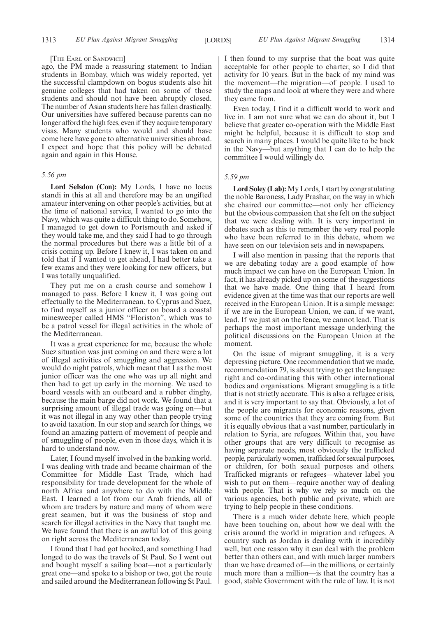#### [THE EARL OF SANDWICH]

ago, the PM made a reassuring statement to Indian students in Bombay, which was widely reported, yet the successful clampdown on bogus students also hit genuine colleges that had taken on some of those students and should not have been abruptly closed. The number of Asian students here has fallen drastically. Our universities have suffered because parents can no longer afford the high fees, even if they acquire temporary visas. Many students who would and should have come here have gone to alternative universities abroad. I expect and hope that this policy will be debated again and again in this House.

#### *5.56 pm*

**Lord Selsdon (Con):** My Lords, I have no locus standi in this at all and therefore may be an ungifted amateur intervening on other people's activities, but at the time of national service, I wanted to go into the Navy, which was quite a difficult thing to do. Somehow, I managed to get down to Portsmouth and asked if they would take me, and they said I had to go through the normal procedures but there was a little bit of a crisis coming up. Before I knew it, I was taken on and told that if I wanted to get ahead, I had better take a few exams and they were looking for new officers, but I was totally unqualified.

They put me on a crash course and somehow I managed to pass. Before I knew it, I was going out effectually to the Mediterranean, to Cyprus and Suez, to find myself as a junior officer on board a coastal minesweeper called HMS "Floriston", which was to be a patrol vessel for illegal activities in the whole of the Mediterranean.

It was a great experience for me, because the whole Suez situation was just coming on and there were a lot of illegal activities of smuggling and aggression. We would do night patrols, which meant that I as the most junior officer was the one who was up all night and then had to get up early in the morning. We used to board vessels with an outboard and a rubber dinghy, because the main barge did not work. We found that a surprising amount of illegal trade was going on—but it was not illegal in any way other than people trying to avoid taxation. In our stop and search for things, we found an amazing pattern of movement of people and of smuggling of people, even in those days, which it is hard to understand now.

Later, I found myself involved in the banking world. I was dealing with trade and became chairman of the Committee for Middle East Trade, which had responsibility for trade development for the whole of north Africa and anywhere to do with the Middle East. I learned a lot from our Arab friends, all of whom are traders by nature and many of whom were great seamen, but it was the business of stop and search for illegal activities in the Navy that taught me. We have found that there is an awful lot of this going on right across the Mediterranean today.

I found that I had got hooked, and something I had longed to do was the travels of St Paul. So I went out and bought myself a sailing boat—not a particularly great one—and spoke to a bishop or two, got the route and sailed around the Mediterranean following St Paul.

I then found to my surprise that the boat was quite acceptable for other people to charter, so I did that activity for 10 years. But in the back of my mind was the movement—the migration—of people. I used to study the maps and look at where they were and where they came from.

Even today, I find it a difficult world to work and live in. I am not sure what we can do about it, but I believe that greater co-operation with the Middle East might be helpful, because it is difficult to stop and search in many places. I would be quite like to be back in the Navy—but anything that I can do to help the committee I would willingly do.

#### *5.59 pm*

**Lord Soley (Lab):** My Lords, I start by congratulating the noble Baroness, Lady Prashar, on the way in which she chaired our committee—not only her efficiency but the obvious compassion that she felt on the subject that we were dealing with. It is very important in debates such as this to remember the very real people who have been referred to in this debate, whom we have seen on our television sets and in newspapers.

I will also mention in passing that the reports that we are debating today are a good example of how much impact we can have on the European Union. In fact, it has already picked up on some of the suggestions that we have made. One thing that I heard from evidence given at the time was that our reports are well received in the European Union. It is a simple message: if we are in the European Union, we can, if we want, lead. If we just sit on the fence, we cannot lead. That is perhaps the most important message underlying the political discussions on the European Union at the moment.

On the issue of migrant smuggling, it is a very depressing picture. One recommendation that we made, recommendation 79, is about trying to get the language right and co-ordinating this with other international bodies and organisations. Migrant smuggling is a title that is not strictly accurate. This is also a refugee crisis, and it is very important to say that. Obviously, a lot of the people are migrants for economic reasons, given some of the countries that they are coming from. But it is equally obvious that a vast number, particularly in relation to Syria, are refugees. Within that, you have other groups that are very difficult to recognise as having separate needs, most obviously the trafficked people, particularly women, trafficked for sexual purposes, or children, for both sexual purposes and others. Trafficked migrants or refugees—whatever label you wish to put on them—require another way of dealing with people. That is why we rely so much on the various agencies, both public and private, which are trying to help people in these conditions.

There is a much wider debate here, which people have been touching on, about how we deal with the crisis around the world in migration and refugees. A country such as Jordan is dealing with it incredibly well, but one reason why it can deal with the problem better than others can, and with much larger numbers than we have dreamed of—in the millions, or certainly much more than a million—is that the country has a good, stable Government with the rule of law. It is not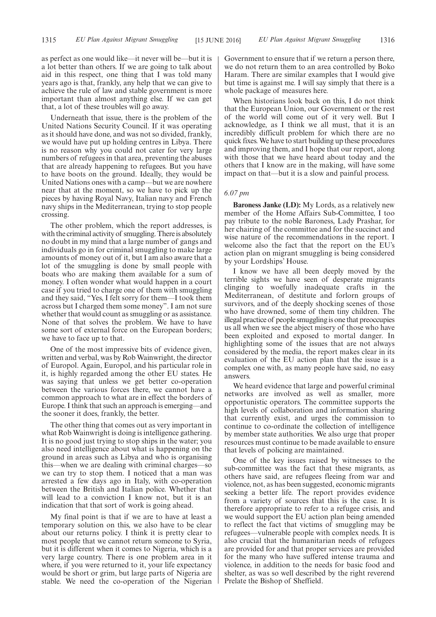as perfect as one would like—it never will be—but it is a lot better than others. If we are going to talk about aid in this respect, one thing that I was told many years ago is that, frankly, any help that we can give to achieve the rule of law and stable government is more important than almost anything else. If we can get that, a lot of these troubles will go away.

Underneath that issue, there is the problem of the United Nations Security Council. If it was operating as it should have done, and was not so divided, frankly, we would have put up holding centres in Libya. There is no reason why you could not cater for very large numbers of refugees in that area, preventing the abuses that are already happening to refugees. But you have to have boots on the ground. Ideally, they would be United Nations ones with a camp—but we are nowhere near that at the moment, so we have to pick up the pieces by having Royal Navy, Italian navy and French navy ships in the Mediterranean, trying to stop people crossing.

The other problem, which the report addresses, is with the criminal activity of smuggling. There is absolutely no doubt in my mind that a large number of gangs and individuals go in for criminal smuggling to make large amounts of money out of it, but I am also aware that a lot of the smuggling is done by small people with boats who are making them available for a sum of money. I often wonder what would happen in a court case if you tried to charge one of them with smuggling and they said, "Yes, I felt sorry for them—I took them across but I charged them some money". I am not sure whether that would count as smuggling or as assistance. None of that solves the problem. We have to have some sort of external force on the European borders; we have to face up to that.

One of the most impressive bits of evidence given, written and verbal, was by Rob Wainwright, the director of Europol. Again, Europol, and his particular role in it, is highly regarded among the other EU states. He was saying that unless we get better co-operation between the various forces there, we cannot have a common approach to what are in effect the borders of Europe. I think that such an approach is emerging—and the sooner it does, frankly, the better.

The other thing that comes out as very important in what Rob Wainwright is doing is intelligence gathering. It is no good just trying to stop ships in the water; you also need intelligence about what is happening on the ground in areas such as Libya and who is organising this—when we are dealing with criminal charges—so we can try to stop them. I noticed that a man was arrested a few days ago in Italy, with co-operation between the British and Italian police. Whether that will lead to a conviction I know not, but it is an indication that that sort of work is going ahead.

My final point is that if we are to have at least a temporary solution on this, we also have to be clear about our returns policy. I think it is pretty clear to most people that we cannot return someone to Syria, but it is different when it comes to Nigeria, which is a very large country. There is one problem area in it where, if you were returned to it, your life expectancy would be short or grim, but large parts of Nigeria are stable. We need the co-operation of the Nigerian Government to ensure that if we return a person there, we do not return them to an area controlled by Boko Haram. There are similar examples that I would give but time is against me. I will say simply that there is a whole package of measures here.

When historians look back on this, I do not think that the European Union, our Government or the rest of the world will come out of it very well. But I acknowledge, as I think we all must, that it is an incredibly difficult problem for which there are no quick fixes. We have to start building up these procedures and improving them, and I hope that our report, along with those that we have heard about today and the others that I know are in the making, will have some impact on that—but it is a slow and painful process.

#### *6.07 pm*

**Baroness Janke (LD):** My Lords, as a relatively new member of the Home Affairs Sub-Committee, I too pay tribute to the noble Baroness, Lady Prashar, for her chairing of the committee and for the succinct and wise nature of the recommendations in the report. I welcome also the fact that the report on the EU's action plan on migrant smuggling is being considered by your Lordships' House.

I know we have all been deeply moved by the terrible sights we have seen of desperate migrants clinging to woefully inadequate crafts in the Mediterranean, of destitute and forlorn groups of survivors, and of the deeply shocking scenes of those who have drowned, some of them tiny children. The illegal practice of people smuggling is one that preoccupies us all when we see the abject misery of those who have been exploited and exposed to mortal danger. In highlighting some of the issues that are not always considered by the media, the report makes clear in its evaluation of the EU action plan that the issue is a complex one with, as many people have said, no easy answers.

We heard evidence that large and powerful criminal networks are involved as well as smaller, more opportunistic operators. The committee supports the high levels of collaboration and information sharing that currently exist, and urges the commission to continue to co-ordinate the collection of intelligence by member state authorities. We also urge that proper resources must continue to be made available to ensure that levels of policing are maintained.

One of the key issues raised by witnesses to the sub-committee was the fact that these migrants, as others have said, are refugees fleeing from war and violence, not, as has been suggested, economic migrants seeking a better life. The report provides evidence from a variety of sources that this is the case. It is therefore appropriate to refer to a refugee crisis, and we would support the EU action plan being amended to reflect the fact that victims of smuggling may be refugees—vulnerable people with complex needs. It is also crucial that the humanitarian needs of refugees are provided for and that proper services are provided for the many who have suffered intense trauma and violence, in addition to the needs for basic food and shelter, as was so well described by the right reverend Prelate the Bishop of Sheffield.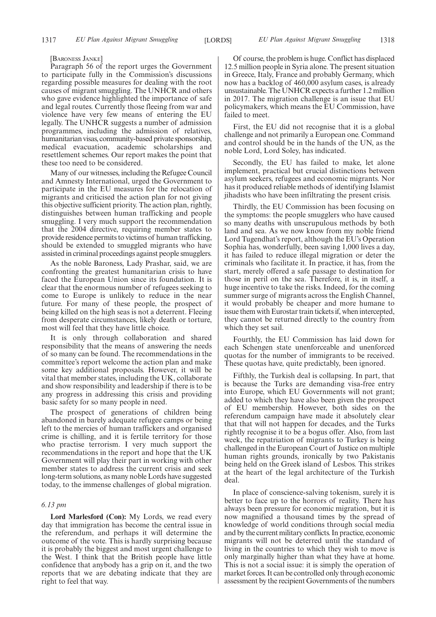#### [BARONESS JANKE]

Paragraph 56 of the report urges the Government to participate fully in the Commission's discussions regarding possible measures for dealing with the root causes of migrant smuggling. The UNHCR and others who gave evidence highlighted the importance of safe and legal routes. Currently those fleeing from war and violence have very few means of entering the EU legally. The UNHCR suggests a number of admission programmes, including the admission of relatives, humanitarian visas, community-based private sponsorship, medical evacuation, academic scholarships and resettlement schemes. Our report makes the point that these too need to be considered.

Many of our witnesses, including the Refugee Council and Amnesty International, urged the Government to participate in the EU measures for the relocation of migrants and criticised the action plan for not giving this objective sufficient priority. The action plan, rightly, distinguishes between human trafficking and people smuggling. I very much support the recommendation that the 2004 directive, requiring member states to provide residence permits to victims of human trafficking, should be extended to smuggled migrants who have assisted in criminal proceedings against people smugglers.

As the noble Baroness, Lady Prashar, said, we are confronting the greatest humanitarian crisis to have faced the European Union since its foundation. It is clear that the enormous number of refugees seeking to come to Europe is unlikely to reduce in the near future. For many of these people, the prospect of being killed on the high seas is not a deterrent. Fleeing from desperate circumstances, likely death or torture, most will feel that they have little choice.

It is only through collaboration and shared responsibility that the means of answering the needs of so many can be found. The recommendations in the committee's report welcome the action plan and make some key additional proposals. However, it will be vital that member states, including the UK, collaborate and show responsibility and leadership if there is to be any progress in addressing this crisis and providing basic safety for so many people in need.

The prospect of generations of children being abandoned in barely adequate refugee camps or being left to the mercies of human traffickers and organised crime is chilling, and it is fertile territory for those who practise terrorism. I very much support the recommendations in the report and hope that the UK Government will play their part in working with other member states to address the current crisis and seek long-term solutions, as many noble Lords have suggested today, to the immense challenges of global migration.

#### *6.13 pm*

**Lord Marlesford (Con):** My Lords, we read every day that immigration has become the central issue in the referendum, and perhaps it will determine the outcome of the vote. This is hardly surprising because it is probably the biggest and most urgent challenge to the West. I think that the British people have little confidence that anybody has a grip on it, and the two reports that we are debating indicate that they are right to feel that way.

Of course, the problem is huge. Conflict has displaced 12.5 million people in Syria alone. The present situation in Greece, Italy, France and probably Germany, which now has a backlog of 460,000 asylum cases, is already unsustainable. The UNHCR expects a further 1.2 million in 2017. The migration challenge is an issue that EU policymakers, which means the EU Commission, have failed to meet.

First, the EU did not recognise that it is a global challenge and not primarily a European one. Command and control should be in the hands of the UN, as the noble Lord, Lord Soley, has indicated.

Secondly, the EU has failed to make, let alone implement, practical but crucial distinctions between asylum seekers, refugees and economic migrants. Nor has it produced reliable methods of identifying Islamist jihadists who have been infiltrating the present crisis.

Thirdly, the EU Commission has been focusing on the symptoms: the people smugglers who have caused so many deaths with unscrupulous methods by both land and sea. As we now know from my noble friend Lord Tugendhat's report, although the EU's Operation Sophia has, wonderfully, been saving 1,000 lives a day, it has failed to reduce illegal migration or deter the criminals who facilitate it. In practice, it has, from the start, merely offered a safe passage to destination for those in peril on the sea. Therefore, it is, in itself, a huge incentive to take the risks. Indeed, for the coming summer surge of migrants across the English Channel, it would probably be cheaper and more humane to issue them with Eurostar train tickets if, when intercepted, they cannot be returned directly to the country from which they set sail.

Fourthly, the EU Commission has laid down for each Schengen state unenforceable and unenforced quotas for the number of immigrants to be received. These quotas have, quite predictably, been ignored.

Fifthly, the Turkish deal is collapsing. In part, that is because the Turks are demanding visa-free entry into Europe, which EU Governments will not grant; added to which they have also been given the prospect of EU membership. However, both sides on the referendum campaign have made it absolutely clear that that will not happen for decades, and the Turks rightly recognise it to be a bogus offer. Also, from last week, the repatriation of migrants to Turkey is being challenged in the European Court of Justice on multiple human rights grounds, ironically by two Pakistanis being held on the Greek island of Lesbos. This strikes at the heart of the legal architecture of the Turkish deal.

In place of conscience-salving tokenism, surely it is better to face up to the horrors of reality. There has always been pressure for economic migration, but it is now magnified a thousand times by the spread of knowledge of world conditions through social media and by the current military conflicts. In practice, economic migrants will not be deterred until the standard of living in the countries to which they wish to move is only marginally higher than what they have at home. This is not a social issue: it is simply the operation of market forces. It can be controlled only through economic assessment by the recipient Governments of the numbers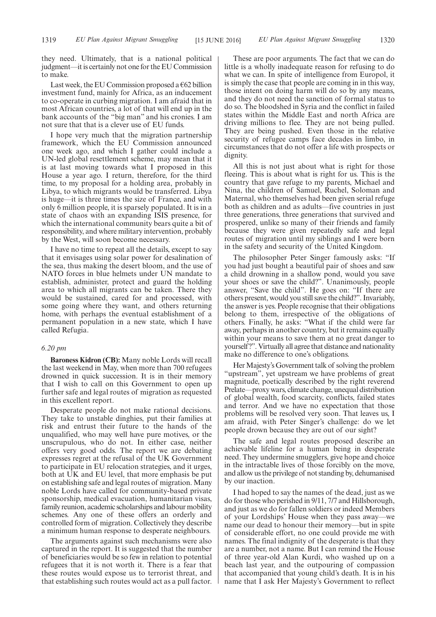they need. Ultimately, that is a national political judgment—it is certainly not one for the EU Commission to make.

Last week, the EU Commission proposed a  $662$  billion investment fund, mainly for Africa, as an inducement to co-operate in curbing migration. I am afraid that in most African countries, a lot of that will end up in the bank accounts of the "big man" and his cronies. I am not sure that that is a clever use of EU funds.

I hope very much that the migration partnership framework, which the EU Commission announced one week ago, and which I gather could include a UN-led global resettlement scheme, may mean that it is at last moving towards what I proposed in this House a year ago. I return, therefore, for the third time, to my proposal for a holding area, probably in Libya, to which migrants would be transferred. Libya is huge—it is three times the size of France, and with only 6 million people, it is sparsely populated. It is in a state of chaos with an expanding ISIS presence, for which the international community bears quite a bit of responsibility, and where military intervention, probably by the West, will soon become necessary.

I have no time to repeat all the details, except to say that it envisages using solar power for desalination of the sea, thus making the desert bloom, and the use of NATO forces in blue helmets under UN mandate to establish, administer, protect and guard the holding area to which all migrants can be taken. There they would be sustained, cared for and processed, with some going where they want, and others returning home, with perhaps the eventual establishment of a permanent population in a new state, which I have called Refugia.

### *6.20 pm*

**Baroness Kidron (CB):** Many noble Lords will recall the last weekend in May, when more than 700 refugees drowned in quick succession. It is in their memory that I wish to call on this Government to open up further safe and legal routes of migration as requested in this excellent report.

Desperate people do not make rational decisions. They take to unstable dinghies, put their families at risk and entrust their future to the hands of the unqualified, who may well have pure motives, or the unscrupulous, who do not. In either case, neither offers very good odds. The report we are debating expresses regret at the refusal of the UK Government to participate in EU relocation strategies, and it urges, both at UK and EU level, that more emphasis be put on establishing safe and legal routes of migration. Many noble Lords have called for community-based private sponsorship, medical evacuation, humanitarian visas, family reunion, academic scholarships and labour mobility schemes. Any one of these offers an orderly and controlled form of migration. Collectively they describe a minimum human response to desperate neighbours.

The arguments against such mechanisms were also captured in the report. It is suggested that the number of beneficiaries would be so few in relation to potential refugees that it is not worth it. There is a fear that these routes would expose us to terrorist threat, and that establishing such routes would act as a pull factor.

These are poor arguments. The fact that we can do little is a wholly inadequate reason for refusing to do what we can. In spite of intelligence from Europol, it is simply the case that people are coming in in this way, those intent on doing harm will do so by any means, and they do not need the sanction of formal status to do so. The bloodshed in Syria and the conflict in failed states within the Middle East and north Africa are driving millions to flee. They are not being pulled. They are being pushed. Even those in the relative security of refugee camps face decades in limbo, in circumstances that do not offer a life with prospects or dignity.

All this is not just about what is right for those fleeing. This is about what is right for us. This is the country that gave refuge to my parents, Michael and Nina, the children of Samuel, Ruchel, Soloman and Maternal, who themselves had been given serial refuge both as children and as adults—five countries in just three generations, three generations that survived and prospered, unlike so many of their friends and family because they were given repeatedly safe and legal routes of migration until my siblings and I were born in the safety and security of the United Kingdom.

The philosopher Peter Singer famously asks: "If you had just bought a beautiful pair of shoes and saw a child drowning in a shallow pond, would you save your shoes or save the child?". Unanimously, people answer, "Save the child". He goes on: "If there are others present, would you still save the child?". Invariably, the answer is yes. People recognise that their obligations belong to them, irrespective of the obligations of others. Finally, he asks: "What if the child were far away, perhaps in another country, but it remains equally within your means to save them at no great danger to yourself?". Virtually all agree that distance and nationality make no difference to one's obligations.

Her Majesty's Government talk of solving the problem "upstream", yet upstream we have problems of great magnitude, poetically described by the right reverend Prelate—proxy wars, climate change, unequal distribution of global wealth, food scarcity, conflicts, failed states and terror. And we have no expectation that those problems will be resolved very soon. That leaves us, I am afraid, with Peter Singer's challenge: do we let people drown because they are out of our sight?

The safe and legal routes proposed describe an achievable lifeline for a human being in desperate need. They undermine smugglers, give hope and choice in the intractable lives of those forcibly on the move, and allow us the privilege of not standing by, dehumanised by our inaction.

I had hoped to say the names of the dead, just as we do for those who perished in 9/11, 7/7 and Hillsborough, and just as we do for fallen soldiers or indeed Members of your Lordships' House when they pass away—we name our dead to honour their memory—but in spite of considerable effort, no one could provide me with names. The final indignity of the desperate is that they are a number, not a name. But I can remind the House of three year-old Alan Kurdi, who washed up on a beach last year, and the outpouring of compassion that accompanied that young child's death. It is in his name that I ask Her Majesty's Government to reflect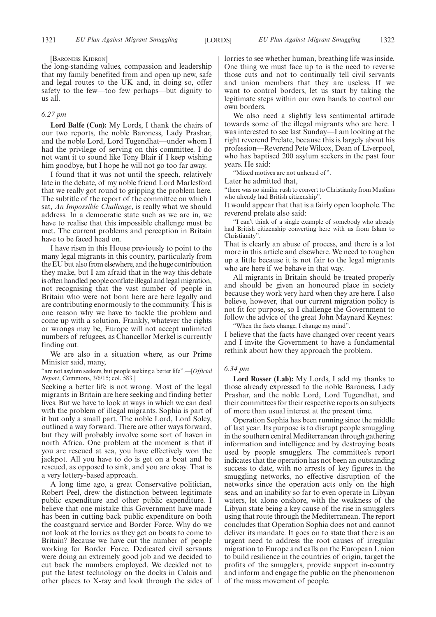#### [BARONESS KIDRON]

the long-standing values, compassion and leadership that my family benefited from and open up new, safe and legal routes to the UK and, in doing so, offer safety to the few—too few perhaps—but dignity to us all.

#### *6.27 pm*

**Lord Balfe (Con):** My Lords, I thank the chairs of our two reports, the noble Baroness, Lady Prashar, and the noble Lord, Lord Tugendhat—under whom I had the privilege of serving on this committee. I do not want it to sound like Tony Blair if I keep wishing him goodbye, but I hope he will not go too far away.

I found that it was not until the speech, relatively late in the debate, of my noble friend Lord Marlesford that we really got round to gripping the problem here. The subtitle of the report of the committee on which I sat, *An Impossible Challenge*, is really what we should address. In a democratic state such as we are in, we have to realise that this impossible challenge must be met. The current problems and perception in Britain have to be faced head on.

I have risen in this House previously to point to the many legal migrants in this country, particularly from the EU but also from elsewhere, and the huge contribution they make, but I am afraid that in the way this debate is often handled people conflate illegal and legal migration, not recognising that the vast number of people in Britain who were not born here are here legally and are contributing enormously to the community. This is one reason why we have to tackle the problem and come up with a solution. Frankly, whatever the rights or wrongs may be, Europe will not accept unlimited numbers of refugees, as Chancellor Merkel is currently finding out.

We are also in a situation where, as our Prime Minister said, many,

"are not asylum seekers, but people seeking a better life".—[*Official Report*, Commons, 3/6/15; col. 583.]

Seeking a better life is not wrong. Most of the legal migrants in Britain are here seeking and finding better lives. But we have to look at ways in which we can deal with the problem of illegal migrants. Sophia is part of it but only a small part. The noble Lord, Lord Soley, outlined a way forward. There are other ways forward, but they will probably involve some sort of haven in north Africa. One problem at the moment is that if you are rescued at sea, you have effectively won the jackpot. All you have to do is get on a boat and be rescued, as opposed to sink, and you are okay. That is a very lottery-based approach.

A long time ago, a great Conservative politician, Robert Peel, drew the distinction between legitimate public expenditure and other public expenditure. I believe that one mistake this Government have made has been in cutting back public expenditure on both the coastguard service and Border Force. Why do we not look at the lorries as they get on boats to come to Britain? Because we have cut the number of people working for Border Force. Dedicated civil servants were doing an extremely good job and we decided to cut back the numbers employed. We decided not to put the latest technology on the docks in Calais and other places to X-ray and look through the sides of lorries to see whether human, breathing life was inside. One thing we must face up to is the need to reverse those cuts and not to continually tell civil servants and union members that they are useless. If we want to control borders, let us start by taking the legitimate steps within our own hands to control our own borders.

We also need a slightly less sentimental attitude towards some of the illegal migrants who are here. I was interested to see last Sunday—I am looking at the right reverend Prelate, because this is largely about his profession—Reverend Pete Wilcox, Dean of Liverpool, who has baptised 200 asylum seekers in the past four years. He said:

"Mixed motives are not unheard of".

Later he admitted that,

"there was no similar rush to convert to Christianity from Muslims who already had British citizenship".

It would appear that that is a fairly open loophole. The reverend prelate also said:

"I can't think of a single example of somebody who already had British citizenship converting here with us from Islam to Christianity".

That is clearly an abuse of process, and there is a lot more in this article and elsewhere. We need to toughen up a little because it is not fair to the legal migrants who are here if we behave in that way.

All migrants in Britain should be treated properly and should be given an honoured place in society because they work very hard when they are here. I also believe, however, that our current migration policy is not fit for purpose, so I challenge the Government to follow the advice of the great John Maynard Keynes:

"When the facts change, I change my mind". I believe that the facts have changed over recent years and I invite the Government to have a fundamental rethink about how they approach the problem.

#### *6.34 pm*

**Lord Rosser (Lab):** My Lords, I add my thanks to those already expressed to the noble Baroness, Lady Prashar, and the noble Lord, Lord Tugendhat, and their committees for their respective reports on subjects of more than usual interest at the present time.

Operation Sophia has been running since the middle of last year. Its purpose is to disrupt people smuggling in the southern central Mediterranean through gathering information and intelligence and by destroying boats used by people smugglers. The committee's report indicates that the operation has not been an outstanding success to date, with no arrests of key figures in the smuggling networks, no effective disruption of the networks since the operation acts only on the high seas, and an inability so far to even operate in Libyan waters, let alone onshore, with the weakness of the Libyan state being a key cause of the rise in smugglers using that route through the Mediterranean. The report concludes that Operation Sophia does not and cannot deliver its mandate. It goes on to state that there is an urgent need to address the root causes of irregular migration to Europe and calls on the European Union to build resilience in the countries of origin, target the profits of the smugglers, provide support in-country and inform and engage the public on the phenomenon of the mass movement of people.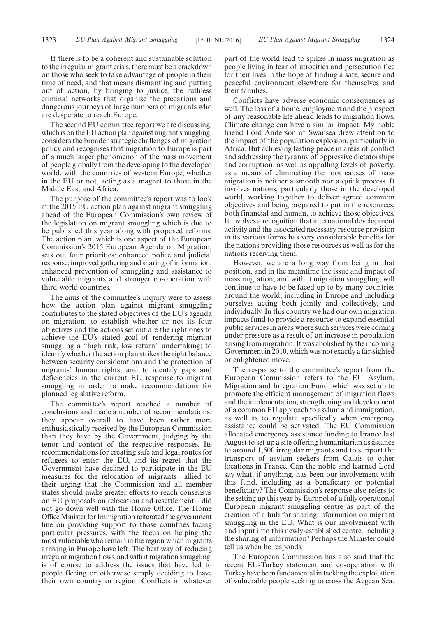If there is to be a coherent and sustainable solution to the irregular migrant crisis, there must be a crackdown on those who seek to take advantage of people in their time of need, and that means dismantling and putting out of action, by bringing to justice, the ruthless criminal networks that organise the precarious and dangerous journeys of large numbers of migrants who are desperate to reach Europe.

The second EU committee report we are discussing, which is on the EU action plan against migrant smuggling, considers the broader strategic challenges of migration policy and recognises that migration to Europe is part of a much larger phenomenon of the mass movement of people globally from the developing to the developed world, with the countries of western Europe, whether in the EU or not, acting as a magnet to those in the Middle East and Africa.

The purpose of the committee's report was to look at the 2015 EU action plan against migrant smuggling ahead of the European Commission's own review of the legislation on migrant smuggling which is due to be published this year along with proposed reforms. The action plan, which is one aspect of the European Commission's 2015 European Agenda on Migration, sets out four priorities: enhanced police and judicial response; improved gathering and sharing of information; enhanced prevention of smuggling and assistance to vulnerable migrants and stronger co-operation with third-world countries.

The aims of the committee's inquiry were to assess how the action plan against migrant smuggling contributes to the stated objectives of the EU's agenda on migration; to establish whether or not its four objectives and the actions set out are the right ones to achieve the EU's stated goal of rendering migrant smuggling a "high risk, low return" undertaking; to identify whether the action plan strikes the right balance between security considerations and the protection of migrants' human rights; and to identify gaps and deficiencies in the current EU response to migrant smuggling in order to make recommendations for planned legislative reform.

The committee's report reached a number of conclusions and made a number of recommendations; they appear overall to have been rather more enthusiastically received by the European Commission than they have by the Government, judging by the tenor and content of the respective responses. Its recommendations for creating safe and legal routes for refugees to enter the EU, and its regret that the Government have declined to participate in the EU measures for the relocation of migrants—allied to their urging that the Commission and all member states should make greater efforts to reach consensus on EU proposals on relocation and resettlement—did not go down well with the Home Office. The Home Office Minister for Immigration reiterated the government line on providing support to those countries facing particular pressures, with the focus on helping the most vulnerable who remain in the region which migrants arriving in Europe have left. The best way of reducing irregular migration flows, and with it migration smuggling, is of course to address the issues that have led to people fleeing or otherwise simply deciding to leave their own country or region. Conflicts in whatever part of the world lead to spikes in mass migration as people living in fear of atrocities and persecution flee for their lives in the hope of finding a safe, secure and peaceful environment elsewhere for themselves and their families.

Conflicts have adverse economic consequences as well. The loss of a home, employment and the prospect of any reasonable life ahead leads to migration flows. Climate change can have a similar impact. My noble friend Lord Anderson of Swansea drew attention to the impact of the population explosion, particularly in Africa. But achieving lasting peace in areas of conflict and addressing the tyranny of oppressive dictatorships and corruption, as well as appalling levels of poverty, as a means of eliminating the root causes of mass migration is neither a smooth nor a quick process. It involves nations, particularly those in the developed world, working together to deliver agreed common objectives and being prepared to put in the resources, both financial and human, to achieve those objectives. It involves a recognition that international development activity and the associated necessary resource provision in its various forms has very considerable benefits for the nations providing those resources as well as for the nations receiving them.

However, we are a long way from being in that position, and in the meantime the issue and impact of mass migration, and with it migration smuggling, will continue to have to be faced up to by many countries around the world, including in Europe and including ourselves acting both jointly and collectively, and individually. In this country we had our own migration impacts fund to provide a resource to expand essential public services in areas where such services were coming under pressure as a result of an increase in population arising from migration. It was abolished by the incoming Government in 2010, which was not exactly a far-sighted or enlightened move.

The response to the committee's report from the European Commission refers to the EU Asylum, Migration and Integration Fund, which was set up to promote the efficient management of migration flows and the implementation, strengthening and development of a common EU approach to asylum and immigration, as well as to regulate specifically when emergency assistance could be activated. The EU Commission allocated emergency assistance funding to France last August to set up a site offering humanitarian assistance to around 1,500 irregular migrants and to support the transport of asylum seekers from Calais to other locations in France. Can the noble and learned Lord say what, if anything, has been our involvement with this fund, including as a beneficiary or potential beneficiary? The Commission's response also refers to the setting up this year by Europol of a fully operational European migrant smuggling centre as part of the creation of a hub for sharing information on migrant smuggling in the EU. What is our involvement with and input into this newly-established centre, including the sharing of information? Perhaps the Minister could tell us when he responds.

The European Commission has also said that the recent EU-Turkey statement and co-operation with Turkey have been fundamental in tackling the exploitation of vulnerable people seeking to cross the Aegean Sea.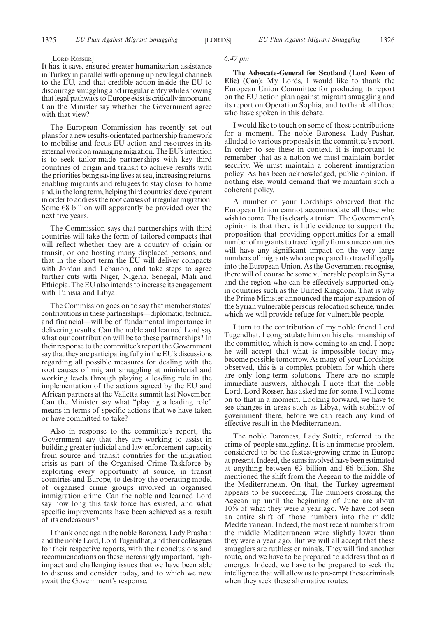#### [LORD ROSSER]

It has, it says, ensured greater humanitarian assistance in Turkey in parallel with opening up new legal channels to the EU, and that credible action inside the EU to discourage smuggling and irregular entry while showing that legal pathways to Europe exist is critically important. Can the Minister say whether the Government agree with that view?

The European Commission has recently set out plans for a new results-orientated partnership framework to mobilise and focus EU action and resources in its external work on managing migration. The EU's intention is to seek tailor-made partnerships with key third countries of origin and transit to achieve results with the priorities being saving lives at sea, increasing returns, enabling migrants and refugees to stay closer to home and, in the long term, helping third countries'development in order to address the root causes of irregular migration. Some  $\epsilon$ 8 billion will apparently be provided over the next five years.

The Commission says that partnerships with third countries will take the form of tailored compacts that will reflect whether they are a country of origin or transit, or one hosting many displaced persons, and that in the short term the EU will deliver compacts with Jordan and Lebanon, and take steps to agree further cuts with Niger, Nigeria, Senegal, Mali and Ethiopia. The EU also intends to increase its engagement with Tunisia and Libya.

The Commission goes on to say that member states' contributions in these partnerships—diplomatic, technical and financial—will be of fundamental importance in delivering results. Can the noble and learned Lord say what our contribution will be to these partnerships? In their response to the committee's report the Government say that they are participating fully in the EU's discussions regarding all possible measures for dealing with the root causes of migrant smuggling at ministerial and working levels through playing a leading role in the implementation of the actions agreed by the EU and African partners at the Valletta summit last November. Can the Minister say what "playing a leading role" means in terms of specific actions that we have taken or have committed to take?

Also in response to the committee's report, the Government say that they are working to assist in building greater judicial and law enforcement capacity from source and transit countries for the migration crisis as part of the Organised Crime Taskforce by exploiting every opportunity at source, in transit countries and Europe, to destroy the operating model of organised crime groups involved in organised immigration crime. Can the noble and learned Lord say how long this task force has existed, and what specific improvements have been achieved as a result of its endeavours?

I thank once again the noble Baroness, Lady Prashar, and the noble Lord, Lord Tugendhat, and their colleagues for their respective reports, with their conclusions and recommendations on these increasingly important, highimpact and challenging issues that we have been able to discuss and consider today, and to which we now await the Government's response.

#### *6.47 pm*

**The Advocate-General for Scotland (Lord Keen of Elie) (Con):** My Lords, I would like to thank the European Union Committee for producing its report on the EU action plan against migrant smuggling and its report on Operation Sophia, and to thank all those who have spoken in this debate.

I would like to touch on some of those contributions for a moment. The noble Baroness, Lady Pashar, alluded to various proposals in the committee's report. In order to see these in context, it is important to remember that as a nation we must maintain border security. We must maintain a coherent immigration policy. As has been acknowledged, public opinion, if nothing else, would demand that we maintain such a coherent policy.

A number of your Lordships observed that the European Union cannot accommodate all those who wish to come. That is clearly a truism. The Government's opinion is that there is little evidence to support the proposition that providing opportunities for a small number of migrants to travel legally from source countries will have any significant impact on the very large numbers of migrants who are prepared to travel illegally into the European Union. As the Government recognise, there will of course be some vulnerable people in Syria and the region who can be effectively supported only in countries such as the United Kingdom. That is why the Prime Minister announced the major expansion of the Syrian vulnerable persons relocation scheme, under which we will provide refuge for vulnerable people.

I turn to the contribution of my noble friend Lord Tugendhat. I congratulate him on his chairmanship of the committee, which is now coming to an end. I hope he will accept that what is impossible today may become possible tomorrow. As many of your Lordships observed, this is a complex problem for which there are only long-term solutions. There are no simple immediate answers, although I note that the noble Lord, Lord Rosser, has asked me for some. I will come on to that in a moment. Looking forward, we have to see changes in areas such as Libya, with stability of government there, before we can reach any kind of effective result in the Mediterranean.

The noble Baroness, Lady Suttie, referred to the crime of people smuggling. It is an immense problem, considered to be the fastest-growing crime in Europe at present. Indeed, the sums involved have been estimated at anything between  $\epsilon$ 3 billion and  $\epsilon$ 6 billion. She mentioned the shift from the Aegean to the middle of the Mediterranean. On that, the Turkey agreement appears to be succeeding. The numbers crossing the Aegean up until the beginning of June are about 10% of what they were a year ago. We have not seen an entire shift of those numbers into the middle Mediterranean. Indeed, the most recent numbers from the middle Mediterranean were slightly lower than they were a year ago. But we will all accept that these smugglers are ruthless criminals. They will find another route, and we have to be prepared to address that as it emerges. Indeed, we have to be prepared to seek the intelligence that will allow us to pre-empt these criminals when they seek these alternative routes.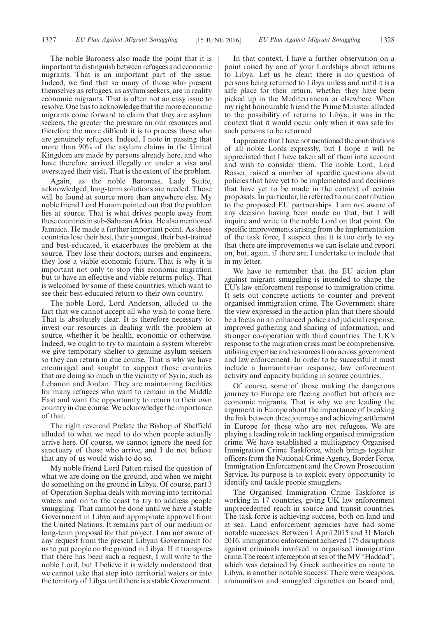The noble Baroness also made the point that it is important to distinguish between refugees and economic migrants. That is an important part of the issue. Indeed, we find that so many of those who present themselves as refugees, as asylum seekers, are in reality economic migrants. That is often not an easy issue to resolve. One has to acknowledge that the more economic migrants come forward to claim that they are asylum seekers, the greater the pressure on our resources and therefore the more difficult it is to process those who are genuinely refugees. Indeed, I note in passing that more than 90% of the asylum claims in the United Kingdom are made by persons already here, and who have therefore arrived illegally or under a visa and overstayed their visit. That is the extent of the problem.

Again, as the noble Baroness, Lady Suttie, acknowledged, long-term solutions are needed. Those will be found at source more than anywhere else. My noble friend Lord Horam pointed out that the problem lies at source. That is what drives people away from these countries in sub-Saharan Africa. He also mentioned Jamaica. He made a further important point. As these countries lose their best, their youngest, their best-trained and best-educated, it exacerbates the problem at the source. They lose their doctors, nurses and engineers; they lose a viable economic future. That is why it is important not only to stop this economic migration but to have an effective and viable returns policy. That is welcomed by some of these countries, which want to see their best-educated return to their own country.

The noble Lord, Lord Anderson, alluded to the fact that we cannot accept all who wish to come here. That is absolutely clear. It is therefore necessary to invest our resources in dealing with the problem at source, whether it be health, economic or otherwise. Indeed, we ought to try to maintain a system whereby we give temporary shelter to genuine asylum seekers so they can return in due course. That is why we have encouraged and sought to support those countries that are doing so much in the vicinity of Syria, such as Lebanon and Jordan. They are maintaining facilities for many refugees who want to remain in the Middle East and want the opportunity to return to their own country in due course. We acknowledge the importance of that.

The right reverend Prelate the Bishop of Sheffield alluded to what we need to do when people actually arrive here. Of course, we cannot ignore the need for sanctuary of those who arrive, and I do not believe that any of us would wish to do so.

My noble friend Lord Patten raised the question of what we are doing on the ground, and when we might do something on the ground in Libya. Of course, part 3 of Operation Sophia deals with moving into territorial waters and on to the coast to try to address people smuggling. That cannot be done until we have a stable Government in Libya and appropriate approval from the United Nations. It remains part of our medium or long-term proposal for that project. I am not aware of any request from the present Libyan Government for us to put people on the ground in Libya. If it transpires that there has been such a request, I will write to the noble Lord, but I believe it is widely understood that we cannot take that step into territorial waters or into the territory of Libya until there is a stable Government.

In that context, I have a further observation on a point raised by one of your Lordships about returns to Libya. Let us be clear: there is no question of persons being returned to Libya unless and until it is a safe place for their return, whether they have been picked up in the Mediterranean or elsewhere. When my right honourable friend the Prime Minister alluded to the possibility of returns to Libya, it was in the context that it would occur only when it was safe for such persons to be returned.

I appreciate that I have not mentioned the contributions of all noble Lords expressly, but I hope it will be appreciated that I have taken all of them into account and wish to consider them. The noble Lord, Lord Rosser, raised a number of specific questions about policies that have yet to be implemented and decisions that have yet to be made in the context of certain proposals. In particular, he referred to our contribution to the proposed EU partnerships. I am not aware of any decision having been made on that, but I will inquire and write to the noble Lord on that point. On specific improvements arising from the implementation of the task force, I suspect that it is too early to say that there are improvements we can isolate and report on, but, again, if there are, I undertake to include that in my letter.

We have to remember that the EU action plan against migrant smuggling is intended to shape the EU's law enforcement response to immigration crime. It sets out concrete actions to counter and prevent organised immigration crime. The Government share the view expressed in the action plan that there should be a focus on an enhanced police and judicial response, improved gathering and sharing of information, and stronger co-operation with third countries. The UK's response to the migration crisis must be comprehensive, utilising expertise and resources from across government and law enforcement. In order to be successful it must include a humanitarian response, law enforcement activity and capacity building in source countries.

Of course, some of those making the dangerous journey to Europe are fleeing conflict but others are economic migrants. That is why we are leading the argument in Europe about the importance of breaking the link between these journeys and achieving settlement in Europe for those who are not refugees. We are playing a leading role in tackling organised immigration crime. We have established a multiagency Organised Immigration Crime Taskforce, which brings together officers from the National Crime Agency, Border Force, Immigration Enforcement and the Crown Prosecution Service. Its purpose is to exploit every opportunity to identify and tackle people smugglers.

The Organised Immigration Crime Taskforce is working in 17 countries, giving UK law enforcement unprecedented reach in source and transit countries. The task force is achieving success, both on land and at sea. Land enforcement agencies have had some notable successes. Between 1 April 2015 and 31 March 2016, immigration enforcement achieved 175 disruptions against criminals involved in organised immigration crime. The recent interception at sea of the MV "Haddad", which was detained by Greek authorities en route to Libya, is another notable success. There were weapons, ammunition and smuggled cigarettes on board and,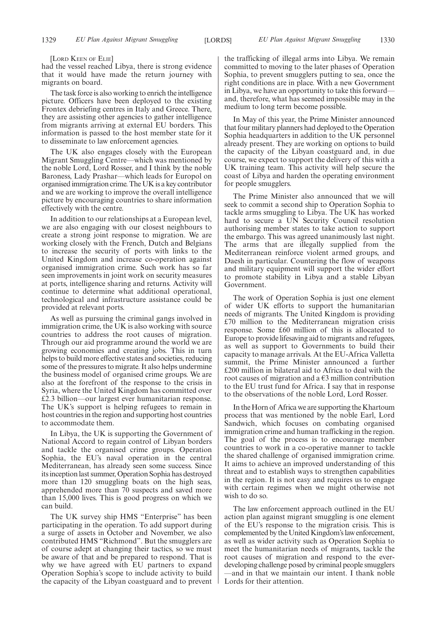[LORD KEEN OF ELIE]

had the vessel reached Libya, there is strong evidence that it would have made the return journey with migrants on board.

The task force is also working to enrich the intelligence picture. Officers have been deployed to the existing Frontex debriefing centres in Italy and Greece. There, they are assisting other agencies to gather intelligence from migrants arriving at external EU borders. This information is passed to the host member state for it to disseminate to law enforcement agencies.

The UK also engages closely with the European Migrant Smuggling Centre—which was mentioned by the noble Lord, Lord Rosser, and I think by the noble Baroness, Lady Prashar—which leads for Europol on organised immigration crime. The UK is a key contributor and we are working to improve the overall intelligence picture by encouraging countries to share information effectively with the centre.

In addition to our relationships at a European level, we are also engaging with our closest neighbours to create a strong joint response to migration. We are working closely with the French, Dutch and Belgians to increase the security of ports with links to the United Kingdom and increase co-operation against organised immigration crime. Such work has so far seen improvements in joint work on security measures at ports, intelligence sharing and returns. Activity will continue to determine what additional operational, technological and infrastructure assistance could be provided at relevant ports.

As well as pursuing the criminal gangs involved in immigration crime, the UK is also working with source countries to address the root causes of migration. Through our aid programme around the world we are growing economies and creating jobs. This in turn helps to build more effective states and societies, reducing some of the pressures to migrate. It also helps undermine the business model of organised crime groups. We are also at the forefront of the response to the crisis in Syria, where the United Kingdom has committed over £2.3 billion—our largest ever humanitarian response. The UK's support is helping refugees to remain in host countries in the region and supporting host countries to accommodate them.

In Libya, the UK is supporting the Government of National Accord to regain control of Libyan borders and tackle the organised crime groups. Operation Sophia, the EU's naval operation in the central Mediterranean, has already seen some success. Since its inception last summer, Operation Sophia has destroyed more than 120 smuggling boats on the high seas, apprehended more than 70 suspects and saved more than 15,000 lives. This is good progress on which we can build.

The UK survey ship HMS "Enterprise" has been participating in the operation. To add support during a surge of assets in October and November, we also contributed HMS "Richmond". But the smugglers are of course adept at changing their tactics, so we must be aware of that and be prepared to respond. That is why we have agreed with EU partners to expand Operation Sophia's scope to include activity to build the capacity of the Libyan coastguard and to prevent the trafficking of illegal arms into Libya. We remain committed to moving to the later phases of Operation Sophia, to prevent smugglers putting to sea, once the right conditions are in place. With a new Government in Libya, we have an opportunity to take this forward and, therefore, what has seemed impossible may in the medium to long term become possible.

In May of this year, the Prime Minister announced that four military planners had deployed to the Operation Sophia headquarters in addition to the UK personnel already present. They are working on options to build the capacity of the Libyan coastguard and, in due course, we expect to support the delivery of this with a UK training team. This activity will help secure the coast of Libya and harden the operating environment for people smugglers.

The Prime Minister also announced that we will seek to commit a second ship to Operation Sophia to tackle arms smuggling to Libya. The UK has worked hard to secure a UN Security Council resolution authorising member states to take action to support the embargo. This was agreed unanimously last night. The arms that are illegally supplied from the Mediterranean reinforce violent armed groups, and Daesh in particular. Countering the flow of weapons and military equipment will support the wider effort to promote stability in Libya and a stable Libyan Government.

The work of Operation Sophia is just one element of wider UK efforts to support the humanitarian needs of migrants. The United Kingdom is providing £70 million to the Mediterranean migration crisis response. Some £60 million of this is allocated to Europe to provide lifesaving aid to migrants and refugees, as well as support to Governments to build their capacity to manage arrivals. At the EU-Africa Valletta summit, the Prime Minister announced a further £200 million in bilateral aid to Africa to deal with the root causes of migration and a  $\epsilon$ 3 million contribution to the EU trust fund for Africa. I say that in response to the observations of the noble Lord, Lord Rosser.

In the Horn of Africa we are supporting the Khartoum process that was mentioned by the noble Earl, Lord Sandwich, which focuses on combating organised immigration crime and human trafficking in the region. The goal of the process is to encourage member countries to work in a co-operative manner to tackle the shared challenge of organised immigration crime. It aims to achieve an improved understanding of this threat and to establish ways to strengthen capabilities in the region. It is not easy and requires us to engage with certain regimes when we might otherwise not wish to do so.

The law enforcement approach outlined in the EU action plan against migrant smuggling is one element of the EU's response to the migration crisis. This is complemented by the United Kingdom's law enforcement, as well as wider activity such as Operation Sophia to meet the humanitarian needs of migrants, tackle the root causes of migration and respond to the everdeveloping challenge posed by criminal people smugglers —and in that we maintain our intent. I thank noble Lords for their attention.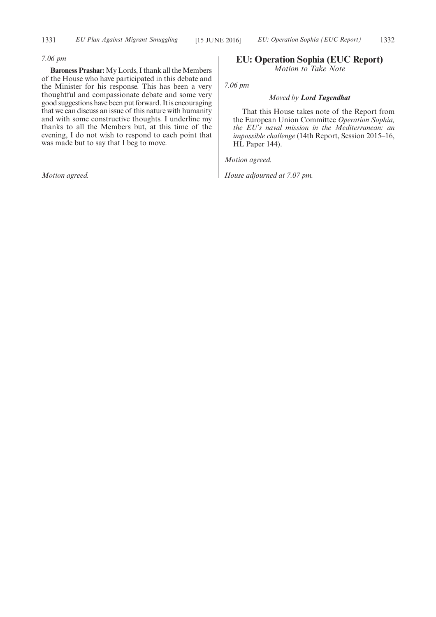## *7.06 pm*

**Baroness Prashar:** My Lords, I thank all the Members of the House who have participated in this debate and the Minister for his response. This has been a very thoughtful and compassionate debate and some very good suggestions have been put forward. It is encouraging that we can discuss an issue of this nature with humanity and with some constructive thoughts. I underline my thanks to all the Members but, at this time of the evening, I do not wish to respond to each point that was made but to say that I beg to move.

*Motion agreed.*

## **EU: Operation Sophia (EUC Report)** *Motion to Take Note*

*7.06 pm*

## *Moved by Lord Tugendhat*

That this House takes note of the Report from the European Union Committee *Operation Sophia, the EU's naval mission in the Mediterranean: an impossible challenge* (14th Report, Session 2015–16, HL Paper 144).

*Motion agreed.*

*House adjourned at 7.07 pm.*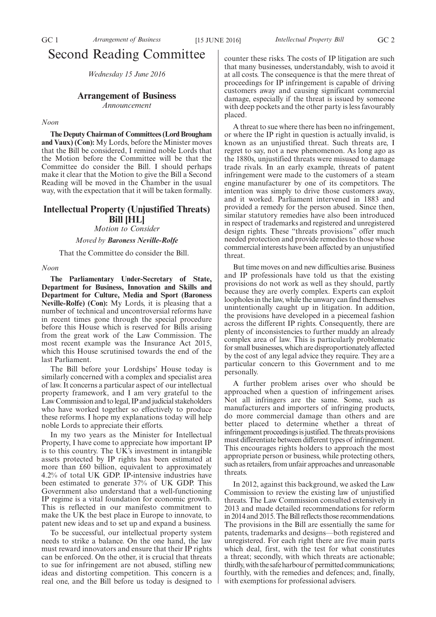# Second Reading Committee

*Wednesday 15 June 2016*

## **Arrangement of Business**

*Announcement*

#### *Noon*

**The Deputy Chairman of Committees (Lord Brougham and Vaux) (Con):** My Lords, before the Minister moves that the Bill be considered, I remind noble Lords that the Motion before the Committee will be that the Committee do consider the Bill. I should perhaps make it clear that the Motion to give the Bill a Second Reading will be moved in the Chamber in the usual way, with the expectation that it will be taken formally.

# **Intellectual Property (Unjustified Threats) Bill [HL]**

*Motion to Consider*

*Moved by Baroness Neville-Rolfe*

That the Committee do consider the Bill.

## *Noon*

**The Parliamentary Under-Secretary of State, Department for Business, Innovation and Skills and Department for Culture, Media and Sport (Baroness Neville-Rolfe) (Con):** My Lords, it is pleasing that a number of technical and uncontroversial reforms have in recent times gone through the special procedure before this House which is reserved for Bills arising from the great work of the Law Commission. The most recent example was the Insurance Act 2015, which this House scrutinised towards the end of the last Parliament.

The Bill before your Lordships' House today is similarly concerned with a complex and specialist area of law. It concerns a particular aspect of our intellectual property framework, and I am very grateful to the Law Commission and to legal, IP and judicial stakeholders who have worked together so effectively to produce these reforms. I hope my explanations today will help noble Lords to appreciate their efforts.

In my two years as the Minister for Intellectual Property, I have come to appreciate how important IP is to this country. The UK's investment in intangible assets protected by IP rights has been estimated at more than £60 billion, equivalent to approximately 4.2% of total UK GDP. IP-intensive industries have been estimated to generate 37% of UK GDP. This Government also understand that a well-functioning IP regime is a vital foundation for economic growth. This is reflected in our manifesto commitment to make the UK the best place in Europe to innovate, to patent new ideas and to set up and expand a business.

To be successful, our intellectual property system needs to strike a balance. On the one hand, the law must reward innovators and ensure that their IP rights can be enforced. On the other, it is crucial that threats to sue for infringement are not abused, stifling new ideas and distorting competition. This concern is a real one, and the Bill before us today is designed to counter these risks. The costs of IP litigation are such that many businesses, understandably, wish to avoid it at all costs. The consequence is that the mere threat of proceedings for IP infringement is capable of driving customers away and causing significant commercial damage, especially if the threat is issued by someone with deep pockets and the other party is less favourably placed.

A threat to sue where there has been no infringement, or where the IP right in question is actually invalid, is known as an unjustified threat. Such threats are, I regret to say, not a new phenomenon. As long ago as the 1880s, unjustified threats were misused to damage trade rivals. In an early example, threats of patent infringement were made to the customers of a steam engine manufacturer by one of its competitors. The intention was simply to drive those customers away, and it worked. Parliament intervened in 1883 and provided a remedy for the person abused. Since then, similar statutory remedies have also been introduced in respect of trademarks and registered and unregistered design rights. These "threats provisions" offer much needed protection and provide remedies to those whose commercial interests have been affected by an unjustified threat.

But time moves on and new difficulties arise. Business and IP professionals have told us that the existing provisions do not work as well as they should, partly because they are overly complex. Experts can exploit loopholes in the law, while the unwary can find themselves unintentionally caught up in litigation. In addition, the provisions have developed in a piecemeal fashion across the different IP rights. Consequently, there are plenty of inconsistencies to further muddy an already complex area of law. This is particularly problematic for small businesses, which are disproportionately affected by the cost of any legal advice they require. They are a particular concern to this Government and to me personally.

A further problem arises over who should be approached when a question of infringement arises. Not all infringers are the same. Some, such as manufacturers and importers of infringing products, do more commercial damage than others and are better placed to determine whether a threat of infringement proceedings is justified. The threats provisions must differentiate between different types of infringement. This encourages rights holders to approach the most appropriate person or business, while protecting others, such as retailers, from unfair approaches and unreasonable threats.

In 2012, against this background, we asked the Law Commission to review the existing law of unjustified threats. The Law Commission consulted extensively in 2013 and made detailed recommendations for reform in 2014 and 2015. The Bill reflects those recommendations. The provisions in the Bill are essentially the same for patents, trademarks and designs—both registered and unregistered. For each right there are five main parts which deal, first, with the test for what constitutes a threat; secondly, with which threats are actionable; thirdly, with the safe harbour of permitted communications; fourthly, with the remedies and defences; and, finally, with exemptions for professional advisers.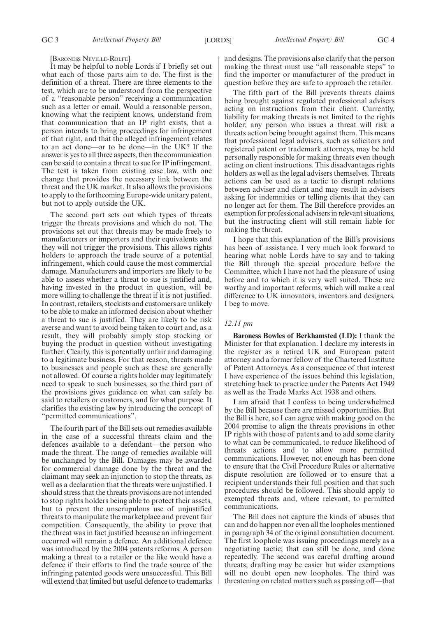[BARONESS NEVILLE-ROLFE]

It may be helpful to noble Lords if I briefly set out what each of those parts aim to do. The first is the definition of a threat. There are three elements to the test, which are to be understood from the perspective of a "reasonable person" receiving a communication such as a letter or email. Would a reasonable person, knowing what the recipient knows, understand from that communication that an IP right exists, that a person intends to bring proceedings for infringement of that right, and that the alleged infringement relates to an act done—or to be done—in the UK? If the answer is yes to all three aspects, then the communication can be said to contain a threat to sue for IP infringement. The test is taken from existing case law, with one change that provides the necessary link between the threat and the UK market. It also allows the provisions to apply to the forthcoming Europe-wide unitary patent, but not to apply outside the UK.

The second part sets out which types of threats trigger the threats provisions and which do not. The provisions set out that threats may be made freely to manufacturers or importers and their equivalents and they will not trigger the provisions. This allows rights holders to approach the trade source of a potential infringement, which could cause the most commercial damage. Manufacturers and importers are likely to be able to assess whether a threat to sue is justified and, having invested in the product in question, will be more willing to challenge the threat if it is not justified. In contrast, retailers, stockists and customers are unlikely to be able to make an informed decision about whether a threat to sue is justified. They are likely to be risk averse and want to avoid being taken to court and, as a result, they will probably simply stop stocking or buying the product in question without investigating further. Clearly, this is potentially unfair and damaging to a legitimate business. For that reason, threats made to businesses and people such as these are generally not allowed. Of course a rights holder may legitimately need to speak to such businesses, so the third part of the provisions gives guidance on what can safely be said to retailers or customers, and for what purpose. It clarifies the existing law by introducing the concept of "permitted communications".

The fourth part of the Bill sets out remedies available in the case of a successful threats claim and the defences available to a defendant—the person who made the threat. The range of remedies available will be unchanged by the Bill. Damages may be awarded for commercial damage done by the threat and the claimant may seek an injunction to stop the threats, as well as a declaration that the threats were unjustified. I should stress that the threats provisions are not intended to stop rights holders being able to protect their assets, but to prevent the unscrupulous use of unjustified threats to manipulate the marketplace and prevent fair competition. Consequently, the ability to prove that the threat was in fact justified because an infringement occurred will remain a defence. An additional defence was introduced by the 2004 patents reforms. A person making a threat to a retailer or the like would have a defence if their efforts to find the trade source of the infringing patented goods were unsuccessful. This Bill will extend that limited but useful defence to trademarks

and designs. The provisions also clarify that the person making the threat must use "all reasonable steps" to find the importer or manufacturer of the product in question before they are safe to approach the retailer.

The fifth part of the Bill prevents threats claims being brought against regulated professional advisers acting on instructions from their client. Currently, liability for making threats is not limited to the rights holder; any person who issues a threat will risk a threats action being brought against them. This means that professional legal advisers, such as solicitors and registered patent or trademark attorneys, may be held personally responsible for making threats even though acting on client instructions. This disadvantages rights holders as well as the legal advisers themselves. Threats actions can be used as a tactic to disrupt relations between adviser and client and may result in advisers asking for indemnities or telling clients that they can no longer act for them. The Bill therefore provides an exemption for professional advisers in relevant situations, but the instructing client will still remain liable for making the threat.

I hope that this explanation of the Bill's provisions has been of assistance. I very much look forward to hearing what noble Lords have to say and to taking the Bill through the special procedure before the Committee, which I have not had the pleasure of using before and to which it is very well suited. These are worthy and important reforms, which will make a real difference to UK innovators, inventors and designers. I beg to move.

#### *12.11 pm*

**Baroness Bowles of Berkhamsted (LD):** I thank the Minister for that explanation. I declare my interests in the register as a retired UK and European patent attorney and a former fellow of the Chartered Institute of Patent Attorneys. As a consequence of that interest I have experience of the issues behind this legislation, stretching back to practice under the Patents Act 1949 as well as the Trade Marks Act 1938 and others.

I am afraid that I confess to being underwhelmed by the Bill because there are missed opportunities. But the Bill is here, so I can agree with making good on the 2004 promise to align the threats provisions in other IP rights with those of patents and to add some clarity to what can be communicated, to reduce likelihood of threats actions and to allow more permitted communications. However, not enough has been done to ensure that the Civil Procedure Rules or alternative dispute resolution are followed or to ensure that a recipient understands their full position and that such procedures should be followed. This should apply to exempted threats and, where relevant, to permitted communications.

The Bill does not capture the kinds of abuses that can and do happen nor even all the loopholes mentioned in paragraph 34 of the original consultation document. The first loophole was issuing proceedings merely as a negotiating tactic; that can still be done, and done repeatedly. The second was careful drafting around threats; drafting may be easier but wider exemptions will no doubt open new loopholes. The third was threatening on related matters such as passing off—that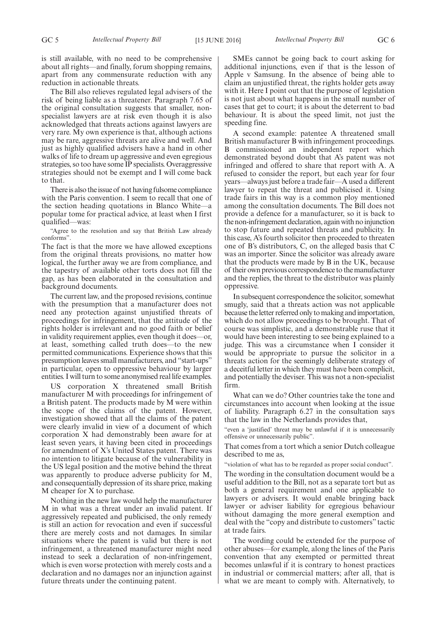The Bill also relieves regulated legal advisers of the risk of being liable as a threatener. Paragraph 7.65 of the original consultation suggests that smaller, nonspecialist lawyers are at risk even though it is also acknowledged that threats actions against lawyers are very rare. My own experience is that, although actions may be rare, aggressive threats are alive and well. And just as highly qualified advisers have a hand in other walks of life to dream up aggressive and even egregious strategies, so too have some IP specialists. Overaggressive strategies should not be exempt and I will come back to that.

There is also the issue of not having fulsome compliance with the Paris convention. I seem to recall that one of the section heading quotations in Blanco White—a popular tome for practical advice, at least when I first qualified—was:

"Agree to the resolution and say that British Law already conforms".

The fact is that the more we have allowed exceptions from the original threats provisions, no matter how logical, the further away we are from compliance, and the tapestry of available other torts does not fill the gap, as has been elaborated in the consultation and background documents.

The current law, and the proposed revisions, continue with the presumption that a manufacturer does not need any protection against unjustified threats of proceedings for infringement, that the attitude of the rights holder is irrelevant and no good faith or belief in validity requirement applies, even though it does—or, at least, something called truth does—to the new permitted communications. Experience shows that this presumption leaves small manufacturers, and "start-ups" in particular, open to oppressive behaviour by larger entities. I will turn to some anonymised real life examples.

US corporation X threatened small British manufacturer M with proceedings for infringement of a British patent. The products made by M were within the scope of the claims of the patent. However, investigation showed that all the claims of the patent were clearly invalid in view of a document of which corporation X had demonstrably been aware for at least seven years, it having been cited in proceedings for amendment of X's United States patent. There was no intention to litigate because of the vulnerability in the US legal position and the motive behind the threat was apparently to produce adverse publicity for M, and consequentially depression of its share price, making M cheaper for X to purchase.

Nothing in the new law would help the manufacturer M in what was a threat under an invalid patent. If aggressively repeated and publicised, the only remedy is still an action for revocation and even if successful there are merely costs and not damages. In similar situations where the patent is valid but there is not infringement, a threatened manufacturer might need instead to seek a declaration of non-infringement, which is even worse protection with merely costs and a declaration and no damages nor an injunction against future threats under the continuing patent.

SMEs cannot be going back to court asking for additional injunctions, even if that is the lesson of Apple v Samsung. In the absence of being able to claim an unjustified threat, the rights holder gets away with it. Here I point out that the purpose of legislation is not just about what happens in the small number of cases that get to court; it is about the deterrent to bad behaviour. It is about the speed limit, not just the speeding fine.

A second example: patentee A threatened small British manufacturer B with infringement proceedings. B commissioned an independent report which demonstrated beyond doubt that A's patent was not infringed and offered to share that report with A. A refused to consider the report, but each year for four years—always just before a trade fair—A used a different lawyer to repeat the threat and publicised it. Using trade fairs in this way is a common ploy mentioned among the consultation documents. The Bill does not provide a defence for a manufacturer, so it is back to the non-infringement declaration, again with no injunction to stop future and repeated threats and publicity. In this case, A's fourth solicitor then proceeded to threaten one of B's distributors, C, on the alleged basis that C was an importer. Since the solicitor was already aware that the products were made by B in the UK, because of their own previous correspondence to the manufacturer and the replies, the threat to the distributor was plainly oppressive.

In subsequent correspondence the solicitor, somewhat smugly, said that a threats action was not applicable because the letter referred only to making and importation, which do not allow proceedings to be brought. That of course was simplistic, and a demonstrable ruse that it would have been interesting to see being explained to a judge. This was a circumstance when I consider it would be appropriate to pursue the solicitor in a threats action for the seemingly deliberate strategy of a deceitful letter in which they must have been complicit, and potentially the deviser. This was not a non-specialist firm.

What can we do? Other countries take the tone and circumstances into account when looking at the issue of liability. Paragraph 6.27 in the consultation says that the law in the Netherlands provides that,

"even a 'justified' threat may be unlawful if it is unnecessarily offensive or unnecessarily public".

That comes from a tort which a senior Dutch colleague described to me as,

"violation of what has to be regarded as proper social conduct".

The wording in the consultation document would be a useful addition to the Bill, not as a separate tort but as both a general requirement and one applicable to lawyers or advisers. It would enable bringing back lawyer or adviser liability for egregious behaviour without damaging the more general exemption and deal with the "copy and distribute to customers" tactic at trade fairs.

The wording could be extended for the purpose of other abuses—for example, along the lines of the Paris convention that any exempted or permitted threat becomes unlawful if it is contrary to honest practices in industrial or commercial matters; after all, that is what we are meant to comply with. Alternatively, to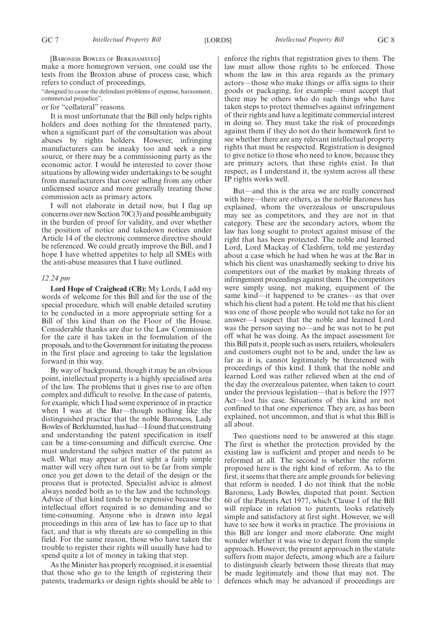[BARONESS BOWLES OF BERKHAMSTED]

make a more homegrown version, one could use the tests from the Broxton abuse of process case, which refers to conduct of proceedings,

"designed to cause the defendant problems of expense, harassment, commercial prejudice",

### or for "collateral" reasons.

It is most unfortunate that the Bill only helps rights holders and does nothing for the threatened party, when a significant part of the consultation was about abuses by rights holders. However, infringing manufacturers can be sneaky too and seek a new source, or there may be a commissioning party as the economic actor. I would be interested to cover those situations by allowing wider undertakings to be sought from manufacturers that cover selling from any other unlicensed source and more generally treating those commission acts as primary actors.

I will not elaborate in detail now, but I flag up concerns over new Section 70C(3) and possible ambiguity in the burden of proof for validity, and over whether the position of notice and takedown notices under Article 14 of the electronic commerce directive should be referenced. We could greatly improve the Bill, and I hope I have whetted appetites to help all SMEs with the anti-abuse measures that I have outlined.

#### *12.24 pm*

**Lord Hope of Craighead (CB):** My Lords, I add my words of welcome for this Bill and for the use of the special procedure, which will enable detailed scrutiny to be conducted in a more appropriate setting for a Bill of this kind than on the Floor of the House. Considerable thanks are due to the Law Commission for the care it has taken in the formulation of the proposals, and to the Government for initiating the process in the first place and agreeing to take the legislation forward in this way.

By way of background, though it may be an obvious point, intellectual property is a highly specialised area of the law. The problems that it gives rise to are often complex and difficult to resolve. In the case of patents, for example, which I had some experience of in practice when I was at the Bar—though nothing like the distinguished practice that the noble Baroness, Lady Bowles of Berkhamsted, has had—I found that construing and understanding the patent specification in itself can be a time-consuming and difficult exercise. One must understand the subject matter of the patent as well. What may appear at first sight a fairly simple matter will very often turn out to be far from simple once you get down to the detail of the design or the process that is protected. Specialist advice is almost always needed both as to the law and the technology. Advice of that kind tends to be expensive because the intellectual effort required is so demanding and so time-consuming. Anyone who is drawn into legal proceedings in this area of law has to face up to that fact, and that is why threats are so compelling in this field. For the same reason, those who have taken the trouble to register their rights will usually have had to spend quite a lot of money in taking that step.

As the Minister has properly recognised, it is essential that those who go to the length of registering their patents, trademarks or design rights should be able to enforce the rights that registration gives to them. The law must allow those rights to be enforced. Those whom the law in this area regards as the primary actors—those who make things or affix signs to their goods or packaging, for example—must accept that there may be others who do such things who have taken steps to protect themselves against infringement of their rights and have a legitimate commercial interest in doing so. They must take the risk of proceedings against them if they do not do their homework first to see whether there are any relevant intellectual property rights that must be respected. Registration is designed to give notice to those who need to know, because they are primary actors, that these rights exist. In that respect, as I understand it, the system across all these IP rights works well.

But—and this is the area we are really concerned with here—there are others, as the noble Baroness has explained, whom the overzealous or unscrupulous may see as competitors, and they are not in that category. These are the secondary actors, whom the law has long sought to protect against misuse of the right that has been protected. The noble and learned Lord, Lord Mackay of Clashfern, told me yesterday about a case which he had when he was at the Bar in which his client was unashamedly seeking to drive his competitors out of the market by making threats of infringement proceedings against them. The competitors were simply using, not making, equipment of the same kind—it happened to be cranes—as that over which his client had a patent. He told me that his client was one of those people who would not take no for an answer—I suspect that the noble and learned Lord was the person saying no—and he was not to be put off what he was doing. As the impact assessment for this Bill puts it, people such as users, retailers, wholesalers and customers ought not to be and, under the law as far as it is, cannot legitimately be threatened with proceedings of this kind. I think that the noble and learned Lord was rather relieved when at the end of the day the overzealous patentee, when taken to court under the previous legislation—that is before the 1977 Act—lost his case. Situations of this kind are not confined to that one experience. They are, as has been explained, not uncommon, and that is what this Bill is all about.

Two questions need to be answered at this stage. The first is whether the protection provided by the existing law is sufficient and proper and needs to be reformed at all. The second is whether the reform proposed here is the right kind of reform. As to the first, it seems that there are ample grounds for believing that reform is needed. I do not think that the noble Baroness, Lady Bowles, disputed that point. Section 60 of the Patents Act 1977, which Clause 1 of the Bill will replace in relation to patents, looks relatively simple and satisfactory at first sight. However, we will have to see how it works in practice. The provisions in this Bill are longer and more elaborate. One might wonder whether it was wise to depart from the simple approach. However, the present approach in the statute suffers from major defects, among which are a failure to distinguish clearly between those threats that may be made legitimately and those that may not. The defences which may be advanced if proceedings are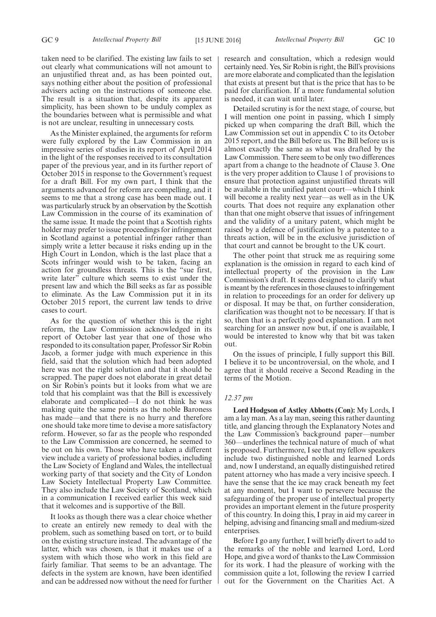taken need to be clarified. The existing law fails to set out clearly what communications will not amount to an unjustified threat and, as has been pointed out, says nothing either about the position of professional advisers acting on the instructions of someone else. The result is a situation that, despite its apparent simplicity, has been shown to be unduly complex as the boundaries between what is permissible and what is not are unclear, resulting in unnecessary costs.

As the Minister explained, the arguments for reform were fully explored by the Law Commission in an impressive series of studies in its report of April 2014 in the light of the responses received to its consultation paper of the previous year, and in its further report of October 2015 in response to the Government's request for a draft Bill. For my own part, I think that the arguments advanced for reform are compelling, and it seems to me that a strong case has been made out. I was particularly struck by an observation by the Scottish Law Commission in the course of its examination of the same issue. It made the point that a Scottish rights holder may prefer to issue proceedings for infringement in Scotland against a potential infringer rather than simply write a letter because it risks ending up in the High Court in London, which is the last place that a Scots infringer would wish to be taken, facing an action for groundless threats. This is the "sue first, write later<sup>3</sup> culture which seems to exist under the present law and which the Bill seeks as far as possible to eliminate. As the Law Commission put it in its October 2015 report, the current law tends to drive cases to court.

As for the question of whether this is the right reform, the Law Commission acknowledged in its report of October last year that one of those who responded to its consultation paper, Professor Sir Robin Jacob, a former judge with much experience in this field, said that the solution which had been adopted here was not the right solution and that it should be scrapped. The paper does not elaborate in great detail on Sir Robin's points but it looks from what we are told that his complaint was that the Bill is excessively elaborate and complicated—I do not think he was making quite the same points as the noble Baroness has made—and that there is no hurry and therefore one should take more time to devise a more satisfactory reform. However, so far as the people who responded to the Law Commission are concerned, he seemed to be out on his own. Those who have taken a different view include a variety of professional bodies, including the Law Society of England and Wales, the intellectual working party of that society and the City of London Law Society Intellectual Property Law Committee. They also include the Law Society of Scotland, which in a communication I received earlier this week said that it welcomes and is supportive of the Bill.

It looks as though there was a clear choice whether to create an entirely new remedy to deal with the problem, such as something based on tort, or to build on the existing structure instead. The advantage of the latter, which was chosen, is that it makes use of a system with which those who work in this field are fairly familiar. That seems to be an advantage. The defects in the system are known, have been identified and can be addressed now without the need for further research and consultation, which a redesign would certainly need. Yes, Sir Robin is right, the Bill's provisions are more elaborate and complicated than the legislation that exists at present but that is the price that has to be paid for clarification. If a more fundamental solution is needed, it can wait until later.

Detailed scrutiny is for the next stage, of course, but I will mention one point in passing, which I simply picked up when comparing the draft Bill, which the Law Commission set out in appendix C to its October 2015 report, and the Bill before us. The Bill before us is almost exactly the same as what was drafted by the Law Commission. There seem to be only two differences apart from a change to the headnote of Clause 3. One is the very proper addition to Clause 1 of provisions to ensure that protection against unjustified threats will be available in the unified patent court—which I think will become a reality next year—as well as in the UK courts. That does not require any explanation other than that one might observe that issues of infringement and the validity of a unitary patent, which might be raised by a defence of justification by a patentee to a threats action, will be in the exclusive jurisdiction of that court and cannot be brought to the UK court.

The other point that struck me as requiring some explanation is the omission in regard to each kind of intellectual property of the provision in the Law Commission's draft. It seems designed to clarify what is meant by the references in those clauses to infringement in relation to proceedings for an order for delivery up or disposal. It may be that, on further consideration, clarification was thought not to be necessary. If that is so, then that is a perfectly good explanation. I am not searching for an answer now but, if one is available, I would be interested to know why that bit was taken out.

On the issues of principle, I fully support this Bill. I believe it to be uncontroversial, on the whole, and I agree that it should receive a Second Reading in the terms of the Motion.

#### *12.37 pm*

**Lord Hodgson of Astley Abbotts (Con):** My Lords, I am a lay man. As a lay man, seeing this rather daunting title, and glancing through the Explanatory Notes and the Law Commission's background paper—number 360—underlines the technical nature of much of what is proposed. Furthermore, I see that my fellow speakers include two distinguished noble and learned Lords and, now I understand, an equally distinguished retired patent attorney who has made a very incisive speech. I have the sense that the ice may crack beneath my feet at any moment, but I want to persevere because the safeguarding of the proper use of intellectual property provides an important element in the future prosperity of this country. In doing this, I pray in aid my career in helping, advising and financing small and medium-sized enterprises.

Before I go any further, I will briefly divert to add to the remarks of the noble and learned Lord, Lord Hope, and give a word of thanks to the Law Commission for its work. I had the pleasure of working with the commission quite a lot, following the review I carried out for the Government on the Charities Act. A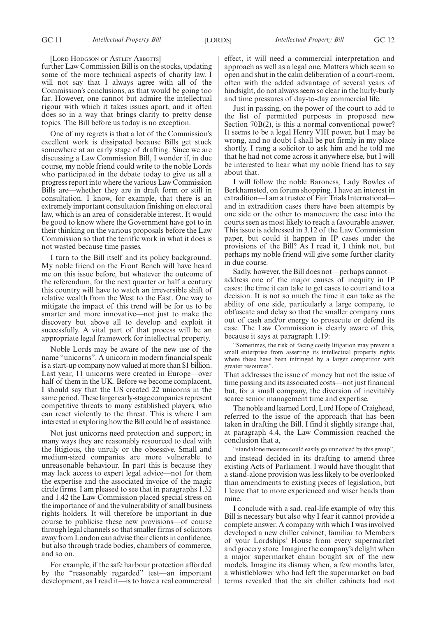[LORD HODGSON OF ASTLEY ABBOTTS]

further Law Commission Bill is on the stocks, updating some of the more technical aspects of charity law. I will not say that I always agree with all of the Commission's conclusions, as that would be going too far. However, one cannot but admire the intellectual rigour with which it takes issues apart, and it often does so in a way that brings clarity to pretty dense topics. The Bill before us today is no exception.

One of my regrets is that a lot of the Commission's excellent work is dissipated because Bills get stuck somewhere at an early stage of drafting. Since we are discussing a Law Commission Bill, I wonder if, in due course, my noble friend could write to the noble Lords who participated in the debate today to give us all a progress report into where the various Law Commission Bills are—whether they are in draft form or still in consultation. I know, for example, that there is an extremely important consultation finishing on electoral law, which is an area of considerable interest. It would be good to know where the Government have got to in their thinking on the various proposals before the Law Commission so that the terrific work in what it does is not wasted because time passes.

I turn to the Bill itself and its policy background. My noble friend on the Front Bench will have heard me on this issue before, but whatever the outcome of the referendum, for the next quarter or half a century this country will have to watch an irreversible shift of relative wealth from the West to the East. One way to mitigate the impact of this trend will be for us to be smarter and more innovative—not just to make the discovery but above all to develop and exploit it successfully. A vital part of that process will be an appropriate legal framework for intellectual property.

Noble Lords may be aware of the new use of the name "unicorns". A unicorn in modern financial speak is a start-up company now valued at more than \$1 billion. Last year, 11 unicorns were created in Europe—over half of them in the UK. Before we become complacent, I should say that the US created 22 unicorns in the same period. These larger early-stage companies represent competitive threats to many established players, who can react violently to the threat. This is where I am interested in exploring how the Bill could be of assistance.

Not just unicorns need protection and support; in many ways they are reasonably resourced to deal with the litigious, the unruly or the obsessive. Small and medium-sized companies are more vulnerable to unreasonable behaviour. In part this is because they may lack access to expert legal advice—not for them the expertise and the associated invoice of the magic circle firms. I am pleased to see that in paragraphs 1.32 and 1.42 the Law Commission placed special stress on the importance of and the vulnerability of small business rights holders. It will therefore be important in due course to publicise these new provisions—of course through legal channels so that smaller firms of solicitors away from London can advise their clients in confidence, but also through trade bodies, chambers of commerce, and so on.

For example, if the safe harbour protection afforded by the "reasonably regarded" test—an important development, as I read it—is to have a real commercial effect, it will need a commercial interpretation and approach as well as a legal one. Matters which seem so open and shut in the calm deliberation of a court-room, often with the added advantage of several years of hindsight, do not always seem so clear in the hurly-burly and time pressures of day-to-day commercial life.

Just in passing, on the power of the court to add to the list of permitted purposes in proposed new Section 70B(2), is this a normal conventional power? It seems to be a legal Henry VIII power, but I may be wrong, and no doubt I shall be put firmly in my place shortly. I rang a solicitor to ask him and he told me that he had not come across it anywhere else, but I will be interested to hear what my noble friend has to say about that.

I will follow the noble Baroness, Lady Bowles of Berkhamsted, on forum shopping. I have an interest in extradition—I am a trustee of Fair Trials International and in extradition cases there have been attempts by one side or the other to manoeuvre the case into the courts seen as most likely to reach a favourable answer. This issue is addressed in 3.12 of the Law Commission paper, but could it happen in IP cases under the provisions of the Bill? As I read it, I think not, but perhaps my noble friend will give some further clarity in due course.

Sadly, however, the Bill does not—perhaps cannot address one of the major causes of inequity in IP cases: the time it can take to get cases to court and to a decision. It is not so much the time it can take as the ability of one side, particularly a large company, to obfuscate and delay so that the smaller company runs out of cash and/or energy to prosecute or defend its case. The Law Commission is clearly aware of this, because it says at paragraph 1.19:

"Sometimes, the risk of facing costly litigation may prevent a small enterprise from asserting its intellectual property rights where these have been infringed by a larger competitor with greater resources".

That addresses the issue of money but not the issue of time passing and its associated costs—not just financial but, for a small company, the diversion of inevitably scarce senior management time and expertise.

The noble and learned Lord, Lord Hope of Craighead, referred to the issue of the approach that has been taken in drafting the Bill. I find it slightly strange that, at paragraph 4.4, the Law Commission reached the conclusion that a,

"standalone measure could easily go unnoticed by this group", and instead decided in its drafting to amend three existing Acts of Parliament. I would have thought that a stand-alone provision was less likely to be overlooked than amendments to existing pieces of legislation, but I leave that to more experienced and wiser heads than mine.

I conclude with a sad, real-life example of why this Bill is necessary but also why I fear it cannot provide a complete answer. A company with which I was involved developed a new chiller cabinet, familiar to Members of your Lordships' House from every supermarket and grocery store. Imagine the company's delight when a major supermarket chain bought six of the new models. Imagine its dismay when, a few months later, a whistleblower who had left the supermarket on bad terms revealed that the six chiller cabinets had not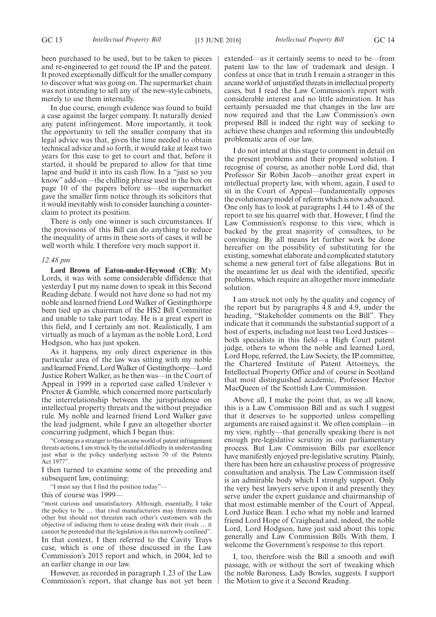been purchased to be used, but to be taken to pieces and re-engineered to get round the IP and the patent. It proved exceptionally difficult for the smaller company to discover what was going on. The supermarket chain was not intending to sell any of the new-style cabinets, merely to use them internally.

In due course, enough evidence was found to build a case against the larger company. It naturally denied any patent infringement. More importantly, it took the opportunity to tell the smaller company that its legal advice was that, given the time needed to obtain technical advice and so forth, it would take at least two years for this case to get to court and that, before it started, it should be prepared to allow for that time lapse and build it into its cash flow. In a "just so you know" add-on—the chilling phrase used in the box on page 10 of the papers before us—the supermarket gave the smaller firm notice through its solicitors that it would inevitably wish to consider launching a counterclaim to protect its position.

There is only one winner is such circumstances. If the provisions of this Bill can do anything to reduce the inequality of arms in these sorts of cases, it will be well worth while. I therefore very much support it.

#### *12.48 pm*

**Lord Brown of Eaton-under-Heywood (CB):** My Lords, it was with some considerable diffidence that yesterday I put my name down to speak in this Second Reading debate. I would not have done so had not my noble and learned friend Lord Walker of Gestingthorpe been tied up as chairman of the HS2 Bill Committee and unable to take part today. He is a great expert in this field, and I certainly am not. Realistically, I am virtually as much of a layman as the noble Lord, Lord Hodgson, who has just spoken.

As it happens, my only direct experience in this particular area of the law was sitting with my noble and learned Friend, Lord Walker of Gestingthorpe—Lord Justice Robert Walker, as he then was—in the Court of Appeal in 1999 in a reported case called Unilever v Procter & Gamble, which concerned more particularly the interrelationship between the jurisprudence on intellectual property threats and the without prejudice rule. My noble and learned friend Lord Walker gave the lead judgment, while I gave an altogether shorter concurring judgment, which I began thus:

"Coming as a stranger to this arcane world of patent infringement threats actions, I am struck by the initial difficulty in understanding just what is the policy underlying section 70 of the Patents Act 1977".

I then turned to examine some of the preceding and subsequent law, continuing:

"I must say that I find the position today"—

this of course was 1999—

"most curious and unsatisfactory. Although, essentially, I take the policy to be … that rival manufacturers may threaten each other but should not threaten each other's customers with the objective of inducing them to cease dealing with their rivals … it cannot be pretended that the legislation is this narrowly confined". In that context, I then referred to the Cavity Trays case, which is one of those discussed in the Law Commission's 2015 report and which, in 2004, led to an earlier change in our law.

However, as recorded in paragraph 1.23 of the Law Commission's report, that change has not yet been extended—as it certainly seems to need to be—from patent law to the law of trademark and design. I confess at once that in truth I remain a stranger in this arcane world of unjustified threats in intellectual property cases, but I read the Law Commission's report with considerable interest and no little admiration. It has certainly persuaded me that changes in the law are now required and that the Law Commission's own proposed Bill is indeed the right way of seeking to achieve these changes and reforming this undoubtedly problematic area of our law.

I do not intend at this stage to comment in detail on the present problems and their proposed solution. I recognise of course, as another noble Lord did, that Professor Sir Robin Jacob—another great expert in intellectual property law, with whom, again, I used to sit in the Court of Appeal—fundamentally opposes the evolutionary model of reform which is now advanced. One only has to look at paragraphs 1.44 to 1.48 of the report to see his quarrel with that. However, I find the Law Commission's response to this view, which is backed by the great majority of consultees, to be convincing. By all means let further work be done hereafter on the possibility of substituting for the existing, somewhat elaborate and complicated statutory scheme a new general tort of false allegations. But in the meantime let us deal with the identified, specific problems, which require an altogether more immediate solution.

I am struck not only by the quality and cogency of the report but by paragraphs 4.8 and 4.9, under the heading, "Stakeholder comments on the Bill". They indicate that it commands the substantial support of a host of experts, including not least two Lord Justices both specialists in this field—a High Court patent judge, others to whom the noble and learned Lord, Lord Hope, referred, the Law Society, the IP committee, the Chartered Institute of Patent Attorneys, the Intellectual Property Office and of course in Scotland that most distinguished academic, Professor Hector MacQueen of the Scottish Law Commission.

Above all, I make the point that, as we all know, this is a Law Commission Bill and as such I suggest that it deserves to be supported unless compelling arguments are raised against it. We often complain—in my view, rightly—that generally speaking there is not enough pre-legislative scrutiny in our parliamentary process. But Law Commission Bills par excellence have manifestly enjoyed pre-legislative scrutiny. Plainly, there has been here an exhaustive process of progressive consultation and analysis. The Law Commission itself is an admirable body which I strongly support. Only the very best lawyers serve upon it and presently they serve under the expert guidance and chairmanship of that most estimable member of the Court of Appeal, Lord Justice Bean. I echo what my noble and learned friend Lord Hope of Craighead and, indeed, the noble Lord, Lord Hodgson, have just said about this topic generally and Law Commission Bills. With them, I welcome the Government's response to this report.

I, too, therefore wish the Bill a smooth and swift passage, with or without the sort of tweaking which the noble Baroness, Lady Bowles, suggests. I support the Motion to give it a Second Reading.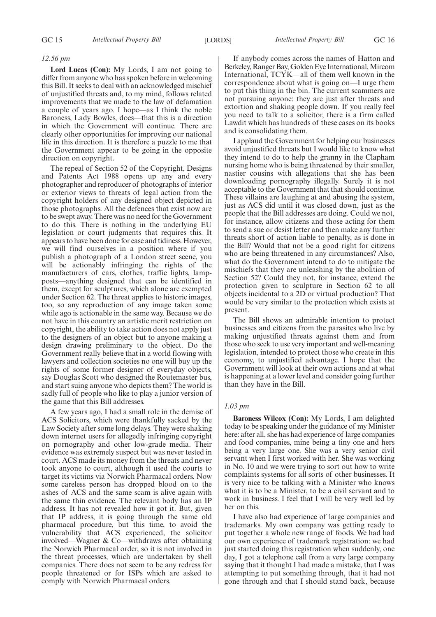#### *12.56 pm*

**Lord Lucas (Con):** My Lords, I am not going to differ from anyone who has spoken before in welcoming this Bill. It seeks to deal with an acknowledged mischief of unjustified threats and, to my mind, follows related improvements that we made to the law of defamation a couple of years ago. I hope—as I think the noble Baroness, Lady Bowles, does—that this is a direction in which the Government will continue. There are clearly other opportunities for improving our national life in this direction. It is therefore a puzzle to me that the Government appear to be going in the opposite direction on copyright.

The repeal of Section 52 of the Copyright, Designs and Patents Act 1988 opens up any and every photographer and reproducer of photographs of interior or exterior views to threats of legal action from the copyright holders of any designed object depicted in those photographs. All the defences that exist now are to be swept away. There was no need for the Government to do this. There is nothing in the underlying EU legislation or court judgments that requires this. It appears to have been done for ease and tidiness. However, we will find ourselves in a position where if you publish a photograph of a London street scene, you will be actionably infringing the rights of the manufacturers of cars, clothes, traffic lights, lampposts—anything designed that can be identified in them, except for sculptures, which alone are exempted under Section 62. The threat applies to historic images, too, so any reproduction of any image taken some while ago is actionable in the same way. Because we do not have in this country an artistic merit restriction on copyright, the ability to take action does not apply just to the designers of an object but to anyone making a design drawing preliminary to the object. Do the Government really believe that in a world flowing with lawyers and collection societies no one will buy up the rights of some former designer of everyday objects, say Douglas Scott who designed the Routemaster bus, and start suing anyone who depicts them? The world is sadly full of people who like to play a junior version of the game that this Bill addresses.

A few years ago, I had a small role in the demise of ACS Solicitors, which were thankfully sacked by the Law Society after some long delays. They were shaking down internet users for allegedly infringing copyright on pornography and other low-grade media. Their evidence was extremely suspect but was never tested in court. ACS made its money from the threats and never took anyone to court, although it used the courts to target its victims via Norwich Pharmacal orders. Now some careless person has dropped blood on to the ashes of ACS and the same scam is alive again with the same thin evidence. The relevant body has an IP address. It has not revealed how it got it. But, given that IP address, it is going through the same old pharmacal procedure, but this time, to avoid the vulnerability that ACS experienced, the solicitor involved—Wagner & Co—withdraws after obtaining the Norwich Pharmacal order, so it is not involved in the threat processes, which are undertaken by shell companies. There does not seem to be any redress for people threatened or for ISPs which are asked to comply with Norwich Pharmacal orders.

If anybody comes across the names of Hatton and Berkeley, Ranger Bay, Golden Eye International, Mircom International, TCYK—all of them well known in the correspondence about what is going on—I urge them to put this thing in the bin. The current scammers are not pursuing anyone: they are just after threats and extortion and shaking people down. If you really feel you need to talk to a solicitor, there is a firm called Lawdit which has hundreds of these cases on its books and is consolidating them.

I applaud the Government for helping our businesses avoid unjustified threats but I would like to know what they intend to do to help the granny in the Clapham nursing home who is being threatened by their smaller, nastier cousins with allegations that she has been downloading pornography illegally. Surely it is not acceptable to the Government that that should continue. These villains are laughing at and abusing the system, just as ACS did until it was closed down, just as the people that the Bill addresses are doing. Could we not, for instance, allow citizens and those acting for them to send a sue or desist letter and then make any further threats short of action liable to penalty, as is done in the Bill? Would that not be a good right for citizens who are being threatened in any circumstances? Also, what do the Government intend to do to mitigate the mischiefs that they are unleashing by the abolition of Section 52? Could they not, for instance, extend the protection given to sculpture in Section 62 to all objects incidental to a 2D or virtual production? That would be very similar to the protection which exists at present.

The Bill shows an admirable intention to protect businesses and citizens from the parasites who live by making unjustified threats against them and from those who seek to use very important and well-meaning legislation, intended to protect those who create in this economy, to unjustified advantage. I hope that the Government will look at their own actions and at what is happening at a lower level and consider going further than they have in the Bill.

#### *1.03 pm*

**Baroness Wilcox (Con):** My Lords, I am delighted today to be speaking under the guidance of my Minister here: after all, she has had experience of large companies and food companies, mine being a tiny one and hers being a very large one. She was a very senior civil servant when I first worked with her. She was working in No. 10 and we were trying to sort out how to write complaints systems for all sorts of other businesses. It is very nice to be talking with a Minister who knows what it is to be a Minister, to be a civil servant and to work in business. I feel that I will be very well led by her on this.

I have also had experience of large companies and trademarks. My own company was getting ready to put together a whole new range of foods. We had had our own experience of trademark registration: we had just started doing this registration when suddenly, one day, I got a telephone call from a very large company saying that it thought I had made a mistake, that I was attempting to put something through, that it had not gone through and that I should stand back, because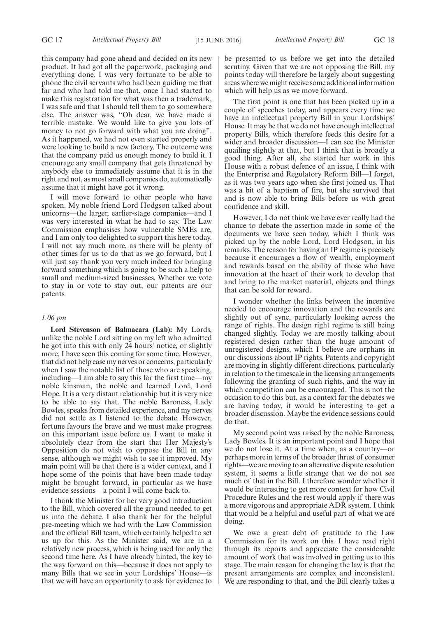this company had gone ahead and decided on its new product. It had got all the paperwork, packaging and everything done. I was very fortunate to be able to phone the civil servants who had been guiding me that far and who had told me that, once I had started to make this registration for what was then a trademark, I was safe and that I should tell them to go somewhere else. The answer was, "Oh dear, we have made a terrible mistake. We would like to give you lots of money to not go forward with what you are doing". As it happened, we had not even started properly and were looking to build a new factory. The outcome was that the company paid us enough money to build it. I encourage any small company that gets threatened by anybody else to immediately assume that it is in the right and not, as most small companies do, automatically assume that it might have got it wrong.

I will move forward to other people who have spoken. My noble friend Lord Hodgson talked about unicorns—the larger, earlier-stage companies—and I was very interested in what he had to say. The Law Commission emphasises how vulnerable SMEs are, and I am only too delighted to support this here today. I will not say much more, as there will be plenty of other times for us to do that as we go forward, but I will just say thank you very much indeed for bringing forward something which is going to be such a help to small and medium-sized businesses. Whether we vote to stay in or vote to stay out, our patents are our patents.

## *1.06 pm*

**Lord Stevenson of Balmacara (Lab):** My Lords, unlike the noble Lord sitting on my left who admitted he got into this with only 24 hours' notice, or slightly more, I have seen this coming for some time. However, that did not help ease my nerves or concerns, particularly when I saw the notable list of those who are speaking, including—I am able to say this for the first time—my noble kinsman, the noble and learned Lord, Lord Hope. It is a very distant relationship but it is very nice to be able to say that. The noble Baroness, Lady Bowles, speaks from detailed experience, and my nerves did not settle as I listened to the debate. However, fortune favours the brave and we must make progress on this important issue before us. I want to make it absolutely clear from the start that Her Majesty's Opposition do not wish to oppose the Bill in any sense, although we might wish to see it improved. My main point will be that there is a wider context, and I hope some of the points that have been made today might be brought forward, in particular as we have evidence sessions—a point I will come back to.

I thank the Minister for her very good introduction to the Bill, which covered all the ground needed to get us into the debate. I also thank her for the helpful pre-meeting which we had with the Law Commission and the official Bill team, which certainly helped to set us up for this. As the Minister said, we are in a relatively new process, which is being used for only the second time here. As I have already hinted, the key to the way forward on this—because it does not apply to many Bills that we see in your Lordships' House—is that we will have an opportunity to ask for evidence to be presented to us before we get into the detailed scrutiny. Given that we are not opposing the Bill, my points today will therefore be largely about suggesting areas where we might receive some additional information which will help us as we move forward.

The first point is one that has been picked up in a couple of speeches today, and appears every time we have an intellectual property Bill in your Lordships' House. It may be that we do not have enough intellectual property Bills, which therefore feeds this desire for a wider and broader discussion—I can see the Minister quailing slightly at that, but I think that is broadly a good thing. After all, she started her work in this House with a robust defence of an issue, I think with the Enterprise and Regulatory Reform Bill—I forget, as it was two years ago when she first joined us. That was a bit of a baptism of fire, but she survived that and is now able to bring Bills before us with great confidence and skill.

However, I do not think we have ever really had the chance to debate the assertion made in some of the documents we have seen today, which I think was picked up by the noble Lord, Lord Hodgson, in his remarks. The reason for having an IP regime is precisely because it encourages a flow of wealth, employment and rewards based on the ability of those who have innovation at the heart of their work to develop that and bring to the market material, objects and things that can be sold for reward.

I wonder whether the links between the incentive needed to encourage innovation and the rewards are slightly out of sync, particularly looking across the range of rights. The design right regime is still being changed slightly. Today we are mostly talking about registered design rather than the huge amount of unregistered designs, which I believe are orphans in our discussions about IP rights. Patents and copyright are moving in slightly different directions, particularly in relation to the timescale in the licensing arrangements following the granting of such rights, and the way in which competition can be encouraged. This is not the occasion to do this but, as a context for the debates we are having today, it would be interesting to get a broader discussion. Maybe the evidence sessions could do that.

My second point was raised by the noble Baroness, Lady Bowles. It is an important point and I hope that we do not lose it. At a time when, as a country—or perhaps more in terms of the broader thrust of consumer rights—we are moving to an alternative dispute resolution system, it seems a little strange that we do not see much of that in the Bill. I therefore wonder whether it would be interesting to get more context for how Civil Procedure Rules and the rest would apply if there was a more vigorous and appropriate ADR system. I think that would be a helpful and useful part of what we are doing.

We owe a great debt of gratitude to the Law Commission for its work on this. I have read right through its reports and appreciate the considerable amount of work that was involved in getting us to this stage. The main reason for changing the law is that the present arrangements are complex and inconsistent. We are responding to that, and the Bill clearly takes a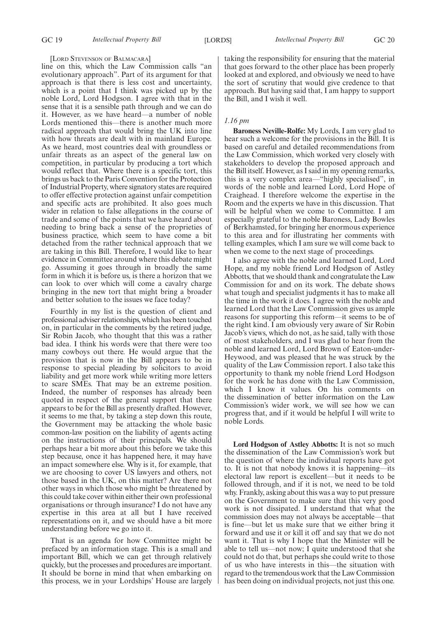#### [LORD STEVENSON OF BALMACARA]

line on this, which the Law Commission calls "an evolutionary approach". Part of its argument for that approach is that there is less cost and uncertainty, which is a point that I think was picked up by the noble Lord, Lord Hodgson. I agree with that in the sense that it is a sensible path through and we can do it. However, as we have heard—a number of noble Lords mentioned this—there is another much more radical approach that would bring the UK into line with how threats are dealt with in mainland Europe. As we heard, most countries deal with groundless or unfair threats as an aspect of the general law on competition, in particular by producing a tort which would reflect that. Where there is a specific tort, this brings us back to the Paris Convention for the Protection of Industrial Property, where signatory states are required to offer effective protection against unfair competition and specific acts are prohibited. It also goes much wider in relation to false allegations in the course of trade and some of the points that we have heard about needing to bring back a sense of the proprieties of business practice, which seem to have come a bit detached from the rather technical approach that we are taking in this Bill. Therefore, I would like to hear evidence in Committee around where this debate might go. Assuming it goes through in broadly the same form in which it is before us, is there a horizon that we can look to over which will come a cavalry charge bringing in the new tort that might bring a broader and better solution to the issues we face today?

Fourthly in my list is the question of client and professional adviser relationships, which has been touched on, in particular in the comments by the retired judge, Sir Robin Jacob, who thought that this was a rather bad idea. I think his words were that there were too many cowboys out there. He would argue that the provision that is now in the Bill appears to be in response to special pleading by solicitors to avoid liability and get more work while writing more letters to scare SMEs. That may be an extreme position. Indeed, the number of responses has already been quoted in respect of the general support that there appears to be for the Bill as presently drafted. However, it seems to me that, by taking a step down this route, the Government may be attacking the whole basic common-law position on the liability of agents acting on the instructions of their principals. We should perhaps hear a bit more about this before we take this step because, once it has happened here, it may have an impact somewhere else. Why is it, for example, that we are choosing to cover US lawyers and others, not those based in the UK, on this matter? Are there not other ways in which those who might be threatened by this could take cover within either their own professional organisations or through insurance? I do not have any expertise in this area at all but I have received representations on it, and we should have a bit more understanding before we go into it.

That is an agenda for how Committee might be prefaced by an information stage. This is a small and important Bill, which we can get through relatively quickly, but the processes and procedures are important. It should be borne in mind that when embarking on this process, we in your Lordships' House are largely taking the responsibility for ensuring that the material that goes forward to the other place has been properly looked at and explored, and obviously we need to have the sort of scrutiny that would give credence to that approach. But having said that, I am happy to support the Bill, and I wish it well.

#### *1.16 pm*

**Baroness Neville-Rolfe:** My Lords, I am very glad to hear such a welcome for the provisions in the Bill. It is based on careful and detailed recommendations from the Law Commission, which worked very closely with stakeholders to develop the proposed approach and the Bill itself. However, as I said in my opening remarks, this is a very complex area—"highly specialised", in words of the noble and learned Lord, Lord Hope of Craighead. I therefore welcome the expertise in the Room and the experts we have in this discussion. That will be helpful when we come to Committee. I am especially grateful to the noble Baroness, Lady Bowles of Berkhamsted, for bringing her enormous experience to this area and for illustrating her comments with telling examples, which I am sure we will come back to when we come to the next stage of proceedings.

I also agree with the noble and learned Lord, Lord Hope, and my noble friend Lord Hodgson of Astley Abbotts, that we should thank and congratulate the Law Commission for and on its work. The debate shows what tough and specialist judgments it has to make all the time in the work it does. I agree with the noble and learned Lord that the Law Commission gives us ample reasons for supporting this reform—it seems to be of the right kind. I am obviously very aware of Sir Robin Jacob's views, which do not, as he said, tally with those of most stakeholders, and I was glad to hear from the noble and learned Lord, Lord Brown of Eaton-under-Heywood, and was pleased that he was struck by the quality of the Law Commission report. I also take this opportunity to thank my noble friend Lord Hodgson for the work he has done with the Law Commission, which I know it values. On his comments on the dissemination of better information on the Law Commission's wider work, we will see how we can progress that, and if it would be helpful I will write to noble Lords.

**Lord Hodgson of Astley Abbotts:** It is not so much the dissemination of the Law Commission's work but the question of where the individual reports have got to. It is not that nobody knows it is happening—its electoral law report is excellent—but it needs to be followed through, and if it is not, we need to be told why. Frankly, asking about this was a way to put pressure on the Government to make sure that this very good work is not dissipated. I understand that what the commission does may not always be acceptable—that is fine—but let us make sure that we either bring it forward and use it or kill it off and say that we do not want it. That is why I hope that the Minister will be able to tell us—not now; I quite understood that she could not do that, but perhaps she could write to those of us who have interests in this—the situation with regard to the tremendous work that the Law Commission has been doing on individual projects, not just this one.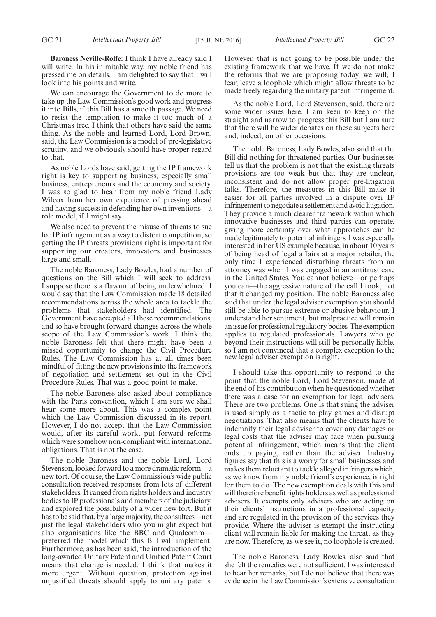**Baroness Neville-Rolfe:** I think I have already said I will write. In his inimitable way, my noble friend has pressed me on details. I am delighted to say that I will look into his points and write.

We can encourage the Government to do more to take up the Law Commission's good work and progress it into Bills, if this Bill has a smooth passage. We need to resist the temptation to make it too much of a Christmas tree. I think that others have said the same thing. As the noble and learned Lord, Lord Brown, said, the Law Commission is a model of pre-legislative scrutiny, and we obviously should have proper regard to that.

As noble Lords have said, getting the IP framework right is key to supporting business, especially small business, entrepreneurs and the economy and society. I was so glad to hear from my noble friend Lady Wilcox from her own experience of pressing ahead and having success in defending her own inventions—a role model, if I might say.

We also need to prevent the misuse of threats to sue for IP infringement as a way to distort competition, so getting the IP threats provisions right is important for supporting our creators, innovators and businesses large and small.

The noble Baroness, Lady Bowles, had a number of questions on the Bill which I will seek to address. I suppose there is a flavour of being underwhelmed. I would say that the Law Commission made 18 detailed recommendations across the whole area to tackle the problems that stakeholders had identified. The Government have accepted all these recommendations, and so have brought forward changes across the whole scope of the Law Commission's work. I think the noble Baroness felt that there might have been a missed opportunity to change the Civil Procedure Rules. The Law Commission has at all times been mindful of fitting the new provisions into the framework of negotiation and settlement set out in the Civil Procedure Rules. That was a good point to make.

The noble Baroness also asked about compliance with the Paris convention, which I am sure we shall hear some more about. This was a complex point which the Law Commission discussed in its report. However, I do not accept that the Law Commission would, after its careful work, put forward reforms which were somehow non-compliant with international obligations. That is not the case.

The noble Baroness and the noble Lord, Lord Stevenson, looked forward to a more dramatic reform—a new tort. Of course, the Law Commission's wide public consultation received responses from lots of different stakeholders. It ranged from rights holders and industry bodies to IP professionals and members of the judiciary, and explored the possibility of a wider new tort. But it has to be said that, by a large majority, the consultees—not just the legal stakeholders who you might expect but also organisations like the BBC and Qualcomm preferred the model which this Bill will implement. Furthermore, as has been said, the introduction of the long-awaited Unitary Patent and Unified Patent Court means that change is needed. I think that makes it more urgent. Without question, protection against unjustified threats should apply to unitary patents.

However, that is not going to be possible under the existing framework that we have. If we do not make the reforms that we are proposing today, we will, I fear, leave a loophole which might allow threats to be made freely regarding the unitary patent infringement.

As the noble Lord, Lord Stevenson, said, there are some wider issues here. I am keen to keep on the straight and narrow to progress this Bill but I am sure that there will be wider debates on these subjects here and, indeed, on other occasions.

The noble Baroness, Lady Bowles, also said that the Bill did nothing for threatened parties. Our businesses tell us that the problem is not that the existing threats provisions are too weak but that they are unclear, inconsistent and do not allow proper pre-litigation talks. Therefore, the measures in this Bill make it easier for all parties involved in a dispute over IP infringement to negotiate a settlement and avoid litigation. They provide a much clearer framework within which innovative businesses and third parties can operate, giving more certainty over what approaches can be made legitimately to potential infringers. I was especially interested in her US example because, in about 10 years of being head of legal affairs at a major retailer, the only time I experienced disturbing threats from an attorney was when I was engaged in an antitrust case in the United States. You cannot believe—or perhaps you can—the aggressive nature of the call I took, not that it changed my position. The noble Baroness also said that under the legal adviser exemption you should still be able to pursue extreme or abusive behaviour. I understand her sentiment, but malpractice will remain an issue for professional regulatory bodies. The exemption applies to regulated professionals. Lawyers who go beyond their instructions will still be personally liable, so I am not convinced that a complex exception to the new legal adviser exemption is right.

I should take this opportunity to respond to the point that the noble Lord, Lord Stevenson, made at the end of his contribution when he questioned whether there was a case for an exemption for legal advisers. There are two problems. One is that suing the adviser is used simply as a tactic to play games and disrupt negotiations. That also means that the clients have to indemnify their legal adviser to cover any damages or legal costs that the adviser may face when pursuing potential infringement, which means that the client ends up paying, rather than the adviser. Industry figures say that this is a worry for small businesses and makes them reluctant to tackle alleged infringers which, as we know from my noble friend's experience, is right for them to do. The new exemption deals with this and will therefore benefit rights holders as well as professional advisers. It exempts only advisers who are acting on their clients' instructions in a professional capacity and are regulated in the provision of the services they provide. Where the adviser is exempt the instructing client will remain liable for making the threat, as they are now. Therefore, as we see it, no loophole is created.

The noble Baroness, Lady Bowles, also said that she felt the remedies were not sufficient. I was interested to hear her remarks, but I do not believe that there was evidence in the Law Commission's extensive consultation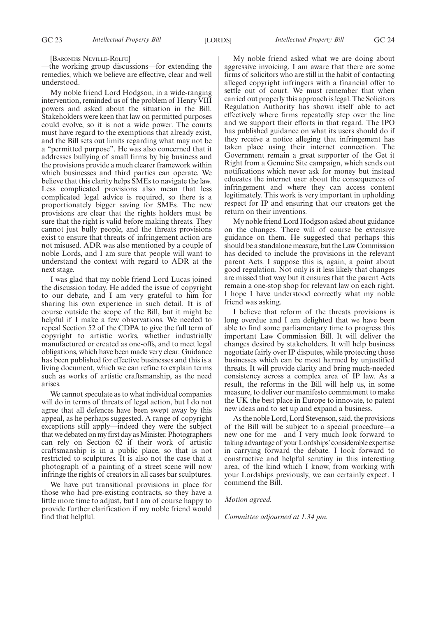[BARONESS NEVILLE-ROLFE]

—the working group discussions—for extending the remedies, which we believe are effective, clear and well understood.

My noble friend Lord Hodgson, in a wide-ranging intervention, reminded us of the problem of Henry VIII powers and asked about the situation in the Bill. Stakeholders were keen that law on permitted purposes could evolve, so it is not a wide power. The courts must have regard to the exemptions that already exist, and the Bill sets out limits regarding what may not be a "permitted purpose". He was also concerned that it addresses bullying of small firms by big business and the provisions provide a much clearer framework within which businesses and third parties can operate. We believe that this clarity helps SMEs to navigate the law. Less complicated provisions also mean that less complicated legal advice is required, so there is a proportionately bigger saving for SMEs. The new provisions are clear that the rights holders must be sure that the right is valid before making threats. They cannot just bully people, and the threats provisions exist to ensure that threats of infringement action are not misused. ADR was also mentioned by a couple of noble Lords, and I am sure that people will want to understand the context with regard to ADR at the next stage.

I was glad that my noble friend Lord Lucas joined the discussion today. He added the issue of copyright to our debate, and I am very grateful to him for sharing his own experience in such detail. It is of course outside the scope of the Bill, but it might be helpful if I make a few observations. We needed to repeal Section 52 of the CDPA to give the full term of copyright to artistic works, whether industrially manufactured or created as one-offs, and to meet legal obligations, which have been made very clear. Guidance has been published for effective businesses and this is a living document, which we can refine to explain terms such as works of artistic craftsmanship, as the need arises.

We cannot speculate as to what individual companies will do in terms of threats of legal action, but I do not agree that all defences have been swept away by this appeal, as he perhaps suggested. A range of copyright exceptions still apply—indeed they were the subject that we debated on my first day as Minister. Photographers can rely on Section 62 if their work of artistic craftsmanship is in a public place, so that is not restricted to sculptures. It is also not the case that a photograph of a painting of a street scene will now infringe the rights of creators in all cases bar sculptures.

We have put transitional provisions in place for those who had pre-existing contracts, so they have a little more time to adjust, but I am of course happy to provide further clarification if my noble friend would find that helpful.

My noble friend asked what we are doing about aggressive invoicing. I am aware that there are some firms of solicitors who are still in the habit of contacting alleged copyright infringers with a financial offer to settle out of court. We must remember that when carried out properly this approach is legal. The Solicitors Regulation Authority has shown itself able to act effectively where firms repeatedly step over the line and we support their efforts in that regard. The IPO has published guidance on what its users should do if they receive a notice alleging that infringement has taken place using their internet connection. The Government remain a great supporter of the Get it Right from a Genuine Site campaign, which sends out notifications which never ask for money but instead educates the internet user about the consequences of infringement and where they can access content legitimately. This work is very important in upholding respect for IP and ensuring that our creators get the return on their inventions.

My noble friend Lord Hodgson asked about guidance on the changes. There will of course be extensive guidance on them. He suggested that perhaps this should be a standalone measure, but the Law Commission has decided to include the provisions in the relevant parent Acts. I suppose this is, again, a point about good regulation. Not only is it less likely that changes are missed that way but it ensures that the parent Acts remain a one-stop shop for relevant law on each right. I hope I have understood correctly what my noble friend was asking.

I believe that reform of the threats provisions is long overdue and I am delighted that we have been able to find some parliamentary time to progress this important Law Commission Bill. It will deliver the changes desired by stakeholders. It will help business negotiate fairly over IP disputes, while protecting those businesses which can be most harmed by unjustified threats. It will provide clarity and bring much-needed consistency across a complex area of IP law. As a result, the reforms in the Bill will help us, in some measure, to deliver our manifesto commitment to make the UK the best place in Europe to innovate, to patent new ideas and to set up and expand a business.

As the noble Lord, Lord Stevenson, said, the provisions of the Bill will be subject to a special procedure—a new one for me—and I very much look forward to taking advantage of your Lordships'considerable expertise in carrying forward the debate. I look forward to constructive and helpful scrutiny in this interesting area, of the kind which I know, from working with your Lordships previously, we can certainly expect. I commend the Bill.

### *Motion agreed.*

*Committee adjourned at 1.34 pm.*